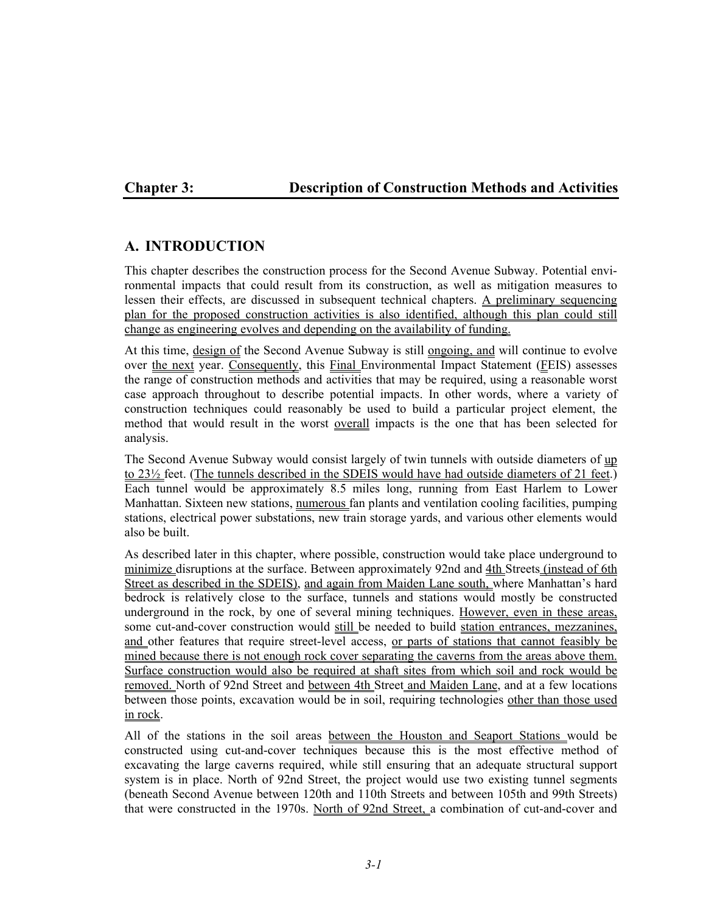# **Chapter 3: Description of Construction Methods and Activities**

# **A. INTRODUCTION**

This chapter describes the construction process for the Second Avenue Subway. Potential environmental impacts that could result from its construction, as well as mitigation measures to lessen their effects, are discussed in subsequent technical chapters. A preliminary sequencing plan for the proposed construction activities is also identified, although this plan could still change as engineering evolves and depending on the availability of funding.

At this time, design of the Second Avenue Subway is still ongoing, and will continue to evolve over the next year. Consequently, this Final Environmental Impact Statement (FEIS) assesses the range of construction methods and activities that may be required, using a reasonable worst case approach throughout to describe potential impacts. In other words, where a variety of construction techniques could reasonably be used to build a particular project element, the method that would result in the worst overall impacts is the one that has been selected for analysis.

The Second Avenue Subway would consist largely of twin tunnels with outside diameters of up to 23<sup>1/2</sup> feet. (The tunnels described in the SDEIS would have had outside diameters of 21 feet.) Each tunnel would be approximately 8.5 miles long, running from East Harlem to Lower Manhattan. Sixteen new stations, numerous fan plants and ventilation cooling facilities, pumping stations, electrical power substations, new train storage yards, and various other elements would also be built.

As described later in this chapter, where possible, construction would take place underground to minimize disruptions at the surface. Between approximately 92nd and 4th Streets (instead of 6th Street as described in the SDEIS), and again from Maiden Lane south, where Manhattan's hard bedrock is relatively close to the surface, tunnels and stations would mostly be constructed underground in the rock, by one of several mining techniques. However, even in these areas, some cut-and-cover construction would still be needed to build station entrances, mezzanines, and other features that require street-level access, or parts of stations that cannot feasibly be mined because there is not enough rock cover separating the caverns from the areas above them. Surface construction would also be required at shaft sites from which soil and rock would be removed. North of 92nd Street and between 4th Street and Maiden Lane, and at a few locations between those points, excavation would be in soil, requiring technologies other than those used in rock.

All of the stations in the soil areas between the Houston and Seaport Stations would be constructed using cut-and-cover techniques because this is the most effective method of excavating the large caverns required, while still ensuring that an adequate structural support system is in place. North of 92nd Street, the project would use two existing tunnel segments (beneath Second Avenue between 120th and 110th Streets and between 105th and 99th Streets) that were constructed in the 1970s. North of 92nd Street, a combination of cut-and-cover and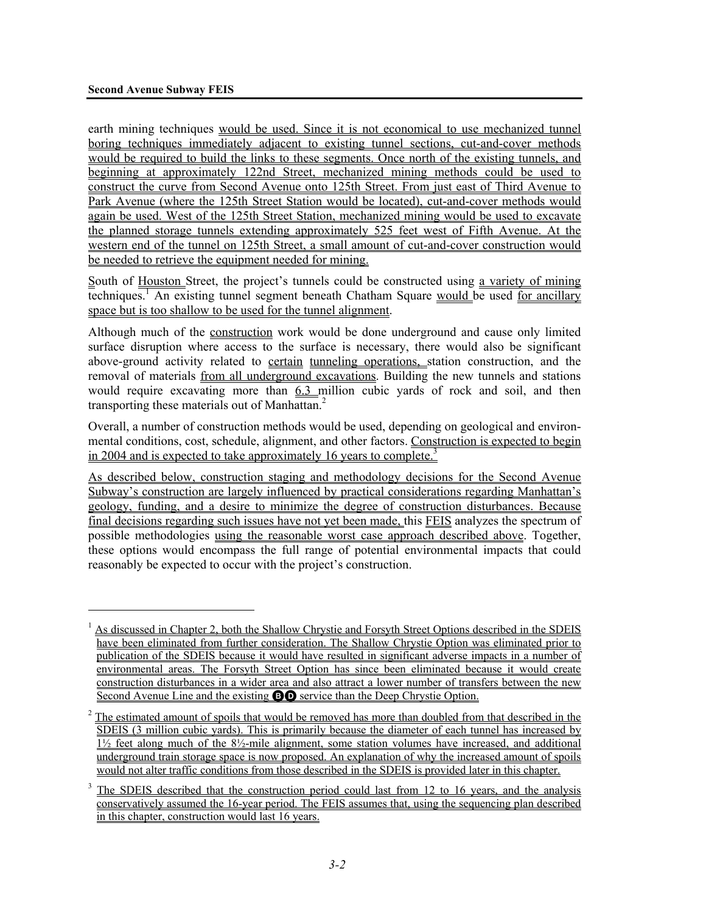1

earth mining techniques would be used. Since it is not economical to use mechanized tunnel boring techniques immediately adjacent to existing tunnel sections, cut-and-cover methods would be required to build the links to these segments. Once north of the existing tunnels, and beginning at approximately 122nd Street, mechanized mining methods could be used to construct the curve from Second Avenue onto 125th Street. From just east of Third Avenue to Park Avenue (where the 125th Street Station would be located), cut-and-cover methods would again be used. West of the 125th Street Station, mechanized mining would be used to excavate the planned storage tunnels extending approximately 525 feet west of Fifth Avenue. At the western end of the tunnel on 125th Street, a small amount of cut-and-cover construction would be needed to retrieve the equipment needed for mining.

South of Houston Street, the project's tunnels could be constructed using a variety of mining techniques.<sup>1</sup> An existing tunnel segment beneath Chatham Square would be used for ancillary space but is too shallow to be used for the tunnel alignment.

Although much of the construction work would be done underground and cause only limited surface disruption where access to the surface is necessary, there would also be significant above-ground activity related to certain tunneling operations, station construction, and the removal of materials from all underground excavations. Building the new tunnels and stations would require excavating more than 6.3 million cubic yards of rock and soil, and then transporting these materials out of Manhattan.<sup>2</sup>

Overall, a number of construction methods would be used, depending on geological and environmental conditions, cost, schedule, alignment, and other factors. Construction is expected to begin in 2004 and is expected to take approximately 16 years to complete.<sup>3</sup>

As described below, construction staging and methodology decisions for the Second Avenue Subway's construction are largely influenced by practical considerations regarding Manhattan's geology, funding, and a desire to minimize the degree of construction disturbances. Because final decisions regarding such issues have not yet been made, this FEIS analyzes the spectrum of possible methodologies using the reasonable worst case approach described above. Together, these options would encompass the full range of potential environmental impacts that could reasonably be expected to occur with the project's construction.

<sup>&</sup>lt;sup>1</sup> As discussed in Chapter 2, both the Shallow Chrystie and Forsyth Street Options described in the SDEIS have been eliminated from further consideration. The Shallow Chrystie Option was eliminated prior to publication of the SDEIS because it would have resulted in significant adverse impacts in a number of environmental areas. The Forsyth Street Option has since been eliminated because it would create construction disturbances in a wider area and also attract a lower number of transfers between the new Second Avenue Line and the existing **BO** service than the Deep Chrystie Option.

 $2^2$  The estimated amount of spoils that would be removed has more than doubled from that described in the SDEIS (3 million cubic yards). This is primarily because the diameter of each tunnel has increased by  $1\frac{1}{2}$  feet along much of the 8 $\frac{1}{2}$ -mile alignment, some station volumes have increased, and additional underground train storage space is now proposed. An explanation of why the increased amount of spoils would not alter traffic conditions from those described in the SDEIS is provided later in this chapter.

<sup>3</sup> The SDEIS described that the construction period could last from 12 to 16 years, and the analysis conservatively assumed the 16-year period. The FEIS assumes that, using the sequencing plan described in this chapter, construction would last 16 years.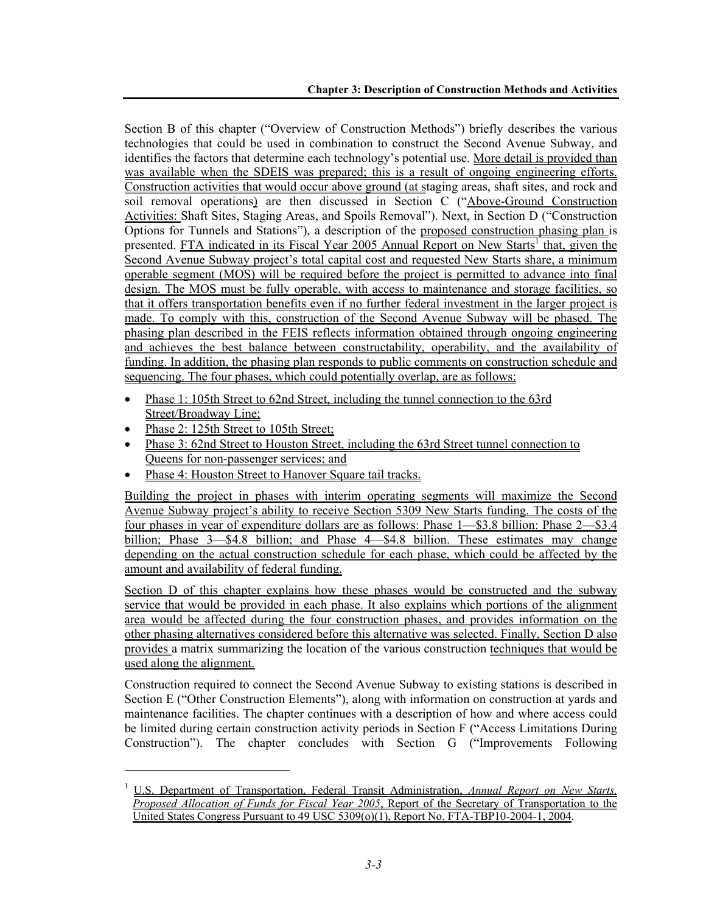Section B of this chapter ("Overview of Construction Methods") briefly describes the various technologies that could be used in combination to construct the Second Avenue Subway, and identifies the factors that determine each technology's potential use. More detail is provided than was available when the SDEIS was prepared; this is a result of ongoing engineering efforts. Construction activities that would occur above ground (at staging areas, shaft sites, and rock and soil removal operations) are then discussed in Section C ("Above-Ground Construction Activities: Shaft Sites, Staging Areas, and Spoils Removal"). Next, in Section D ("Construction Options for Tunnels and Stations"), a description of the proposed construction phasing plan is presented. FTA indicated in its Fiscal Year 2005 Annual Report on New Starts<sup>1</sup> that, given the Second Avenue Subway project's total capital cost and requested New Starts share, a minimum operable segment (MOS) will be required before the project is permitted to advance into final design. The MOS must be fully operable, with access to maintenance and storage facilities, so that it offers transportation benefits even if no further federal investment in the larger project is made. To comply with this, construction of the Second Avenue Subway will be phased. The phasing plan described in the FEIS reflects information obtained through ongoing engineering and achieves the best balance between constructability, operability, and the availability of funding. In addition, the phasing plan responds to public comments on construction schedule and sequencing. The four phases, which could potentially overlap, are as follows:

- Phase 1: 105th Street to 62nd Street, including the tunnel connection to the 63rd Street/Broadway Line;
- Phase 2: 125th Street to 105th Street;

l

- Phase 3: 62nd Street to Houston Street, including the 63rd Street tunnel connection to Queens for non-passenger services; and
- Phase 4: Houston Street to Hanover Square tail tracks.

Building the project in phases with interim operating segments will maximize the Second Avenue Subway project's ability to receive Section 5309 New Starts funding. The costs of the four phases in year of expenditure dollars are as follows: Phase 1—\$3.8 billion: Phase 2—\$3.4 billion; Phase 3—\$4.8 billion; and Phase 4—\$4.8 billion. These estimates may change depending on the actual construction schedule for each phase, which could be affected by the amount and availability of federal funding.

Section D of this chapter explains how these phases would be constructed and the subway service that would be provided in each phase. It also explains which portions of the alignment area would be affected during the four construction phases, and provides information on the other phasing alternatives considered before this alternative was selected. Finally, Section D also provides a matrix summarizing the location of the various construction techniques that would be used along the alignment.

Construction required to connect the Second Avenue Subway to existing stations is described in Section E ("Other Construction Elements"), along with information on construction at yards and maintenance facilities. The chapter continues with a description of how and where access could be limited during certain construction activity periods in Section F ("Access Limitations During Construction"). The chapter concludes with Section G ("Improvements Following

<sup>1</sup> U.S. Department of Transportation, Federal Transit Administration, *Annual Report on New Starts, Proposed Allocation of Funds for Fiscal Year 2005*, Report of the Secretary of Transportation to the United States Congress Pursuant to 49 USC 5309(o)(1), Report No. FTA-TBP10-2004-1, 2004.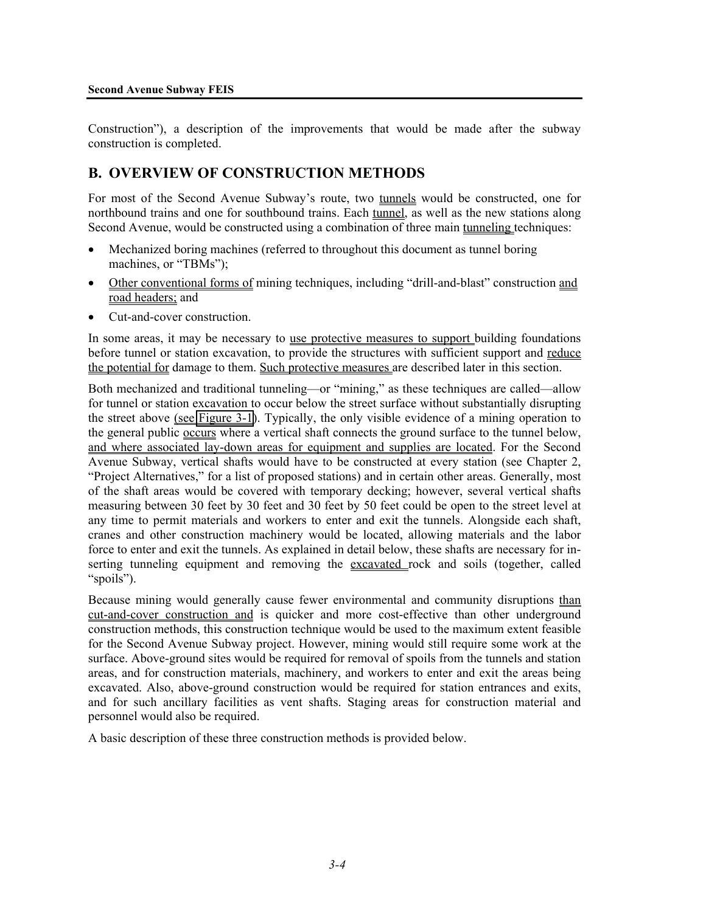Construction"), a description of the improvements that would be made after the subway construction is completed.

# **B. OVERVIEW OF CONSTRUCTION METHODS**

For most of the Second Avenue Subway's route, two tunnels would be constructed, one for northbound trains and one for southbound trains. Each tunnel, as well as the new stations along Second Avenue, would be constructed using a combination of three main tunneling techniques:

- Mechanized boring machines (referred to throughout this document as tunnel boring machines, or "TBMs");
- Other conventional forms of mining techniques, including "drill-and-blast" construction and road headers; and
- Cut-and-cover construction.

In some areas, it may be necessary to use protective measures to support building foundations before tunnel or station excavation, to provide the structures with sufficient support and reduce the potential for damage to them. Such protective measures are described later in this section.

Both mechanized and traditional tunneling—or "mining," as these techniques are called—allow for tunnel or station excavation to occur below the street surface without substantially disrupting the street above (see Figure 3-1). Typically, the only visible evidence of a mining operation to the general public occurs where a vertical shaft connects the ground surface to the tunnel below, and where associated lay-down areas for equipment and supplies are located. For the Second Avenue Subway, vertical shafts would have to be constructed at every station (see Chapter 2, "Project Alternatives," for a list of proposed stations) and in certain other areas. Generally, most of the shaft areas would be covered with temporary decking; however, several vertical shafts measuring between 30 feet by 30 feet and 30 feet by 50 feet could be open to the street level at any time to permit materials and workers to enter and exit the tunnels. Alongside each shaft, cranes and other construction machinery would be located, allowing materials and the labor force to enter and exit the tunnels. As explained in detail below, these shafts are necessary for inserting tunneling equipment and removing the excavated rock and soils (together, called "spoils").

Because mining would generally cause fewer environmental and community disruptions than cut-and-cover construction and is quicker and more cost-effective than other underground construction methods, this construction technique would be used to the maximum extent feasible for the Second Avenue Subway project. However, mining would still require some work at the surface. Above-ground sites would be required for removal of spoils from the tunnels and station areas, and for construction materials, machinery, and workers to enter and exit the areas being excavated. Also, above-ground construction would be required for station entrances and exits, and for such ancillary facilities as vent shafts. Staging areas for construction material and personnel would also be required.

A basic description of these three construction methods is provided below.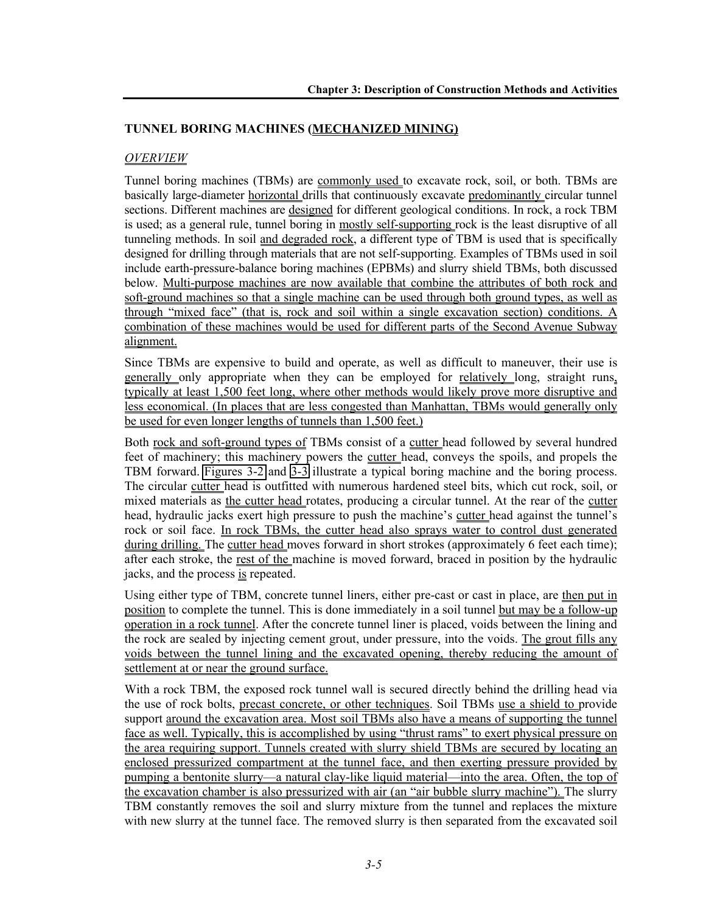## **TUNNEL BORING MACHINES (MECHANIZED MINING)**

### *OVERVIEW*

Tunnel boring machines (TBMs) are commonly used to excavate rock, soil, or both. TBMs are basically large-diameter horizontal drills that continuously excavate predominantly circular tunnel sections. Different machines are designed for different geological conditions. In rock, a rock TBM is used; as a general rule, tunnel boring in mostly self-supporting rock is the least disruptive of all tunneling methods. In soil and degraded rock, a different type of TBM is used that is specifically designed for drilling through materials that are not self-supporting. Examples of TBMs used in soil include earth-pressure-balance boring machines (EPBMs) and slurry shield TBMs, both discussed below. Multi-purpose machines are now available that combine the attributes of both rock and soft-ground machines so that a single machine can be used through both ground types, as well as through "mixed face" (that is, rock and soil within a single excavation section) conditions. A combination of these machines would be used for different parts of the Second Avenue Subway alignment.

Since TBMs are expensive to build and operate, as well as difficult to maneuver, their use is generally only appropriate when they can be employed for relatively long, straight runs, typically at least 1,500 feet long, where other methods would likely prove more disruptive and less economical. (In places that are less congested than Manhattan, TBMs would generally only be used for even longer lengths of tunnels than 1,500 feet.)

Both rock and soft-ground types of TBMs consist of a cutter head followed by several hundred feet of machinery; this machinery powers the cutter head, conveys the spoils, and propels the TBM forward. Figures 3-2 and 3-3 illustrate a typical boring machine and the boring process. The circular cutter head is outfitted with numerous hardened steel bits, which cut rock, soil, or mixed materials as the cutter head rotates, producing a circular tunnel. At the rear of the cutter head, hydraulic jacks exert high pressure to push the machine's cutter head against the tunnel's rock or soil face. In rock TBMs, the cutter head also sprays water to control dust generated during drilling. The cutter head moves forward in short strokes (approximately 6 feet each time); after each stroke, the rest of the machine is moved forward, braced in position by the hydraulic jacks, and the process is repeated.

Using either type of TBM, concrete tunnel liners, either pre-cast or cast in place, are then put in position to complete the tunnel. This is done immediately in a soil tunnel but may be a follow-up operation in a rock tunnel. After the concrete tunnel liner is placed, voids between the lining and the rock are sealed by injecting cement grout, under pressure, into the voids. The grout fills any voids between the tunnel lining and the excavated opening, thereby reducing the amount of settlement at or near the ground surface.

With a rock TBM, the exposed rock tunnel wall is secured directly behind the drilling head via the use of rock bolts, precast concrete, or other techniques. Soil TBMs use a shield to provide support around the excavation area. Most soil TBMs also have a means of supporting the tunnel face as well. Typically, this is accomplished by using "thrust rams" to exert physical pressure on the area requiring support. Tunnels created with slurry shield TBMs are secured by locating an enclosed pressurized compartment at the tunnel face, and then exerting pressure provided by pumping a bentonite slurry—a natural clay-like liquid material—into the area. Often, the top of the excavation chamber is also pressurized with air (an "air bubble slurry machine"). The slurry TBM constantly removes the soil and slurry mixture from the tunnel and replaces the mixture with new slurry at the tunnel face. The removed slurry is then separated from the excavated soil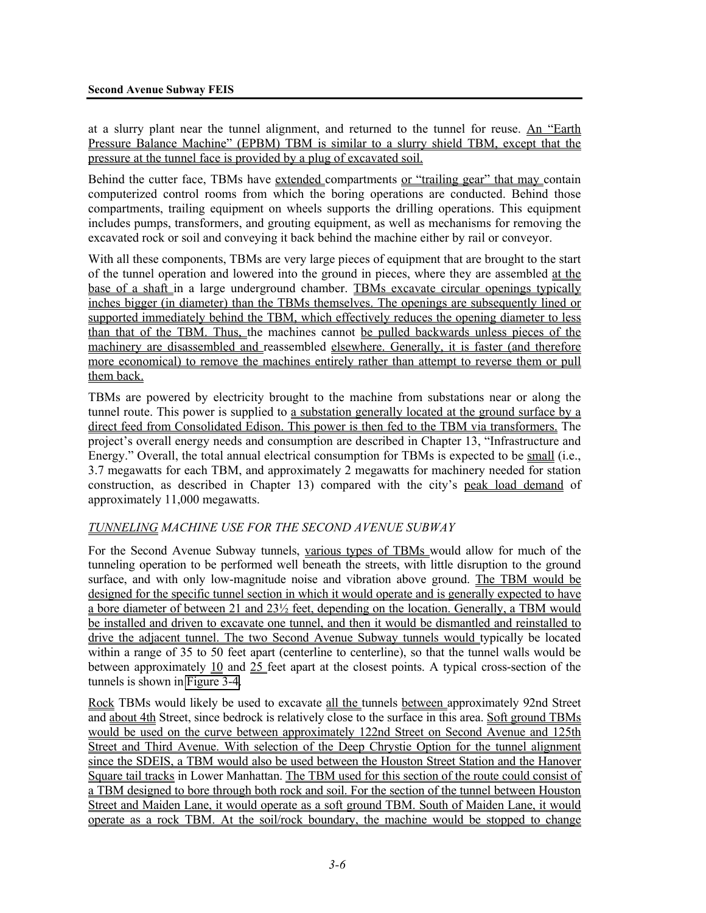at a slurry plant near the tunnel alignment, and returned to the tunnel for reuse. An "Earth Pressure Balance Machine" (EPBM) TBM is similar to a slurry shield TBM, except that the pressure at the tunnel face is provided by a plug of excavated soil.

Behind the cutter face, TBMs have extended compartments or "trailing gear" that may contain computerized control rooms from which the boring operations are conducted. Behind those compartments, trailing equipment on wheels supports the drilling operations. This equipment includes pumps, transformers, and grouting equipment, as well as mechanisms for removing the excavated rock or soil and conveying it back behind the machine either by rail or conveyor.

With all these components, TBMs are very large pieces of equipment that are brought to the start of the tunnel operation and lowered into the ground in pieces, where they are assembled at the base of a shaft in a large underground chamber. TBMs excavate circular openings typically inches bigger (in diameter) than the TBMs themselves. The openings are subsequently lined or supported immediately behind the TBM, which effectively reduces the opening diameter to less than that of the TBM. Thus, the machines cannot be pulled backwards unless pieces of the machinery are disassembled and reassembled elsewhere. Generally, it is faster (and therefore more economical) to remove the machines entirely rather than attempt to reverse them or pull them back.

TBMs are powered by electricity brought to the machine from substations near or along the tunnel route. This power is supplied to a substation generally located at the ground surface by a direct feed from Consolidated Edison. This power is then fed to the TBM via transformers. The project's overall energy needs and consumption are described in Chapter 13, "Infrastructure and Energy." Overall, the total annual electrical consumption for TBMs is expected to be small (i.e., 3.7 megawatts for each TBM, and approximately 2 megawatts for machinery needed for station construction, as described in Chapter 13) compared with the city's peak load demand of approximately 11,000 megawatts.

# *TUNNELING MACHINE USE FOR THE SECOND AVENUE SUBWAY*

For the Second Avenue Subway tunnels, various types of TBMs would allow for much of the tunneling operation to be performed well beneath the streets, with little disruption to the ground surface, and with only low-magnitude noise and vibration above ground. The TBM would be designed for the specific tunnel section in which it would operate and is generally expected to have a bore diameter of between 21 and 23½ feet, depending on the location. Generally, a TBM would be installed and driven to excavate one tunnel, and then it would be dismantled and reinstalled to drive the adjacent tunnel. The two Second Avenue Subway tunnels would typically be located within a range of 35 to 50 feet apart (centerline to centerline), so that the tunnel walls would be between approximately 10 and 25 feet apart at the closest points. A typical cross-section of the tunnels is shown in Figure 3-4.

Rock TBMs would likely be used to excavate all the tunnels between approximately 92nd Street and about 4th Street, since bedrock is relatively close to the surface in this area. Soft ground TBMs would be used on the curve between approximately 122nd Street on Second Avenue and 125th Street and Third Avenue. With selection of the Deep Chrystie Option for the tunnel alignment since the SDEIS, a TBM would also be used between the Houston Street Station and the Hanover Square tail tracks in Lower Manhattan. The TBM used for this section of the route could consist of a TBM designed to bore through both rock and soil. For the section of the tunnel between Houston Street and Maiden Lane, it would operate as a soft ground TBM. South of Maiden Lane, it would operate as a rock TBM. At the soil/rock boundary, the machine would be stopped to change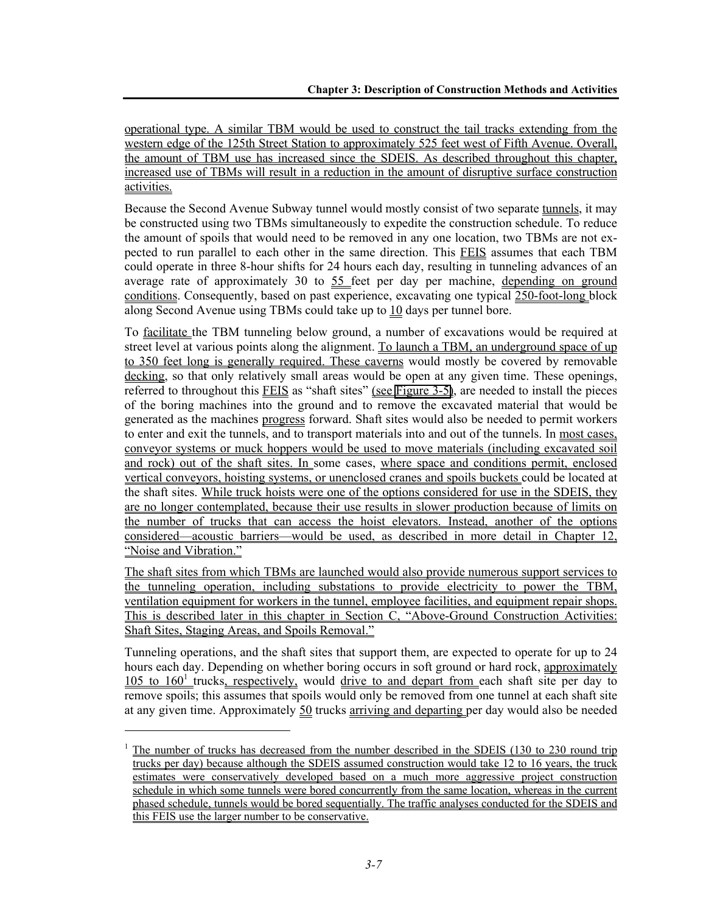operational type. A similar TBM would be used to construct the tail tracks extending from the western edge of the 125th Street Station to approximately 525 feet west of Fifth Avenue. Overall, the amount of TBM use has increased since the SDEIS. As described throughout this chapter, increased use of TBMs will result in a reduction in the amount of disruptive surface construction activities.

Because the Second Avenue Subway tunnel would mostly consist of two separate tunnels, it may be constructed using two TBMs simultaneously to expedite the construction schedule. To reduce the amount of spoils that would need to be removed in any one location, two TBMs are not expected to run parallel to each other in the same direction. This FEIS assumes that each TBM could operate in three 8-hour shifts for 24 hours each day, resulting in tunneling advances of an average rate of approximately 30 to 55 feet per day per machine, depending on ground conditions. Consequently, based on past experience, excavating one typical 250-foot-long block along Second Avenue using TBMs could take up to 10 days per tunnel bore.

To facilitate the TBM tunneling below ground, a number of excavations would be required at street level at various points along the alignment. To launch a TBM, an underground space of up to 350 feet long is generally required. These caverns would mostly be covered by removable decking, so that only relatively small areas would be open at any given time. These openings, referred to throughout this **FEIS** as "shaft sites" (see Figure 3-5), are needed to install the pieces of the boring machines into the ground and to remove the excavated material that would be generated as the machines progress forward. Shaft sites would also be needed to permit workers to enter and exit the tunnels, and to transport materials into and out of the tunnels. In most cases, conveyor systems or muck hoppers would be used to move materials (including excavated soil and rock) out of the shaft sites. In some cases, where space and conditions permit, enclosed vertical conveyors, hoisting systems, or unenclosed cranes and spoils buckets could be located at the shaft sites. While truck hoists were one of the options considered for use in the SDEIS, they are no longer contemplated, because their use results in slower production because of limits on the number of trucks that can access the hoist elevators. Instead, another of the options considered—acoustic barriers—would be used, as described in more detail in Chapter 12, "Noise and Vibration."

The shaft sites from which TBMs are launched would also provide numerous support services to the tunneling operation, including substations to provide electricity to power the TBM, ventilation equipment for workers in the tunnel, employee facilities, and equipment repair shops. This is described later in this chapter in Section C, "Above-Ground Construction Activities: Shaft Sites, Staging Areas, and Spoils Removal."

Tunneling operations, and the shaft sites that support them, are expected to operate for up to 24 hours each day. Depending on whether boring occurs in soft ground or hard rock, approximately  $105$  to  $160<sup>1</sup>$  trucks, respectively, would drive to and depart from each shaft site per day to remove spoils; this assumes that spoils would only be removed from one tunnel at each shaft site at any given time. Approximately 50 trucks arriving and departing per day would also be needed

l

<sup>1</sup> The number of trucks has decreased from the number described in the SDEIS (130 to 230 round trip trucks per day) because although the SDEIS assumed construction would take 12 to 16 years, the truck estimates were conservatively developed based on a much more aggressive project construction schedule in which some tunnels were bored concurrently from the same location, whereas in the current phased schedule, tunnels would be bored sequentially. The traffic analyses conducted for the SDEIS and this FEIS use the larger number to be conservative.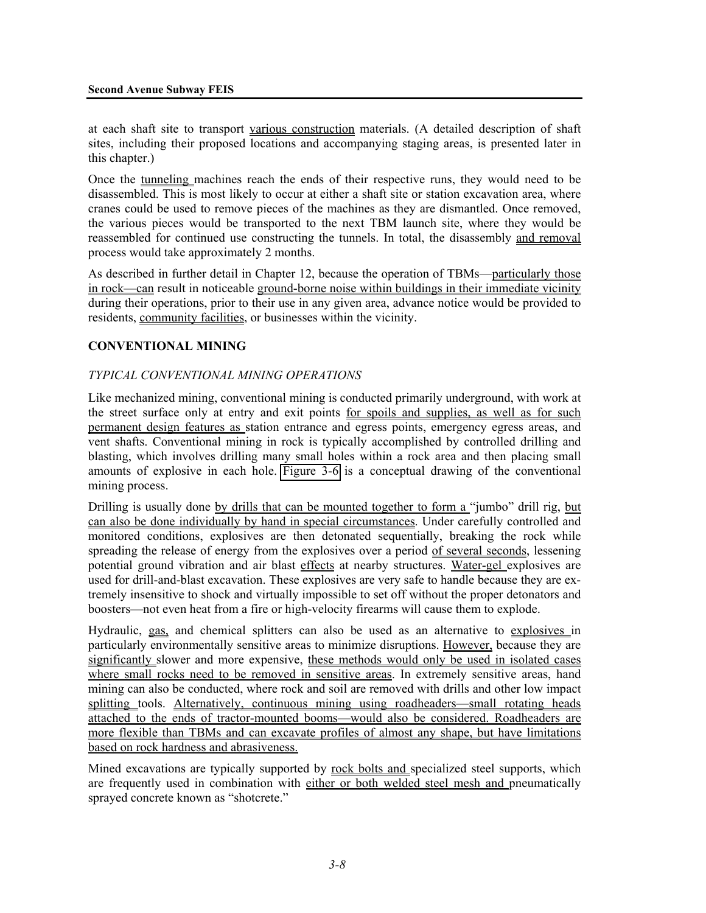at each shaft site to transport various construction materials. (A detailed description of shaft sites, including their proposed locations and accompanying staging areas, is presented later in this chapter.)

Once the tunneling machines reach the ends of their respective runs, they would need to be disassembled. This is most likely to occur at either a shaft site or station excavation area, where cranes could be used to remove pieces of the machines as they are dismantled. Once removed, the various pieces would be transported to the next TBM launch site, where they would be reassembled for continued use constructing the tunnels. In total, the disassembly and removal process would take approximately 2 months.

As described in further detail in Chapter 12, because the operation of TBMs—particularly those in rock—can result in noticeable ground-borne noise within buildings in their immediate vicinity during their operations, prior to their use in any given area, advance notice would be provided to residents, community facilities, or businesses within the vicinity.

# **CONVENTIONAL MINING**

### *TYPICAL CONVENTIONAL MINING OPERATIONS*

Like mechanized mining, conventional mining is conducted primarily underground, with work at the street surface only at entry and exit points for spoils and supplies, as well as for such permanent design features as station entrance and egress points, emergency egress areas, and vent shafts. Conventional mining in rock is typically accomplished by controlled drilling and blasting, which involves drilling many small holes within a rock area and then placing small amounts of explosive in each hole. Figure 3-6 is a conceptual drawing of the conventional mining process.

Drilling is usually done by drills that can be mounted together to form a "jumbo" drill rig, but can also be done individually by hand in special circumstances. Under carefully controlled and monitored conditions, explosives are then detonated sequentially, breaking the rock while spreading the release of energy from the explosives over a period of several seconds, lessening potential ground vibration and air blast effects at nearby structures. Water-gel explosives are used for drill-and-blast excavation. These explosives are very safe to handle because they are extremely insensitive to shock and virtually impossible to set off without the proper detonators and boosters—not even heat from a fire or high-velocity firearms will cause them to explode.

Hydraulic, gas, and chemical splitters can also be used as an alternative to explosives in particularly environmentally sensitive areas to minimize disruptions. However, because they are significantly slower and more expensive, these methods would only be used in isolated cases where small rocks need to be removed in sensitive areas. In extremely sensitive areas, hand mining can also be conducted, where rock and soil are removed with drills and other low impact splitting tools. Alternatively, continuous mining using roadheaders—small rotating heads attached to the ends of tractor-mounted booms—would also be considered. Roadheaders are more flexible than TBMs and can excavate profiles of almost any shape, but have limitations based on rock hardness and abrasiveness.

Mined excavations are typically supported by rock bolts and specialized steel supports, which are frequently used in combination with either or both welded steel mesh and pneumatically sprayed concrete known as "shotcrete."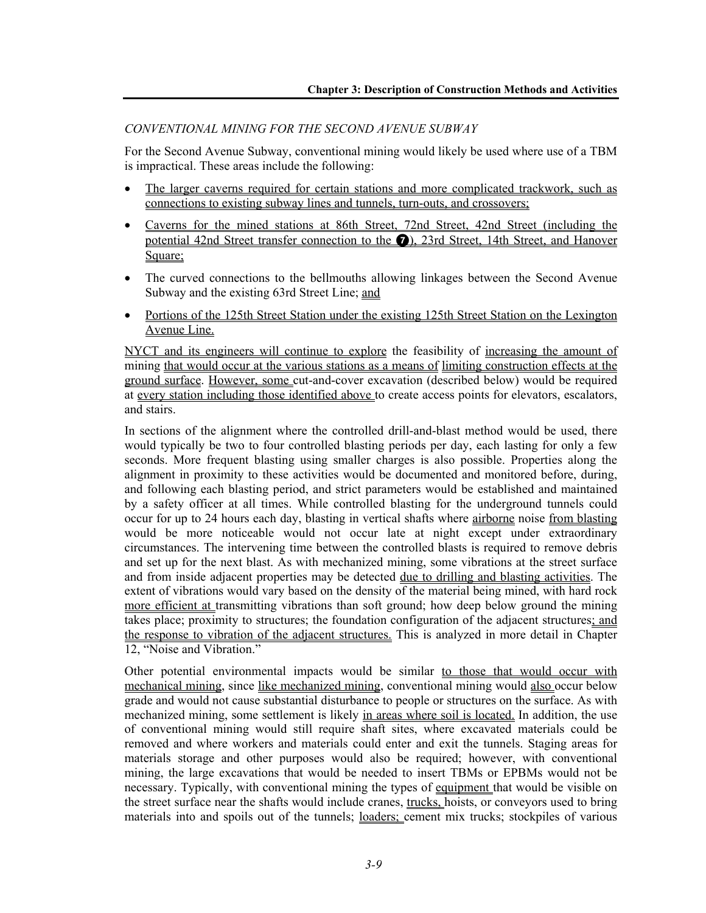## *CONVENTIONAL MINING FOR THE SECOND AVENUE SUBWAY*

For the Second Avenue Subway, conventional mining would likely be used where use of a TBM is impractical. These areas include the following:

- The larger caverns required for certain stations and more complicated trackwork, such as connections to existing subway lines and tunnels, turn-outs, and crossovers;
- Caverns for the mined stations at 86th Street, 72nd Street, 42nd Street (including the potential 42nd Street transfer connection to the 7), 23rd Street, 14th Street, and Hanover Square;
- The curved connections to the bellmouths allowing linkages between the Second Avenue Subway and the existing 63rd Street Line; and
- Portions of the 125th Street Station under the existing 125th Street Station on the Lexington Avenue Line.

NYCT and its engineers will continue to explore the feasibility of increasing the amount of mining that would occur at the various stations as a means of limiting construction effects at the ground surface. However, some cut-and-cover excavation (described below) would be required at every station including those identified above to create access points for elevators, escalators, and stairs.

In sections of the alignment where the controlled drill-and-blast method would be used, there would typically be two to four controlled blasting periods per day, each lasting for only a few seconds. More frequent blasting using smaller charges is also possible. Properties along the alignment in proximity to these activities would be documented and monitored before, during, and following each blasting period, and strict parameters would be established and maintained by a safety officer at all times. While controlled blasting for the underground tunnels could occur for up to 24 hours each day, blasting in vertical shafts where airborne noise from blasting would be more noticeable would not occur late at night except under extraordinary circumstances. The intervening time between the controlled blasts is required to remove debris and set up for the next blast. As with mechanized mining, some vibrations at the street surface and from inside adjacent properties may be detected due to drilling and blasting activities. The extent of vibrations would vary based on the density of the material being mined, with hard rock more efficient at transmitting vibrations than soft ground; how deep below ground the mining takes place; proximity to structures; the foundation configuration of the adjacent structures; and the response to vibration of the adjacent structures. This is analyzed in more detail in Chapter 12, "Noise and Vibration."

Other potential environmental impacts would be similar to those that would occur with mechanical mining, since like mechanized mining, conventional mining would also occur below grade and would not cause substantial disturbance to people or structures on the surface. As with mechanized mining, some settlement is likely in areas where soil is located. In addition, the use of conventional mining would still require shaft sites, where excavated materials could be removed and where workers and materials could enter and exit the tunnels. Staging areas for materials storage and other purposes would also be required; however, with conventional mining, the large excavations that would be needed to insert TBMs or EPBMs would not be necessary. Typically, with conventional mining the types of equipment that would be visible on the street surface near the shafts would include cranes, trucks, hoists, or conveyors used to bring materials into and spoils out of the tunnels; loaders; cement mix trucks; stockpiles of various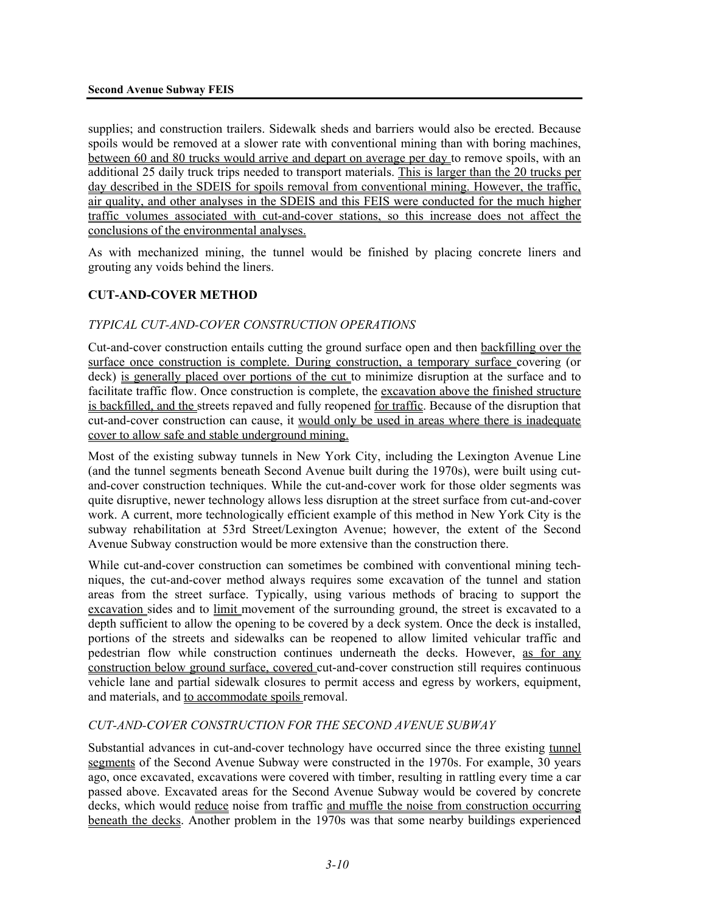supplies; and construction trailers. Sidewalk sheds and barriers would also be erected. Because spoils would be removed at a slower rate with conventional mining than with boring machines, between 60 and 80 trucks would arrive and depart on average per day to remove spoils, with an additional 25 daily truck trips needed to transport materials. This is larger than the 20 trucks per day described in the SDEIS for spoils removal from conventional mining. However, the traffic, air quality, and other analyses in the SDEIS and this FEIS were conducted for the much higher traffic volumes associated with cut-and-cover stations, so this increase does not affect the conclusions of the environmental analyses.

As with mechanized mining, the tunnel would be finished by placing concrete liners and grouting any voids behind the liners.

# **CUT-AND-COVER METHOD**

# *TYPICAL CUT-AND-COVER CONSTRUCTION OPERATIONS*

Cut-and-cover construction entails cutting the ground surface open and then backfilling over the surface once construction is complete. During construction, a temporary surface covering (or deck) is generally placed over portions of the cut to minimize disruption at the surface and to facilitate traffic flow. Once construction is complete, the excavation above the finished structure is backfilled, and the streets repaved and fully reopened for traffic. Because of the disruption that cut-and-cover construction can cause, it would only be used in areas where there is inadequate cover to allow safe and stable underground mining.

Most of the existing subway tunnels in New York City, including the Lexington Avenue Line (and the tunnel segments beneath Second Avenue built during the 1970s), were built using cutand-cover construction techniques. While the cut-and-cover work for those older segments was quite disruptive, newer technology allows less disruption at the street surface from cut-and-cover work. A current, more technologically efficient example of this method in New York City is the subway rehabilitation at 53rd Street/Lexington Avenue; however, the extent of the Second Avenue Subway construction would be more extensive than the construction there.

While cut-and-cover construction can sometimes be combined with conventional mining techniques, the cut-and-cover method always requires some excavation of the tunnel and station areas from the street surface. Typically, using various methods of bracing to support the excavation sides and to limit movement of the surrounding ground, the street is excavated to a depth sufficient to allow the opening to be covered by a deck system. Once the deck is installed, portions of the streets and sidewalks can be reopened to allow limited vehicular traffic and pedestrian flow while construction continues underneath the decks. However, as for any construction below ground surface, covered cut-and-cover construction still requires continuous vehicle lane and partial sidewalk closures to permit access and egress by workers, equipment, and materials, and to accommodate spoils removal.

#### *CUT-AND-COVER CONSTRUCTION FOR THE SECOND AVENUE SUBWAY*

Substantial advances in cut-and-cover technology have occurred since the three existing tunnel segments of the Second Avenue Subway were constructed in the 1970s. For example, 30 years ago, once excavated, excavations were covered with timber, resulting in rattling every time a car passed above. Excavated areas for the Second Avenue Subway would be covered by concrete decks, which would reduce noise from traffic and muffle the noise from construction occurring beneath the decks. Another problem in the 1970s was that some nearby buildings experienced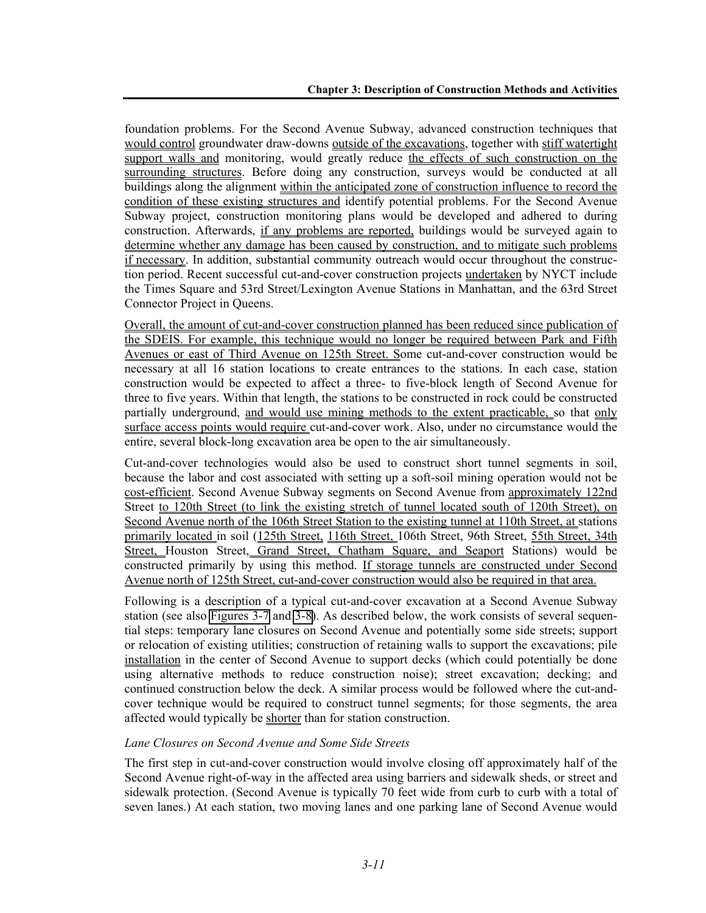foundation problems. For the Second Avenue Subway, advanced construction techniques that would control groundwater draw-downs outside of the excavations, together with stiff watertight support walls and monitoring, would greatly reduce the effects of such construction on the surrounding structures. Before doing any construction, surveys would be conducted at all buildings along the alignment within the anticipated zone of construction influence to record the condition of these existing structures and identify potential problems. For the Second Avenue Subway project, construction monitoring plans would be developed and adhered to during construction. Afterwards, if any problems are reported, buildings would be surveyed again to determine whether any damage has been caused by construction, and to mitigate such problems if necessary. In addition, substantial community outreach would occur throughout the construction period. Recent successful cut-and-cover construction projects undertaken by NYCT include the Times Square and 53rd Street/Lexington Avenue Stations in Manhattan, and the 63rd Street Connector Project in Queens.

Overall, the amount of cut-and-cover construction planned has been reduced since publication of the SDEIS. For example, this technique would no longer be required between Park and Fifth Avenues or east of Third Avenue on 125th Street. Some cut-and-cover construction would be necessary at all 16 station locations to create entrances to the stations. In each case, station construction would be expected to affect a three- to five-block length of Second Avenue for three to five years. Within that length, the stations to be constructed in rock could be constructed partially underground, and would use mining methods to the extent practicable, so that only surface access points would require cut-and-cover work. Also, under no circumstance would the entire, several block-long excavation area be open to the air simultaneously.

Cut-and-cover technologies would also be used to construct short tunnel segments in soil, because the labor and cost associated with setting up a soft-soil mining operation would not be cost-efficient. Second Avenue Subway segments on Second Avenue from approximately 122nd Street to 120th Street (to link the existing stretch of tunnel located south of 120th Street), on Second Avenue north of the 106th Street Station to the existing tunnel at 110th Street, at stations primarily located in soil (125th Street, 116th Street, 106th Street, 96th Street, 55th Street, 34th Street, Houston Street, Grand Street, Chatham Square, and Seaport Stations) would be constructed primarily by using this method. If storage tunnels are constructed under Second Avenue north of 125th Street, cut-and-cover construction would also be required in that area.

Following is a description of a typical cut-and-cover excavation at a Second Avenue Subway station (see also Figures 3-7 and 3-8). As described below, the work consists of several sequential steps: temporary lane closures on Second Avenue and potentially some side streets; support or relocation of existing utilities; construction of retaining walls to support the excavations; pile installation in the center of Second Avenue to support decks (which could potentially be done using alternative methods to reduce construction noise); street excavation; decking; and continued construction below the deck. A similar process would be followed where the cut-andcover technique would be required to construct tunnel segments; for those segments, the area affected would typically be shorter than for station construction.

#### *Lane Closures on Second Avenue and Some Side Streets*

The first step in cut-and-cover construction would involve closing off approximately half of the Second Avenue right-of-way in the affected area using barriers and sidewalk sheds, or street and sidewalk protection. (Second Avenue is typically 70 feet wide from curb to curb with a total of seven lanes.) At each station, two moving lanes and one parking lane of Second Avenue would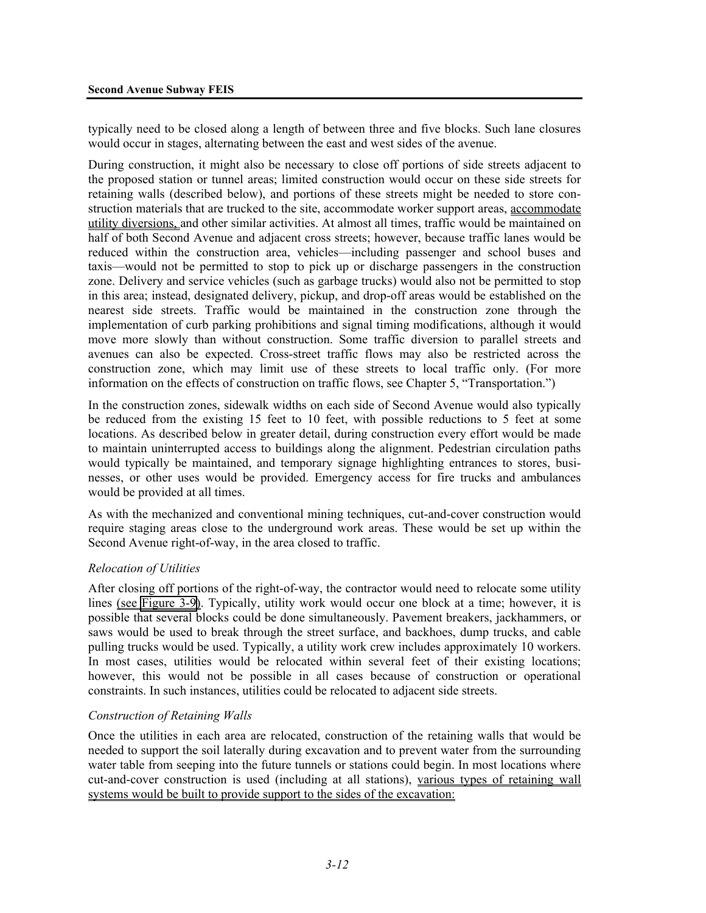typically need to be closed along a length of between three and five blocks. Such lane closures would occur in stages, alternating between the east and west sides of the avenue.

During construction, it might also be necessary to close off portions of side streets adjacent to the proposed station or tunnel areas; limited construction would occur on these side streets for retaining walls (described below), and portions of these streets might be needed to store construction materials that are trucked to the site, accommodate worker support areas, accommodate utility diversions, and other similar activities. At almost all times, traffic would be maintained on half of both Second Avenue and adjacent cross streets; however, because traffic lanes would be reduced within the construction area, vehicles—including passenger and school buses and taxis—would not be permitted to stop to pick up or discharge passengers in the construction zone. Delivery and service vehicles (such as garbage trucks) would also not be permitted to stop in this area; instead, designated delivery, pickup, and drop-off areas would be established on the nearest side streets. Traffic would be maintained in the construction zone through the implementation of curb parking prohibitions and signal timing modifications, although it would move more slowly than without construction. Some traffic diversion to parallel streets and avenues can also be expected. Cross-street traffic flows may also be restricted across the construction zone, which may limit use of these streets to local traffic only. (For more information on the effects of construction on traffic flows, see Chapter 5, "Transportation.")

In the construction zones, sidewalk widths on each side of Second Avenue would also typically be reduced from the existing 15 feet to 10 feet, with possible reductions to 5 feet at some locations. As described below in greater detail, during construction every effort would be made to maintain uninterrupted access to buildings along the alignment. Pedestrian circulation paths would typically be maintained, and temporary signage highlighting entrances to stores, businesses, or other uses would be provided. Emergency access for fire trucks and ambulances would be provided at all times.

As with the mechanized and conventional mining techniques, cut-and-cover construction would require staging areas close to the underground work areas. These would be set up within the Second Avenue right-of-way, in the area closed to traffic.

#### *Relocation of Utilities*

After closing off portions of the right-of-way, the contractor would need to relocate some utility lines (see Figure 3-9). Typically, utility work would occur one block at a time; however, it is possible that several blocks could be done simultaneously. Pavement breakers, jackhammers, or saws would be used to break through the street surface, and backhoes, dump trucks, and cable pulling trucks would be used. Typically, a utility work crew includes approximately 10 workers. In most cases, utilities would be relocated within several feet of their existing locations; however, this would not be possible in all cases because of construction or operational constraints. In such instances, utilities could be relocated to adjacent side streets.

#### *Construction of Retaining Walls*

Once the utilities in each area are relocated, construction of the retaining walls that would be needed to support the soil laterally during excavation and to prevent water from the surrounding water table from seeping into the future tunnels or stations could begin. In most locations where cut-and-cover construction is used (including at all stations), various types of retaining wall systems would be built to provide support to the sides of the excavation: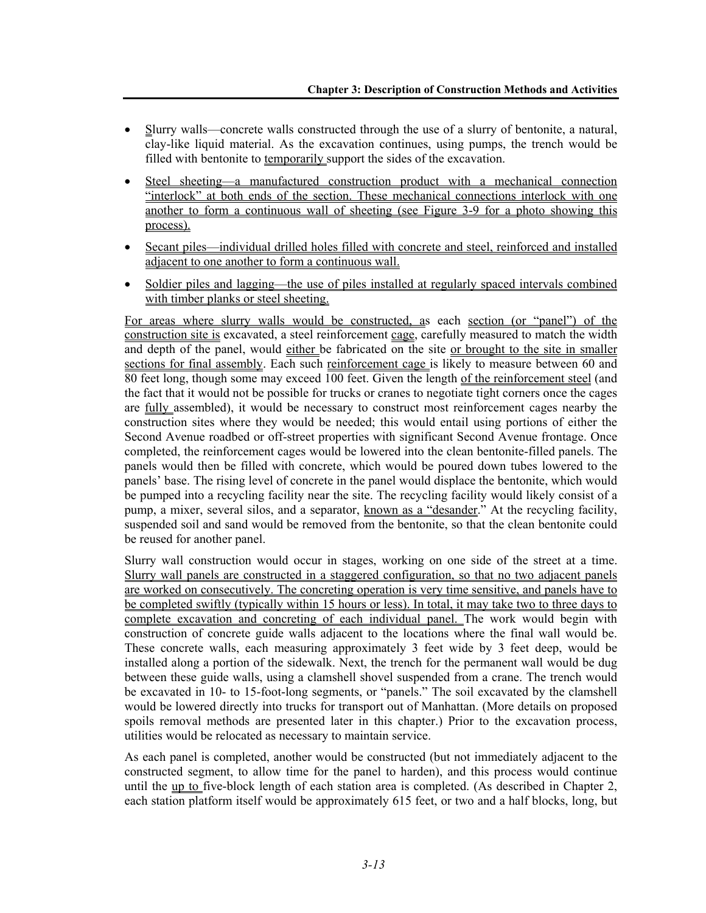- Slurry walls—concrete walls constructed through the use of a slurry of bentonite, a natural, clay-like liquid material. As the excavation continues, using pumps, the trench would be filled with bentonite to temporarily support the sides of the excavation.
- Steel sheeting—a manufactured construction product with a mechanical connection "interlock" at both ends of the section. These mechanical connections interlock with one another to form a continuous wall of sheeting (see Figure 3-9 for a photo showing this process).
- Secant piles—individual drilled holes filled with concrete and steel, reinforced and installed adjacent to one another to form a continuous wall.
- Soldier piles and lagging—the use of piles installed at regularly spaced intervals combined with timber planks or steel sheeting.

For areas where slurry walls would be constructed, as each section (or "panel") of the construction site is excavated, a steel reinforcement cage, carefully measured to match the width and depth of the panel, would either be fabricated on the site or brought to the site in smaller sections for final assembly. Each such reinforcement cage is likely to measure between 60 and 80 feet long, though some may exceed 100 feet. Given the length of the reinforcement steel (and the fact that it would not be possible for trucks or cranes to negotiate tight corners once the cages are fully assembled), it would be necessary to construct most reinforcement cages nearby the construction sites where they would be needed; this would entail using portions of either the Second Avenue roadbed or off-street properties with significant Second Avenue frontage. Once completed, the reinforcement cages would be lowered into the clean bentonite-filled panels. The panels would then be filled with concrete, which would be poured down tubes lowered to the panels' base. The rising level of concrete in the panel would displace the bentonite, which would be pumped into a recycling facility near the site. The recycling facility would likely consist of a pump, a mixer, several silos, and a separator, known as a "desander." At the recycling facility, suspended soil and sand would be removed from the bentonite, so that the clean bentonite could be reused for another panel.

Slurry wall construction would occur in stages, working on one side of the street at a time. Slurry wall panels are constructed in a staggered configuration, so that no two adjacent panels are worked on consecutively. The concreting operation is very time sensitive, and panels have to be completed swiftly (typically within 15 hours or less). In total, it may take two to three days to complete excavation and concreting of each individual panel. The work would begin with construction of concrete guide walls adjacent to the locations where the final wall would be. These concrete walls, each measuring approximately 3 feet wide by 3 feet deep, would be installed along a portion of the sidewalk. Next, the trench for the permanent wall would be dug between these guide walls, using a clamshell shovel suspended from a crane. The trench would be excavated in 10- to 15-foot-long segments, or "panels." The soil excavated by the clamshell would be lowered directly into trucks for transport out of Manhattan. (More details on proposed spoils removal methods are presented later in this chapter.) Prior to the excavation process, utilities would be relocated as necessary to maintain service.

As each panel is completed, another would be constructed (but not immediately adjacent to the constructed segment, to allow time for the panel to harden), and this process would continue until the up to five-block length of each station area is completed. (As described in Chapter 2, each station platform itself would be approximately 615 feet, or two and a half blocks, long, but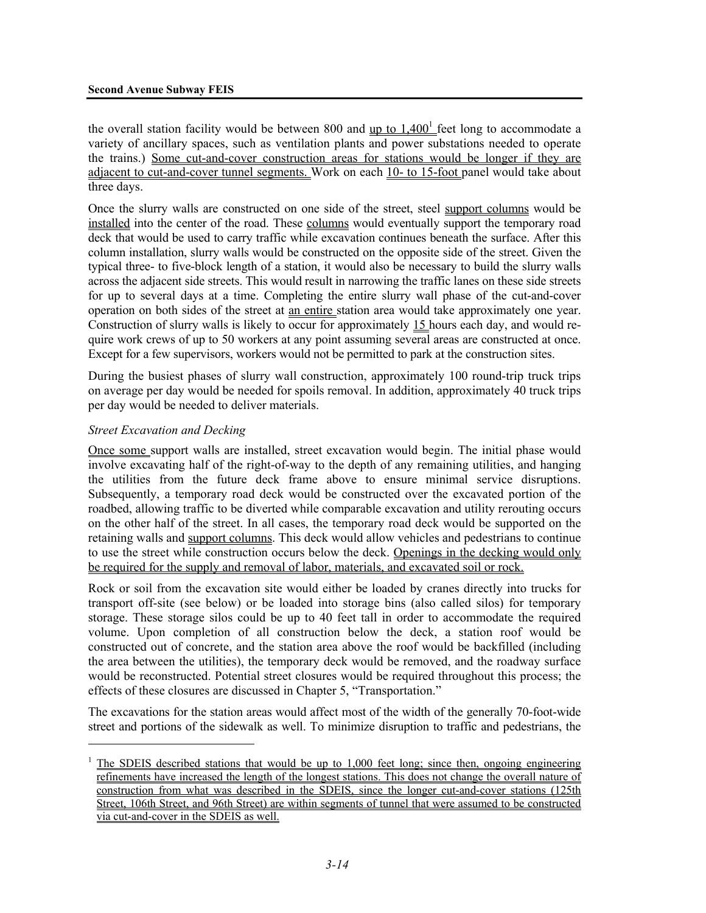#### **Second Avenue Subway FEIS**

the overall station facility would be between 800 and up to  $1,400<sup>1</sup>$  feet long to accommodate a variety of ancillary spaces, such as ventilation plants and power substations needed to operate the trains.) Some cut-and-cover construction areas for stations would be longer if they are adjacent to cut-and-cover tunnel segments. Work on each 10- to 15-foot panel would take about three days.

Once the slurry walls are constructed on one side of the street, steel support columns would be installed into the center of the road. These columns would eventually support the temporary road deck that would be used to carry traffic while excavation continues beneath the surface. After this column installation, slurry walls would be constructed on the opposite side of the street. Given the typical three- to five-block length of a station, it would also be necessary to build the slurry walls across the adjacent side streets. This would result in narrowing the traffic lanes on these side streets for up to several days at a time. Completing the entire slurry wall phase of the cut-and-cover operation on both sides of the street at an entire station area would take approximately one year. Construction of slurry walls is likely to occur for approximately 15 hours each day, and would require work crews of up to 50 workers at any point assuming several areas are constructed at once. Except for a few supervisors, workers would not be permitted to park at the construction sites.

During the busiest phases of slurry wall construction, approximately 100 round-trip truck trips on average per day would be needed for spoils removal. In addition, approximately 40 truck trips per day would be needed to deliver materials.

#### *Street Excavation and Decking*

1

Once some support walls are installed, street excavation would begin. The initial phase would involve excavating half of the right-of-way to the depth of any remaining utilities, and hanging the utilities from the future deck frame above to ensure minimal service disruptions. Subsequently, a temporary road deck would be constructed over the excavated portion of the roadbed, allowing traffic to be diverted while comparable excavation and utility rerouting occurs on the other half of the street. In all cases, the temporary road deck would be supported on the retaining walls and support columns. This deck would allow vehicles and pedestrians to continue to use the street while construction occurs below the deck. Openings in the decking would only be required for the supply and removal of labor, materials, and excavated soil or rock.

Rock or soil from the excavation site would either be loaded by cranes directly into trucks for transport off-site (see below) or be loaded into storage bins (also called silos) for temporary storage. These storage silos could be up to 40 feet tall in order to accommodate the required volume. Upon completion of all construction below the deck, a station roof would be constructed out of concrete, and the station area above the roof would be backfilled (including the area between the utilities), the temporary deck would be removed, and the roadway surface would be reconstructed. Potential street closures would be required throughout this process; the effects of these closures are discussed in Chapter 5, "Transportation."

The excavations for the station areas would affect most of the width of the generally 70-foot-wide street and portions of the sidewalk as well. To minimize disruption to traffic and pedestrians, the

<sup>1</sup> The SDEIS described stations that would be up to 1,000 feet long; since then, ongoing engineering refinements have increased the length of the longest stations. This does not change the overall nature of construction from what was described in the SDEIS, since the longer cut-and-cover stations (125th Street, 106th Street, and 96th Street) are within segments of tunnel that were assumed to be constructed via cut-and-cover in the SDEIS as well.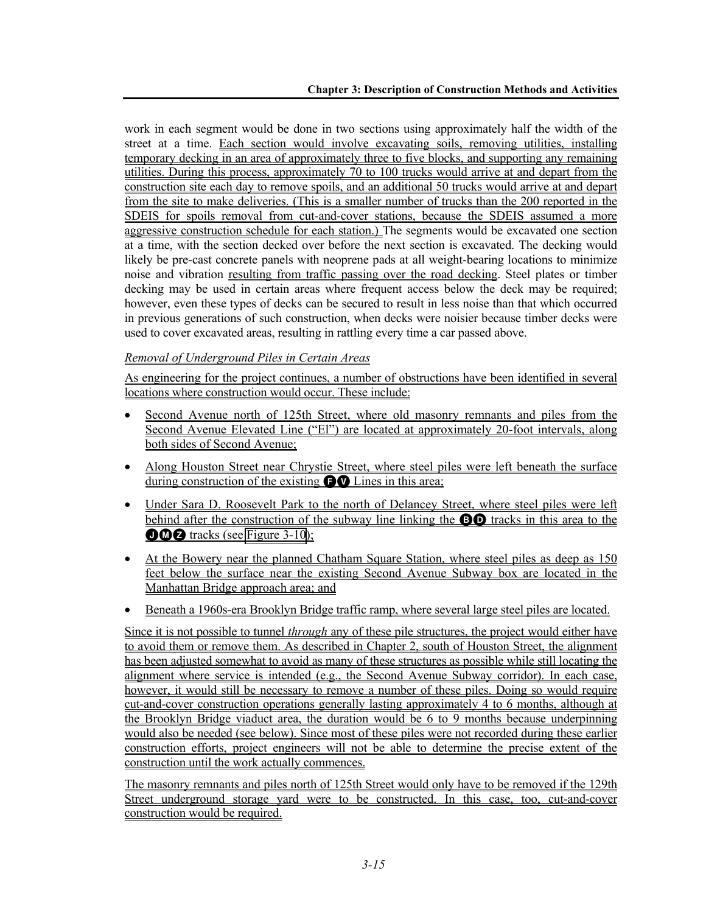work in each segment would be done in two sections using approximately half the width of the street at a time. Each section would involve excavating soils, removing utilities, installing temporary decking in an area of approximately three to five blocks, and supporting any remaining utilities. During this process, approximately 70 to 100 trucks would arrive at and depart from the construction site each day to remove spoils, and an additional 50 trucks would arrive at and depart from the site to make deliveries. (This is a smaller number of trucks than the 200 reported in the SDEIS for spoils removal from cut-and-cover stations, because the SDEIS assumed a more aggressive construction schedule for each station.) The segments would be excavated one section at a time, with the section decked over before the next section is excavated. The decking would likely be pre-cast concrete panels with neoprene pads at all weight-bearing locations to minimize noise and vibration resulting from traffic passing over the road decking. Steel plates or timber decking may be used in certain areas where frequent access below the deck may be required; however, even these types of decks can be secured to result in less noise than that which occurred in previous generations of such construction, when decks were noisier because timber decks were used to cover excavated areas, resulting in rattling every time a car passed above.

# *Removal of Underground Piles in Certain Areas*

As engineering for the project continues, a number of obstructions have been identified in several locations where construction would occur. These include:

- Second Avenue north of 125th Street, where old masonry remnants and piles from the Second Avenue Elevated Line ("El") are located at approximately 20-foot intervals, along both sides of Second Avenue;
- Along Houston Street near Chrystie Street, where steel piles were left beneath the surface during construction of the existing  $\bigcirc$  Lines in this area;
- Under Sara D. Roosevelt Park to the north of Delancey Street, where steel piles were left behind after the construction of the subway line linking the **BD** tracks in this area to the  $\bigcirc$   $\bigcirc$  tracks (see Figure 3-10);
- At the Bowery near the planned Chatham Square Station, where steel piles as deep as 150 feet below the surface near the existing Second Avenue Subway box are located in the Manhattan Bridge approach area; and
- Beneath a 1960s-era Brooklyn Bridge traffic ramp, where several large steel piles are located.

Since it is not possible to tunnel *through* any of these pile structures, the project would either have to avoid them or remove them. As described in Chapter 2, south of Houston Street, the alignment has been adjusted somewhat to avoid as many of these structures as possible while still locating the alignment where service is intended (e.g., the Second Avenue Subway corridor). In each case, however, it would still be necessary to remove a number of these piles. Doing so would require cut-and-cover construction operations generally lasting approximately 4 to 6 months, although at the Brooklyn Bridge viaduct area, the duration would be 6 to 9 months because underpinning would also be needed (see below). Since most of these piles were not recorded during these earlier construction efforts, project engineers will not be able to determine the precise extent of the construction until the work actually commences.

The masonry remnants and piles north of 125th Street would only have to be removed if the 129th Street underground storage yard were to be constructed. In this case, too, cut-and-cover construction would be required.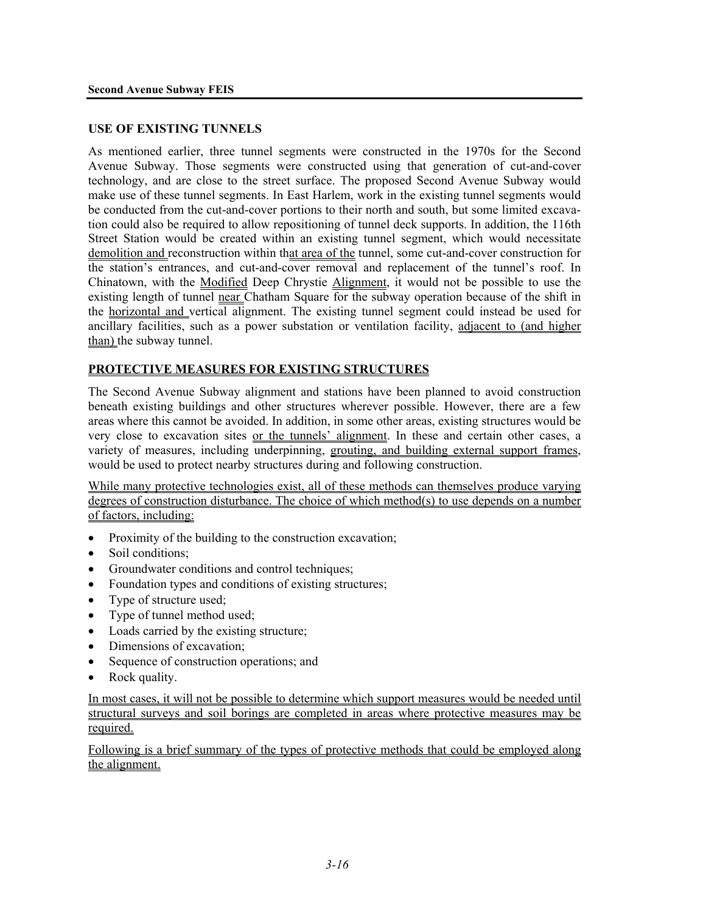#### **USE OF EXISTING TUNNELS**

As mentioned earlier, three tunnel segments were constructed in the 1970s for the Second Avenue Subway. Those segments were constructed using that generation of cut-and-cover technology, and are close to the street surface. The proposed Second Avenue Subway would make use of these tunnel segments. In East Harlem, work in the existing tunnel segments would be conducted from the cut-and-cover portions to their north and south, but some limited excavation could also be required to allow repositioning of tunnel deck supports. In addition, the 116th Street Station would be created within an existing tunnel segment, which would necessitate demolition and reconstruction within that area of the tunnel, some cut-and-cover construction for the station's entrances, and cut-and-cover removal and replacement of the tunnel's roof. In Chinatown, with the Modified Deep Chrystie Alignment, it would not be possible to use the existing length of tunnel near Chatham Square for the subway operation because of the shift in the horizontal and vertical alignment. The existing tunnel segment could instead be used for ancillary facilities, such as a power substation or ventilation facility, adjacent to (and higher than) the subway tunnel.

#### **PROTECTIVE MEASURES FOR EXISTING STRUCTURES**

The Second Avenue Subway alignment and stations have been planned to avoid construction beneath existing buildings and other structures wherever possible. However, there are a few areas where this cannot be avoided. In addition, in some other areas, existing structures would be very close to excavation sites or the tunnels' alignment. In these and certain other cases, a variety of measures, including underpinning, grouting, and building external support frames, would be used to protect nearby structures during and following construction.

While many protective technologies exist, all of these methods can themselves produce varying degrees of construction disturbance. The choice of which method(s) to use depends on a number of factors, including:

- Proximity of the building to the construction excavation;
- Soil conditions:
- Groundwater conditions and control techniques;
- Foundation types and conditions of existing structures;
- Type of structure used;
- Type of tunnel method used;
- Loads carried by the existing structure;
- Dimensions of excavation;
- Sequence of construction operations; and
- Rock quality.

In most cases, it will not be possible to determine which support measures would be needed until structural surveys and soil borings are completed in areas where protective measures may be required.

Following is a brief summary of the types of protective methods that could be employed along the alignment.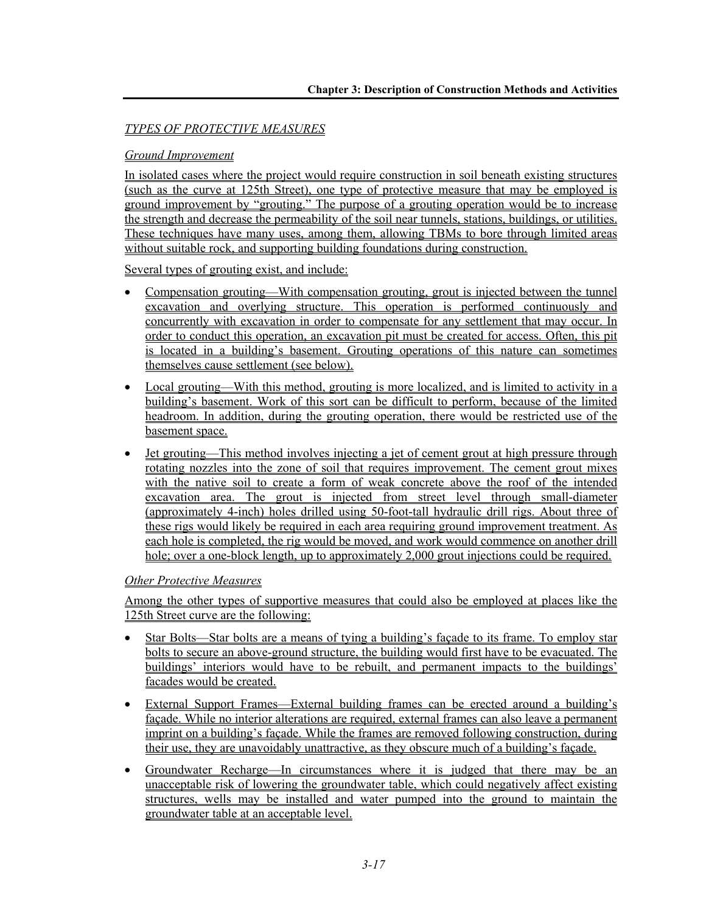# *TYPES OF PROTECTIVE MEASURES*

### *Ground Improvement*

In isolated cases where the project would require construction in soil beneath existing structures (such as the curve at 125th Street), one type of protective measure that may be employed is ground improvement by "grouting." The purpose of a grouting operation would be to increase the strength and decrease the permeability of the soil near tunnels, stations, buildings, or utilities. These techniques have many uses, among them, allowing TBMs to bore through limited areas without suitable rock, and supporting building foundations during construction.

Several types of grouting exist, and include:

- Compensation grouting—With compensation grouting, grout is injected between the tunnel excavation and overlying structure. This operation is performed continuously and concurrently with excavation in order to compensate for any settlement that may occur. In order to conduct this operation, an excavation pit must be created for access. Often, this pit is located in a building's basement. Grouting operations of this nature can sometimes themselves cause settlement (see below).
- Local grouting—With this method, grouting is more localized, and is limited to activity in a building's basement. Work of this sort can be difficult to perform, because of the limited headroom. In addition, during the grouting operation, there would be restricted use of the basement space.
- Jet grouting—This method involves injecting a jet of cement grout at high pressure through rotating nozzles into the zone of soil that requires improvement. The cement grout mixes with the native soil to create a form of weak concrete above the roof of the intended excavation area. The grout is injected from street level through small-diameter (approximately 4-inch) holes drilled using 50-foot-tall hydraulic drill rigs. About three of these rigs would likely be required in each area requiring ground improvement treatment. As each hole is completed, the rig would be moved, and work would commence on another drill hole; over a one-block length, up to approximately 2,000 grout injections could be required.

#### *Other Protective Measures*

Among the other types of supportive measures that could also be employed at places like the 125th Street curve are the following:

- Star Bolts—Star bolts are a means of tying a building's facade to its frame. To employ star bolts to secure an above-ground structure, the building would first have to be evacuated. The buildings' interiors would have to be rebuilt, and permanent impacts to the buildings' facades would be created.
- External Support Frames—External building frames can be erected around a building's façade. While no interior alterations are required, external frames can also leave a permanent imprint on a building's façade. While the frames are removed following construction, during their use, they are unavoidably unattractive, as they obscure much of a building's façade.
- Groundwater Recharge—In circumstances where it is judged that there may be an unacceptable risk of lowering the groundwater table, which could negatively affect existing structures, wells may be installed and water pumped into the ground to maintain the groundwater table at an acceptable level.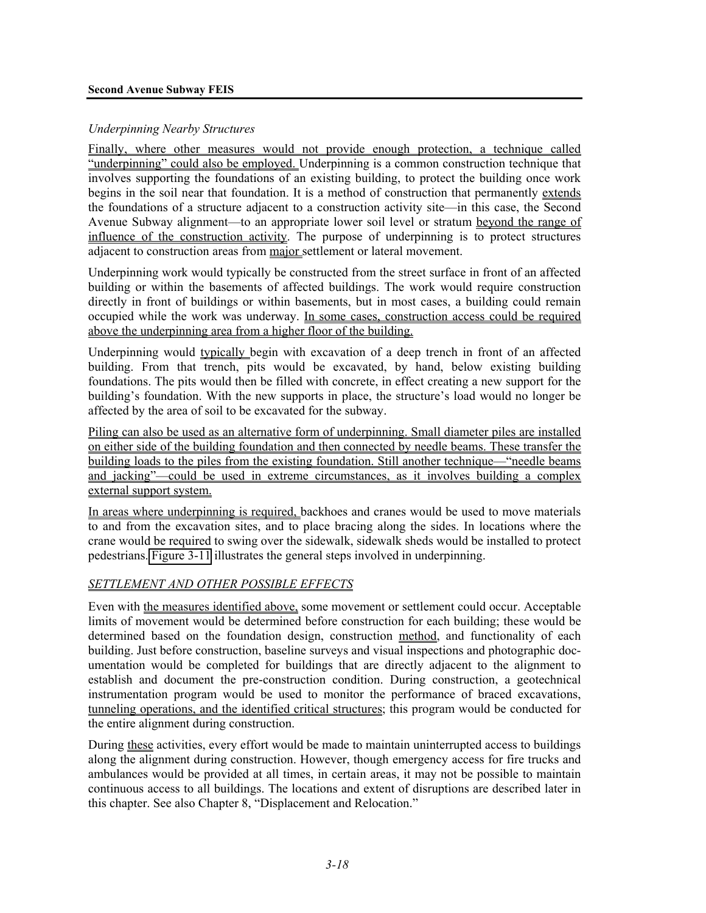## *Underpinning Nearby Structures*

Finally, where other measures would not provide enough protection, a technique called "underpinning" could also be employed. Underpinning is a common construction technique that involves supporting the foundations of an existing building, to protect the building once work begins in the soil near that foundation. It is a method of construction that permanently extends the foundations of a structure adjacent to a construction activity site—in this case, the Second Avenue Subway alignment—to an appropriate lower soil level or stratum beyond the range of influence of the construction activity. The purpose of underpinning is to protect structures adjacent to construction areas from major settlement or lateral movement.

Underpinning work would typically be constructed from the street surface in front of an affected building or within the basements of affected buildings. The work would require construction directly in front of buildings or within basements, but in most cases, a building could remain occupied while the work was underway. In some cases, construction access could be required above the underpinning area from a higher floor of the building.

Underpinning would typically begin with excavation of a deep trench in front of an affected building. From that trench, pits would be excavated, by hand, below existing building foundations. The pits would then be filled with concrete, in effect creating a new support for the building's foundation. With the new supports in place, the structure's load would no longer be affected by the area of soil to be excavated for the subway.

Piling can also be used as an alternative form of underpinning. Small diameter piles are installed on either side of the building foundation and then connected by needle beams. These transfer the building loads to the piles from the existing foundation. Still another technique—"needle beams and jacking"—could be used in extreme circumstances, as it involves building a complex external support system.

In areas where underpinning is required, backhoes and cranes would be used to move materials to and from the excavation sites, and to place bracing along the sides. In locations where the crane would be required to swing over the sidewalk, sidewalk sheds would be installed to protect pedestrians. Figure 3-11 illustrates the general steps involved in underpinning.

# *SETTLEMENT AND OTHER POSSIBLE EFFECTS*

Even with the measures identified above, some movement or settlement could occur. Acceptable limits of movement would be determined before construction for each building; these would be determined based on the foundation design, construction method, and functionality of each building. Just before construction, baseline surveys and visual inspections and photographic documentation would be completed for buildings that are directly adjacent to the alignment to establish and document the pre-construction condition. During construction, a geotechnical instrumentation program would be used to monitor the performance of braced excavations, tunneling operations, and the identified critical structures; this program would be conducted for the entire alignment during construction.

During these activities, every effort would be made to maintain uninterrupted access to buildings along the alignment during construction. However, though emergency access for fire trucks and ambulances would be provided at all times, in certain areas, it may not be possible to maintain continuous access to all buildings. The locations and extent of disruptions are described later in this chapter. See also Chapter 8, "Displacement and Relocation."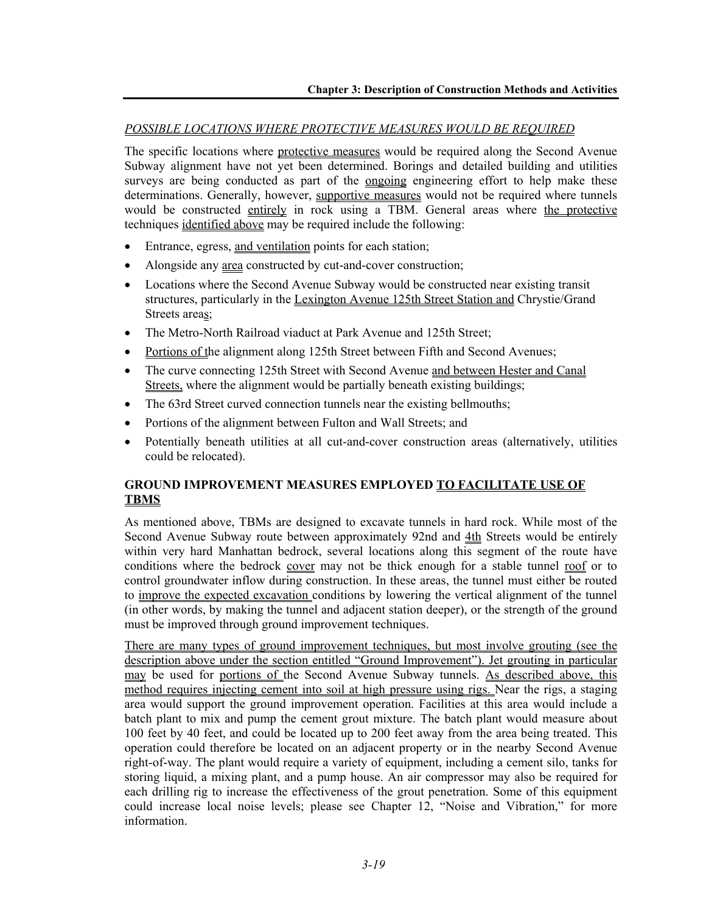## *POSSIBLE LOCATIONS WHERE PROTECTIVE MEASURES WOULD BE REQUIRED*

The specific locations where protective measures would be required along the Second Avenue Subway alignment have not yet been determined. Borings and detailed building and utilities surveys are being conducted as part of the <u>ongoing</u> engineering effort to help make these determinations. Generally, however, supportive measures would not be required where tunnels would be constructed entirely in rock using a TBM. General areas where the protective techniques identified above may be required include the following:

- Entrance, egress, and ventilation points for each station;
- Alongside any area constructed by cut-and-cover construction;
- Locations where the Second Avenue Subway would be constructed near existing transit structures, particularly in the Lexington Avenue 125th Street Station and Chrystie/Grand Streets areas;
- The Metro-North Railroad viaduct at Park Avenue and 125th Street;
- Portions of the alignment along 125th Street between Fifth and Second Avenues;
- The curve connecting 125th Street with Second Avenue and between Hester and Canal Streets, where the alignment would be partially beneath existing buildings;
- The 63rd Street curved connection tunnels near the existing bellmouths;
- Portions of the alignment between Fulton and Wall Streets; and
- Potentially beneath utilities at all cut-and-cover construction areas (alternatively, utilities could be relocated).

# **GROUND IMPROVEMENT MEASURES EMPLOYED TO FACILITATE USE OF TBMS**

As mentioned above, TBMs are designed to excavate tunnels in hard rock. While most of the Second Avenue Subway route between approximately 92nd and 4th Streets would be entirely within very hard Manhattan bedrock, several locations along this segment of the route have conditions where the bedrock cover may not be thick enough for a stable tunnel roof or to control groundwater inflow during construction. In these areas, the tunnel must either be routed to improve the expected excavation conditions by lowering the vertical alignment of the tunnel (in other words, by making the tunnel and adjacent station deeper), or the strength of the ground must be improved through ground improvement techniques.

There are many types of ground improvement techniques, but most involve grouting (see the description above under the section entitled "Ground Improvement"). Jet grouting in particular may be used for portions of the Second Avenue Subway tunnels. As described above, this method requires injecting cement into soil at high pressure using rigs. Near the rigs, a staging area would support the ground improvement operation. Facilities at this area would include a batch plant to mix and pump the cement grout mixture. The batch plant would measure about 100 feet by 40 feet, and could be located up to 200 feet away from the area being treated. This operation could therefore be located on an adjacent property or in the nearby Second Avenue right-of-way. The plant would require a variety of equipment, including a cement silo, tanks for storing liquid, a mixing plant, and a pump house. An air compressor may also be required for each drilling rig to increase the effectiveness of the grout penetration. Some of this equipment could increase local noise levels; please see Chapter 12, "Noise and Vibration," for more information.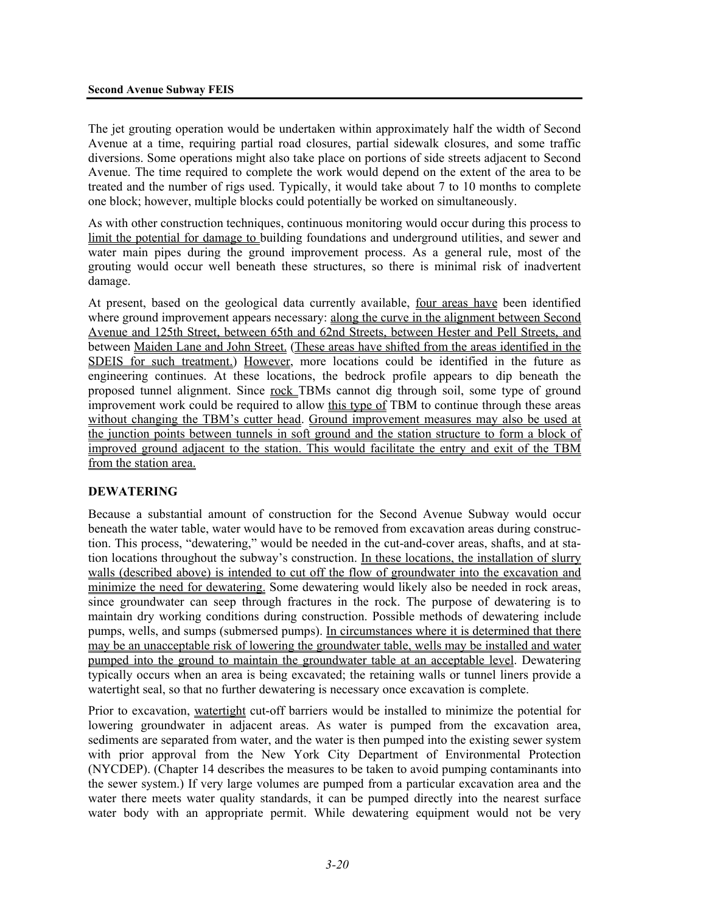The jet grouting operation would be undertaken within approximately half the width of Second Avenue at a time, requiring partial road closures, partial sidewalk closures, and some traffic diversions. Some operations might also take place on portions of side streets adjacent to Second Avenue. The time required to complete the work would depend on the extent of the area to be treated and the number of rigs used. Typically, it would take about 7 to 10 months to complete one block; however, multiple blocks could potentially be worked on simultaneously.

As with other construction techniques, continuous monitoring would occur during this process to limit the potential for damage to building foundations and underground utilities, and sewer and water main pipes during the ground improvement process. As a general rule, most of the grouting would occur well beneath these structures, so there is minimal risk of inadvertent damage.

At present, based on the geological data currently available, four areas have been identified where ground improvement appears necessary: along the curve in the alignment between Second Avenue and 125th Street, between 65th and 62nd Streets, between Hester and Pell Streets, and between Maiden Lane and John Street. (These areas have shifted from the areas identified in the SDEIS for such treatment.) However, more locations could be identified in the future as engineering continues. At these locations, the bedrock profile appears to dip beneath the proposed tunnel alignment. Since rock TBMs cannot dig through soil, some type of ground improvement work could be required to allow this type of TBM to continue through these areas without changing the TBM's cutter head. Ground improvement measures may also be used at the junction points between tunnels in soft ground and the station structure to form a block of improved ground adjacent to the station. This would facilitate the entry and exit of the TBM from the station area.

#### **DEWATERING**

Because a substantial amount of construction for the Second Avenue Subway would occur beneath the water table, water would have to be removed from excavation areas during construction. This process, "dewatering," would be needed in the cut-and-cover areas, shafts, and at station locations throughout the subway's construction. In these locations, the installation of slurry walls (described above) is intended to cut off the flow of groundwater into the excavation and minimize the need for dewatering. Some dewatering would likely also be needed in rock areas, since groundwater can seep through fractures in the rock. The purpose of dewatering is to maintain dry working conditions during construction. Possible methods of dewatering include pumps, wells, and sumps (submersed pumps). In circumstances where it is determined that there may be an unacceptable risk of lowering the groundwater table, wells may be installed and water pumped into the ground to maintain the groundwater table at an acceptable level. Dewatering typically occurs when an area is being excavated; the retaining walls or tunnel liners provide a watertight seal, so that no further dewatering is necessary once excavation is complete.

Prior to excavation, watertight cut-off barriers would be installed to minimize the potential for lowering groundwater in adjacent areas. As water is pumped from the excavation area, sediments are separated from water, and the water is then pumped into the existing sewer system with prior approval from the New York City Department of Environmental Protection (NYCDEP). (Chapter 14 describes the measures to be taken to avoid pumping contaminants into the sewer system.) If very large volumes are pumped from a particular excavation area and the water there meets water quality standards, it can be pumped directly into the nearest surface water body with an appropriate permit. While dewatering equipment would not be very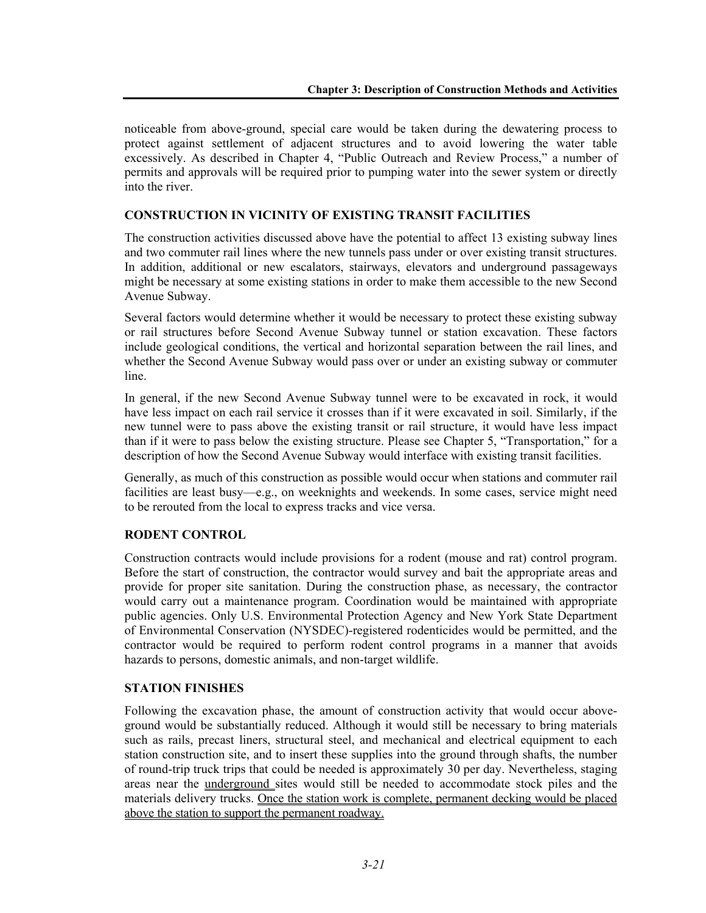noticeable from above-ground, special care would be taken during the dewatering process to protect against settlement of adjacent structures and to avoid lowering the water table excessively. As described in Chapter 4, "Public Outreach and Review Process," a number of permits and approvals will be required prior to pumping water into the sewer system or directly into the river.

# **CONSTRUCTION IN VICINITY OF EXISTING TRANSIT FACILITIES**

The construction activities discussed above have the potential to affect 13 existing subway lines and two commuter rail lines where the new tunnels pass under or over existing transit structures. In addition, additional or new escalators, stairways, elevators and underground passageways might be necessary at some existing stations in order to make them accessible to the new Second Avenue Subway.

Several factors would determine whether it would be necessary to protect these existing subway or rail structures before Second Avenue Subway tunnel or station excavation. These factors include geological conditions, the vertical and horizontal separation between the rail lines, and whether the Second Avenue Subway would pass over or under an existing subway or commuter line.

In general, if the new Second Avenue Subway tunnel were to be excavated in rock, it would have less impact on each rail service it crosses than if it were excavated in soil. Similarly, if the new tunnel were to pass above the existing transit or rail structure, it would have less impact than if it were to pass below the existing structure. Please see Chapter 5, "Transportation," for a description of how the Second Avenue Subway would interface with existing transit facilities.

Generally, as much of this construction as possible would occur when stations and commuter rail facilities are least busy—e.g., on weeknights and weekends. In some cases, service might need to be rerouted from the local to express tracks and vice versa.

# **RODENT CONTROL**

Construction contracts would include provisions for a rodent (mouse and rat) control program. Before the start of construction, the contractor would survey and bait the appropriate areas and provide for proper site sanitation. During the construction phase, as necessary, the contractor would carry out a maintenance program. Coordination would be maintained with appropriate public agencies. Only U.S. Environmental Protection Agency and New York State Department of Environmental Conservation (NYSDEC)-registered rodenticides would be permitted, and the contractor would be required to perform rodent control programs in a manner that avoids hazards to persons, domestic animals, and non-target wildlife.

#### **STATION FINISHES**

Following the excavation phase, the amount of construction activity that would occur aboveground would be substantially reduced. Although it would still be necessary to bring materials such as rails, precast liners, structural steel, and mechanical and electrical equipment to each station construction site, and to insert these supplies into the ground through shafts, the number of round-trip truck trips that could be needed is approximately 30 per day. Nevertheless, staging areas near the underground sites would still be needed to accommodate stock piles and the materials delivery trucks. Once the station work is complete, permanent decking would be placed above the station to support the permanent roadway.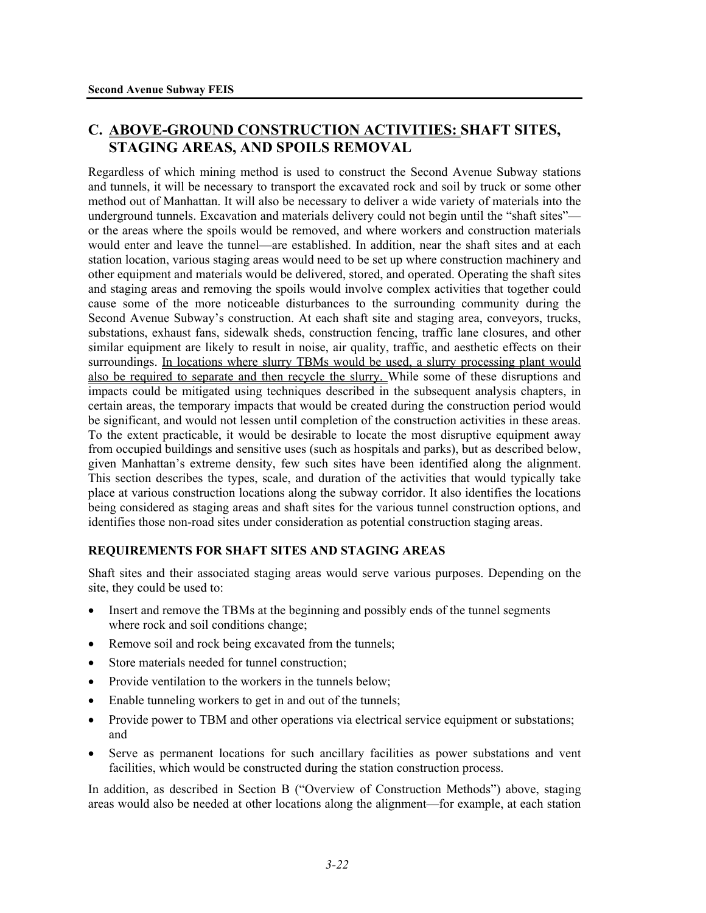# **C. ABOVE-GROUND CONSTRUCTION ACTIVITIES: SHAFT SITES, STAGING AREAS, AND SPOILS REMOVAL**

Regardless of which mining method is used to construct the Second Avenue Subway stations and tunnels, it will be necessary to transport the excavated rock and soil by truck or some other method out of Manhattan. It will also be necessary to deliver a wide variety of materials into the underground tunnels. Excavation and materials delivery could not begin until the "shaft sites" or the areas where the spoils would be removed, and where workers and construction materials would enter and leave the tunnel—are established. In addition, near the shaft sites and at each station location, various staging areas would need to be set up where construction machinery and other equipment and materials would be delivered, stored, and operated. Operating the shaft sites and staging areas and removing the spoils would involve complex activities that together could cause some of the more noticeable disturbances to the surrounding community during the Second Avenue Subway's construction. At each shaft site and staging area, conveyors, trucks, substations, exhaust fans, sidewalk sheds, construction fencing, traffic lane closures, and other similar equipment are likely to result in noise, air quality, traffic, and aesthetic effects on their surroundings. In locations where slurry TBMs would be used, a slurry processing plant would also be required to separate and then recycle the slurry. While some of these disruptions and impacts could be mitigated using techniques described in the subsequent analysis chapters, in certain areas, the temporary impacts that would be created during the construction period would be significant, and would not lessen until completion of the construction activities in these areas. To the extent practicable, it would be desirable to locate the most disruptive equipment away from occupied buildings and sensitive uses (such as hospitals and parks), but as described below, given Manhattan's extreme density, few such sites have been identified along the alignment. This section describes the types, scale, and duration of the activities that would typically take place at various construction locations along the subway corridor. It also identifies the locations being considered as staging areas and shaft sites for the various tunnel construction options, and identifies those non-road sites under consideration as potential construction staging areas.

# **REQUIREMENTS FOR SHAFT SITES AND STAGING AREAS**

Shaft sites and their associated staging areas would serve various purposes. Depending on the site, they could be used to:

- Insert and remove the TBMs at the beginning and possibly ends of the tunnel segments where rock and soil conditions change;
- Remove soil and rock being excavated from the tunnels;
- Store materials needed for tunnel construction;
- Provide ventilation to the workers in the tunnels below:
- Enable tunneling workers to get in and out of the tunnels;
- Provide power to TBM and other operations via electrical service equipment or substations; and
- Serve as permanent locations for such ancillary facilities as power substations and vent facilities, which would be constructed during the station construction process.

In addition, as described in Section B ("Overview of Construction Methods") above, staging areas would also be needed at other locations along the alignment—for example, at each station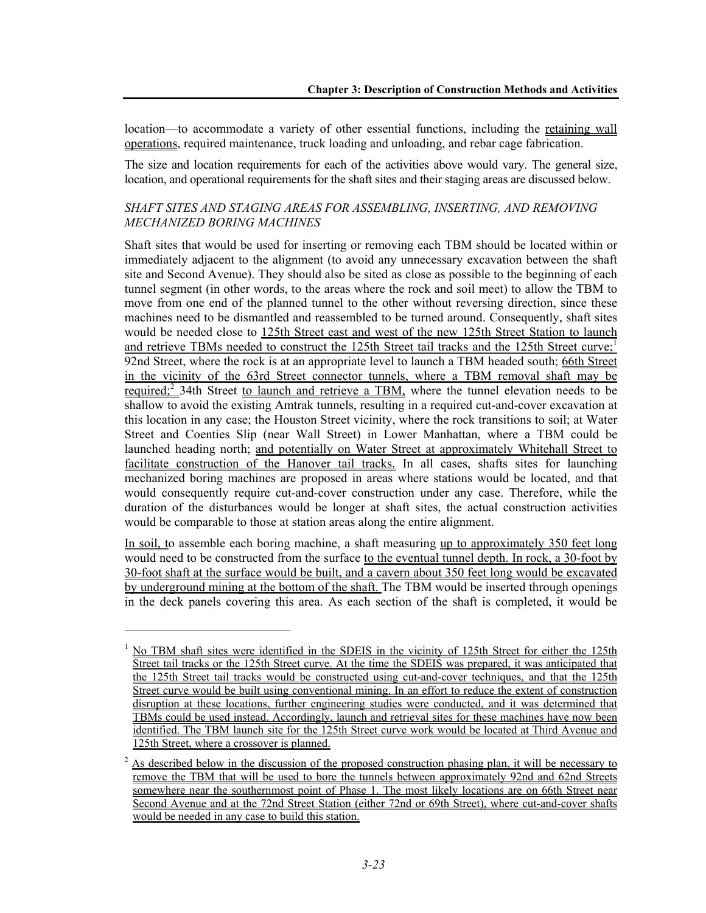location—to accommodate a variety of other essential functions, including the retaining wall operations, required maintenance, truck loading and unloading, and rebar cage fabrication.

The size and location requirements for each of the activities above would vary. The general size, location, and operational requirements for the shaft sites and their staging areas are discussed below.

#### *SHAFT SITES AND STAGING AREAS FOR ASSEMBLING, INSERTING, AND REMOVING MECHANIZED BORING MACHINES*

Shaft sites that would be used for inserting or removing each TBM should be located within or immediately adjacent to the alignment (to avoid any unnecessary excavation between the shaft site and Second Avenue). They should also be sited as close as possible to the beginning of each tunnel segment (in other words, to the areas where the rock and soil meet) to allow the TBM to move from one end of the planned tunnel to the other without reversing direction, since these machines need to be dismantled and reassembled to be turned around. Consequently, shaft sites would be needed close to 125th Street east and west of the new 125th Street Station to launch and retrieve TBMs needed to construct the 125th Street tail tracks and the 125th Street curve;<sup>1</sup> 92nd Street, where the rock is at an appropriate level to launch a TBM headed south; 66th Street in the vicinity of the 63rd Street connector tunnels, where a TBM removal shaft may be <u>required;<sup>2</sup></u> 34th Street to launch and retrieve a TBM, where the tunnel elevation needs to be shallow to avoid the existing Amtrak tunnels, resulting in a required cut-and-cover excavation at this location in any case; the Houston Street vicinity, where the rock transitions to soil; at Water Street and Coenties Slip (near Wall Street) in Lower Manhattan, where a TBM could be launched heading north; and potentially on Water Street at approximately Whitehall Street to facilitate construction of the Hanover tail tracks. In all cases, shafts sites for launching mechanized boring machines are proposed in areas where stations would be located, and that would consequently require cut-and-cover construction under any case. Therefore, while the duration of the disturbances would be longer at shaft sites, the actual construction activities would be comparable to those at station areas along the entire alignment.

In soil, to assemble each boring machine, a shaft measuring up to approximately 350 feet long would need to be constructed from the surface to the eventual tunnel depth. In rock, a 30-foot by 30-foot shaft at the surface would be built, and a cavern about 350 feet long would be excavated by underground mining at the bottom of the shaft. The TBM would be inserted through openings in the deck panels covering this area. As each section of the shaft is completed, it would be

1

<sup>1</sup> No TBM shaft sites were identified in the SDEIS in the vicinity of 125th Street for either the 125th Street tail tracks or the 125th Street curve. At the time the SDEIS was prepared, it was anticipated that the 125th Street tail tracks would be constructed using cut-and-cover techniques, and that the 125th Street curve would be built using conventional mining. In an effort to reduce the extent of construction disruption at these locations, further engineering studies were conducted, and it was determined that TBMs could be used instead. Accordingly, launch and retrieval sites for these machines have now been identified. The TBM launch site for the 125th Street curve work would be located at Third Avenue and 125th Street, where a crossover is planned.

 $2 \text{ As described below in the discussion of the proposed construction phasing plan, it will be necessary to$ remove the TBM that will be used to bore the tunnels between approximately 92nd and 62nd Streets somewhere near the southernmost point of Phase 1. The most likely locations are on 66th Street near Second Avenue and at the 72nd Street Station (either 72nd or 69th Street), where cut-and-cover shafts would be needed in any case to build this station.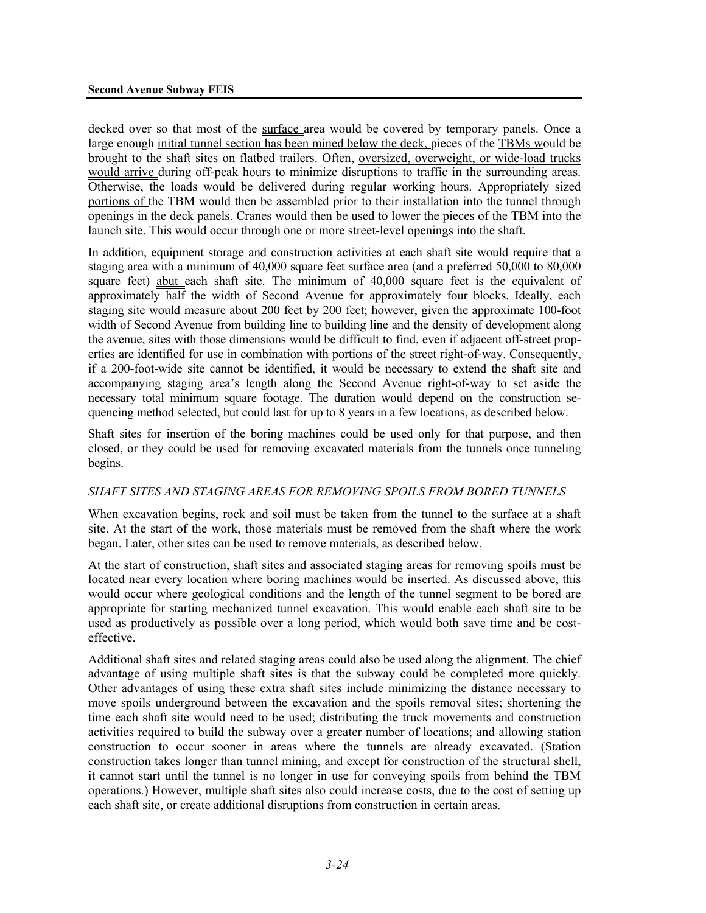decked over so that most of the surface area would be covered by temporary panels. Once a large enough initial tunnel section has been mined below the deck, pieces of the TBMs would be brought to the shaft sites on flatbed trailers. Often, oversized, overweight, or wide-load trucks would arrive during off-peak hours to minimize disruptions to traffic in the surrounding areas. Otherwise, the loads would be delivered during regular working hours. Appropriately sized portions of the TBM would then be assembled prior to their installation into the tunnel through openings in the deck panels. Cranes would then be used to lower the pieces of the TBM into the launch site. This would occur through one or more street-level openings into the shaft.

In addition, equipment storage and construction activities at each shaft site would require that a staging area with a minimum of 40,000 square feet surface area (and a preferred 50,000 to 80,000 square feet) abut each shaft site. The minimum of 40,000 square feet is the equivalent of approximately half the width of Second Avenue for approximately four blocks. Ideally, each staging site would measure about 200 feet by 200 feet; however, given the approximate 100-foot width of Second Avenue from building line to building line and the density of development along the avenue, sites with those dimensions would be difficult to find, even if adjacent off-street properties are identified for use in combination with portions of the street right-of-way. Consequently, if a 200-foot-wide site cannot be identified, it would be necessary to extend the shaft site and accompanying staging area's length along the Second Avenue right-of-way to set aside the necessary total minimum square footage. The duration would depend on the construction sequencing method selected, but could last for up to 8 years in a few locations, as described below.

Shaft sites for insertion of the boring machines could be used only for that purpose, and then closed, or they could be used for removing excavated materials from the tunnels once tunneling begins.

#### *SHAFT SITES AND STAGING AREAS FOR REMOVING SPOILS FROM BORED TUNNELS*

When excavation begins, rock and soil must be taken from the tunnel to the surface at a shaft site. At the start of the work, those materials must be removed from the shaft where the work began. Later, other sites can be used to remove materials, as described below.

At the start of construction, shaft sites and associated staging areas for removing spoils must be located near every location where boring machines would be inserted. As discussed above, this would occur where geological conditions and the length of the tunnel segment to be bored are appropriate for starting mechanized tunnel excavation. This would enable each shaft site to be used as productively as possible over a long period, which would both save time and be costeffective.

Additional shaft sites and related staging areas could also be used along the alignment. The chief advantage of using multiple shaft sites is that the subway could be completed more quickly. Other advantages of using these extra shaft sites include minimizing the distance necessary to move spoils underground between the excavation and the spoils removal sites; shortening the time each shaft site would need to be used; distributing the truck movements and construction activities required to build the subway over a greater number of locations; and allowing station construction to occur sooner in areas where the tunnels are already excavated. (Station construction takes longer than tunnel mining, and except for construction of the structural shell, it cannot start until the tunnel is no longer in use for conveying spoils from behind the TBM operations.) However, multiple shaft sites also could increase costs, due to the cost of setting up each shaft site, or create additional disruptions from construction in certain areas.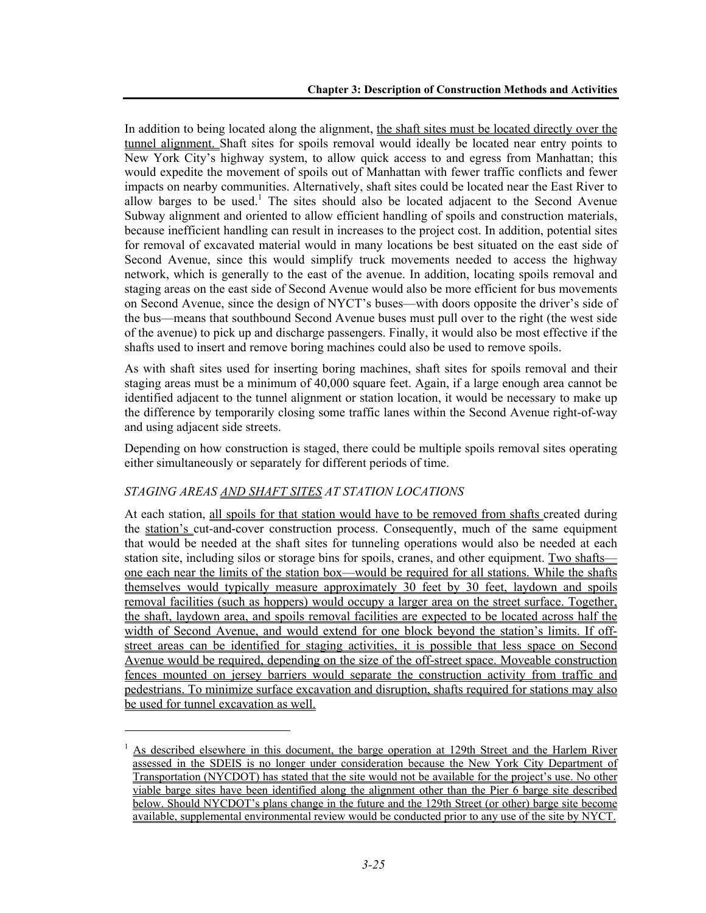In addition to being located along the alignment, the shaft sites must be located directly over the tunnel alignment. Shaft sites for spoils removal would ideally be located near entry points to New York City's highway system, to allow quick access to and egress from Manhattan; this would expedite the movement of spoils out of Manhattan with fewer traffic conflicts and fewer impacts on nearby communities. Alternatively, shaft sites could be located near the East River to allow barges to be used.<sup>1</sup> The sites should also be located adjacent to the Second Avenue Subway alignment and oriented to allow efficient handling of spoils and construction materials, because inefficient handling can result in increases to the project cost. In addition, potential sites for removal of excavated material would in many locations be best situated on the east side of Second Avenue, since this would simplify truck movements needed to access the highway network, which is generally to the east of the avenue. In addition, locating spoils removal and staging areas on the east side of Second Avenue would also be more efficient for bus movements on Second Avenue, since the design of NYCT's buses—with doors opposite the driver's side of the bus—means that southbound Second Avenue buses must pull over to the right (the west side of the avenue) to pick up and discharge passengers. Finally, it would also be most effective if the shafts used to insert and remove boring machines could also be used to remove spoils.

As with shaft sites used for inserting boring machines, shaft sites for spoils removal and their staging areas must be a minimum of 40,000 square feet. Again, if a large enough area cannot be identified adjacent to the tunnel alignment or station location, it would be necessary to make up the difference by temporarily closing some traffic lanes within the Second Avenue right-of-way and using adjacent side streets.

Depending on how construction is staged, there could be multiple spoils removal sites operating either simultaneously or separately for different periods of time.

#### *STAGING AREAS AND SHAFT SITES AT STATION LOCATIONS*

l

At each station, all spoils for that station would have to be removed from shafts created during the station's cut-and-cover construction process. Consequently, much of the same equipment that would be needed at the shaft sites for tunneling operations would also be needed at each station site, including silos or storage bins for spoils, cranes, and other equipment. Two shafts one each near the limits of the station box—would be required for all stations. While the shafts themselves would typically measure approximately 30 feet by 30 feet, laydown and spoils removal facilities (such as hoppers) would occupy a larger area on the street surface. Together, the shaft, laydown area, and spoils removal facilities are expected to be located across half the width of Second Avenue, and would extend for one block beyond the station's limits. If offstreet areas can be identified for staging activities, it is possible that less space on Second Avenue would be required, depending on the size of the off-street space. Moveable construction fences mounted on jersey barriers would separate the construction activity from traffic and pedestrians. To minimize surface excavation and disruption, shafts required for stations may also be used for tunnel excavation as well.

<sup>1</sup> As described elsewhere in this document, the barge operation at 129th Street and the Harlem River assessed in the SDEIS is no longer under consideration because the New York City Department of Transportation (NYCDOT) has stated that the site would not be available for the project's use. No other viable barge sites have been identified along the alignment other than the Pier 6 barge site described below. Should NYCDOT's plans change in the future and the 129th Street (or other) barge site become available, supplemental environmental review would be conducted prior to any use of the site by NYCT.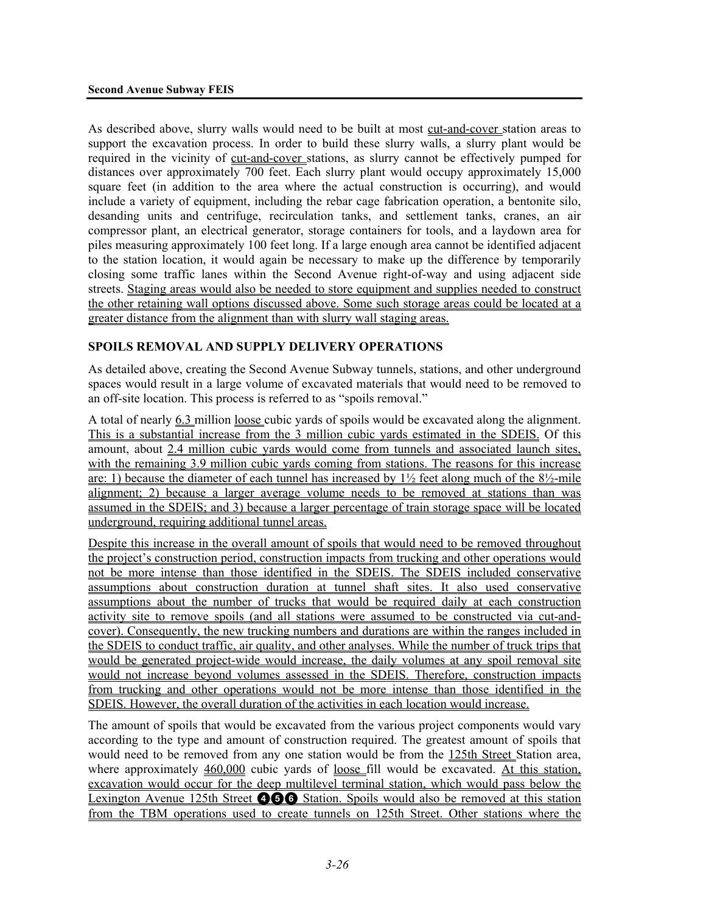As described above, slurry walls would need to be built at most cut-and-cover station areas to support the excavation process. In order to build these slurry walls, a slurry plant would be required in the vicinity of cut-and-cover stations, as slurry cannot be effectively pumped for distances over approximately 700 feet. Each slurry plant would occupy approximately 15,000 square feet (in addition to the area where the actual construction is occurring), and would include a variety of equipment, including the rebar cage fabrication operation, a bentonite silo, desanding units and centrifuge, recirculation tanks, and settlement tanks, cranes, an air compressor plant, an electrical generator, storage containers for tools, and a laydown area for piles measuring approximately 100 feet long. If a large enough area cannot be identified adjacent to the station location, it would again be necessary to make up the difference by temporarily closing some traffic lanes within the Second Avenue right-of-way and using adjacent side streets. Staging areas would also be needed to store equipment and supplies needed to construct the other retaining wall options discussed above. Some such storage areas could be located at a greater distance from the alignment than with slurry wall staging areas.

#### **SPOILS REMOVAL AND SUPPLY DELIVERY OPERATIONS**

As detailed above, creating the Second Avenue Subway tunnels, stations, and other underground spaces would result in a large volume of excavated materials that would need to be removed to an off-site location. This process is referred to as "spoils removal."

A total of nearly 6.3 million loose cubic yards of spoils would be excavated along the alignment. This is a substantial increase from the 3 million cubic yards estimated in the SDEIS. Of this amount, about 2.4 million cubic yards would come from tunnels and associated launch sites, with the remaining 3.9 million cubic yards coming from stations. The reasons for this increase are: 1) because the diameter of each tunnel has increased by  $1\frac{1}{2}$  feet along much of the  $8\frac{1}{2}$ -mile alignment; 2) because a larger average volume needs to be removed at stations than was assumed in the SDEIS; and 3) because a larger percentage of train storage space will be located underground, requiring additional tunnel areas.

Despite this increase in the overall amount of spoils that would need to be removed throughout the project's construction period, construction impacts from trucking and other operations would not be more intense than those identified in the SDEIS. The SDEIS included conservative assumptions about construction duration at tunnel shaft sites. It also used conservative assumptions about the number of trucks that would be required daily at each construction activity site to remove spoils (and all stations were assumed to be constructed via cut-andcover). Consequently, the new trucking numbers and durations are within the ranges included in the SDEIS to conduct traffic, air quality, and other analyses. While the number of truck trips that would be generated project-wide would increase, the daily volumes at any spoil removal site would not increase beyond volumes assessed in the SDEIS. Therefore, construction impacts from trucking and other operations would not be more intense than those identified in the SDEIS. However, the overall duration of the activities in each location would increase.

The amount of spoils that would be excavated from the various project components would vary according to the type and amount of construction required. The greatest amount of spoils that would need to be removed from any one station would be from the 125th Street Station area, where approximately 460,000 cubic vards of loose fill would be excavated. At this station, excavation would occur for the deep multilevel terminal station, which would pass below the Lexington Avenue 125th Street **466** Station. Spoils would also be removed at this station from the TBM operations used to create tunnels on 125th Street. Other stations where the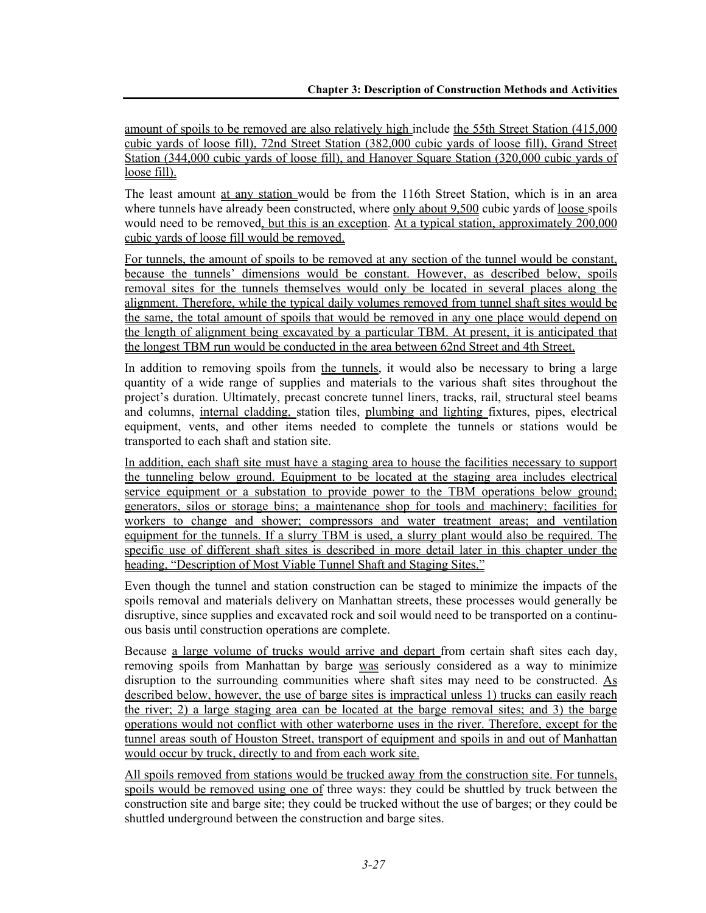amount of spoils to be removed are also relatively high include the 55th Street Station (415,000 cubic yards of loose fill), 72nd Street Station (382,000 cubic yards of loose fill), Grand Street Station (344,000 cubic yards of loose fill), and Hanover Square Station (320,000 cubic yards of loose fill).

The least amount at any station would be from the 116th Street Station, which is in an area where tunnels have already been constructed, where only about 9,500 cubic yards of loose spoils would need to be removed, but this is an exception. At a typical station, approximately 200,000 cubic yards of loose fill would be removed.

For tunnels, the amount of spoils to be removed at any section of the tunnel would be constant, because the tunnels' dimensions would be constant. However, as described below, spoils removal sites for the tunnels themselves would only be located in several places along the alignment. Therefore, while the typical daily volumes removed from tunnel shaft sites would be the same, the total amount of spoils that would be removed in any one place would depend on the length of alignment being excavated by a particular TBM. At present, it is anticipated that the longest TBM run would be conducted in the area between 62nd Street and 4th Street.

In addition to removing spoils from the tunnels, it would also be necessary to bring a large quantity of a wide range of supplies and materials to the various shaft sites throughout the project's duration. Ultimately, precast concrete tunnel liners, tracks, rail, structural steel beams and columns, internal cladding, station tiles, plumbing and lighting fixtures, pipes, electrical equipment, vents, and other items needed to complete the tunnels or stations would be transported to each shaft and station site.

In addition, each shaft site must have a staging area to house the facilities necessary to support the tunneling below ground. Equipment to be located at the staging area includes electrical service equipment or a substation to provide power to the TBM operations below ground; generators, silos or storage bins; a maintenance shop for tools and machinery; facilities for workers to change and shower; compressors and water treatment areas; and ventilation equipment for the tunnels. If a slurry TBM is used, a slurry plant would also be required. The specific use of different shaft sites is described in more detail later in this chapter under the heading, "Description of Most Viable Tunnel Shaft and Staging Sites."

Even though the tunnel and station construction can be staged to minimize the impacts of the spoils removal and materials delivery on Manhattan streets, these processes would generally be disruptive, since supplies and excavated rock and soil would need to be transported on a continuous basis until construction operations are complete.

Because a large volume of trucks would arrive and depart from certain shaft sites each day, removing spoils from Manhattan by barge was seriously considered as a way to minimize disruption to the surrounding communities where shaft sites may need to be constructed. As described below, however, the use of barge sites is impractical unless 1) trucks can easily reach the river; 2) a large staging area can be located at the barge removal sites; and  $\overline{3}$ ) the barge operations would not conflict with other waterborne uses in the river. Therefore, except for the tunnel areas south of Houston Street, transport of equipment and spoils in and out of Manhattan would occur by truck, directly to and from each work site.

All spoils removed from stations would be trucked away from the construction site. For tunnels, spoils would be removed using one of three ways: they could be shuttled by truck between the construction site and barge site; they could be trucked without the use of barges; or they could be shuttled underground between the construction and barge sites.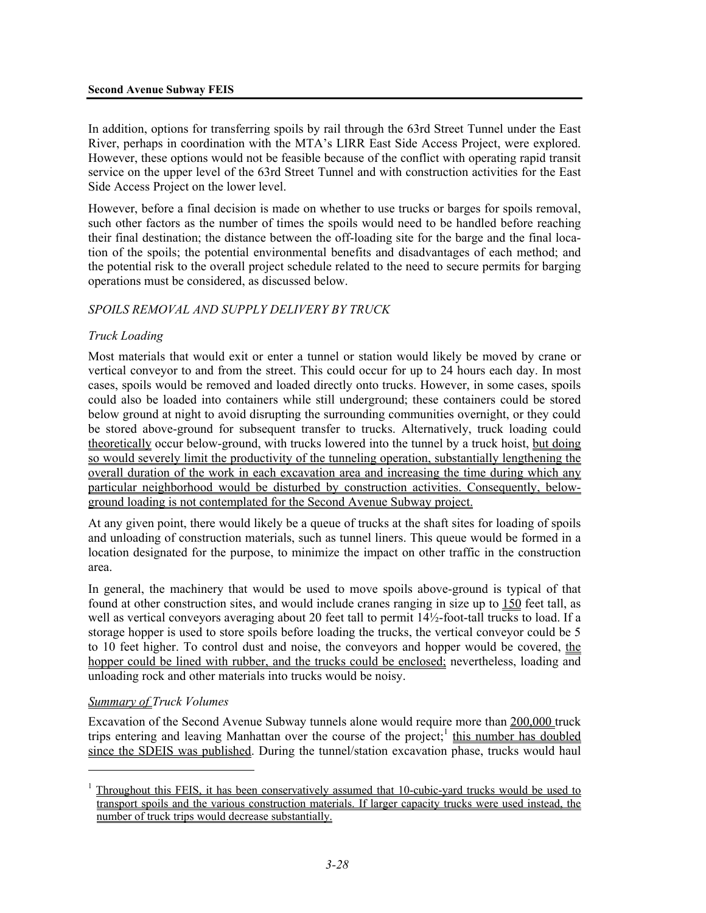In addition, options for transferring spoils by rail through the 63rd Street Tunnel under the East River, perhaps in coordination with the MTA's LIRR East Side Access Project, were explored. However, these options would not be feasible because of the conflict with operating rapid transit service on the upper level of the 63rd Street Tunnel and with construction activities for the East Side Access Project on the lower level.

However, before a final decision is made on whether to use trucks or barges for spoils removal, such other factors as the number of times the spoils would need to be handled before reaching their final destination; the distance between the off-loading site for the barge and the final location of the spoils; the potential environmental benefits and disadvantages of each method; and the potential risk to the overall project schedule related to the need to secure permits for barging operations must be considered, as discussed below.

# *SPOILS REMOVAL AND SUPPLY DELIVERY BY TRUCK*

# *Truck Loading*

Most materials that would exit or enter a tunnel or station would likely be moved by crane or vertical conveyor to and from the street. This could occur for up to 24 hours each day. In most cases, spoils would be removed and loaded directly onto trucks. However, in some cases, spoils could also be loaded into containers while still underground; these containers could be stored below ground at night to avoid disrupting the surrounding communities overnight, or they could be stored above-ground for subsequent transfer to trucks. Alternatively, truck loading could theoretically occur below-ground, with trucks lowered into the tunnel by a truck hoist, but doing so would severely limit the productivity of the tunneling operation, substantially lengthening the overall duration of the work in each excavation area and increasing the time during which any particular neighborhood would be disturbed by construction activities. Consequently, belowground loading is not contemplated for the Second Avenue Subway project.

At any given point, there would likely be a queue of trucks at the shaft sites for loading of spoils and unloading of construction materials, such as tunnel liners. This queue would be formed in a location designated for the purpose, to minimize the impact on other traffic in the construction area.

In general, the machinery that would be used to move spoils above-ground is typical of that found at other construction sites, and would include cranes ranging in size up to 150 feet tall, as well as vertical conveyors averaging about 20 feet tall to permit 14½-foot-tall trucks to load. If a storage hopper is used to store spoils before loading the trucks, the vertical conveyor could be 5 to 10 feet higher. To control dust and noise, the conveyors and hopper would be covered, the hopper could be lined with rubber, and the trucks could be enclosed; nevertheless, loading and unloading rock and other materials into trucks would be noisy.

# *Summary of Truck Volumes*

l

Excavation of the Second Avenue Subway tunnels alone would require more than 200,000 truck trips entering and leaving Manhattan over the course of the project;<sup>1</sup> this number has doubled since the SDEIS was published. During the tunnel/station excavation phase, trucks would haul

<sup>1</sup> Throughout this FEIS, it has been conservatively assumed that 10-cubic-yard trucks would be used to transport spoils and the various construction materials. If larger capacity trucks were used instead, the number of truck trips would decrease substantially.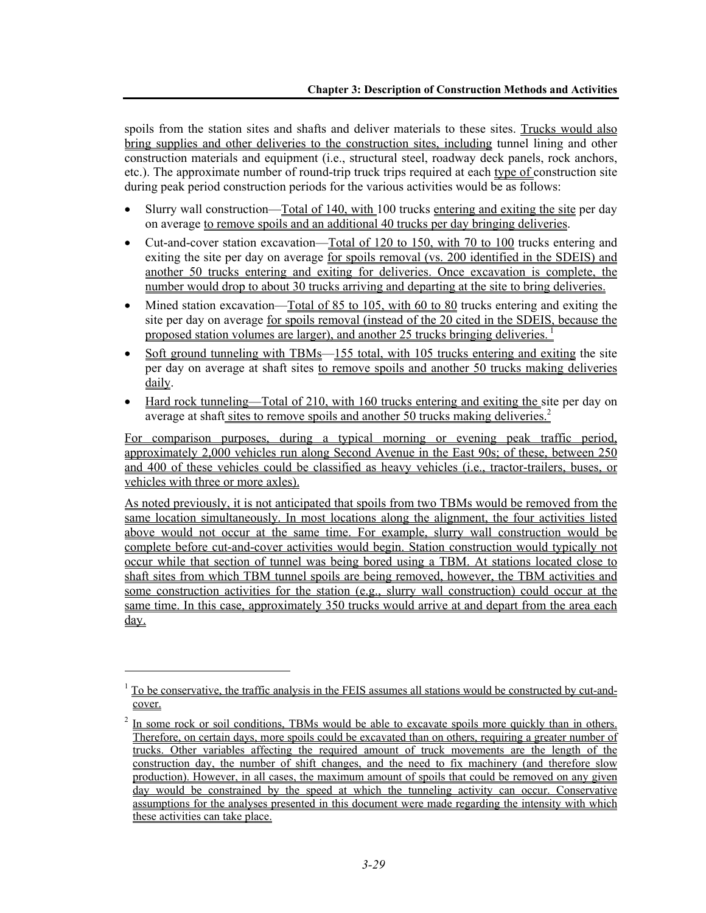spoils from the station sites and shafts and deliver materials to these sites. Trucks would also bring supplies and other deliveries to the construction sites, including tunnel lining and other construction materials and equipment (i.e., structural steel, roadway deck panels, rock anchors, etc.). The approximate number of round-trip truck trips required at each type of construction site during peak period construction periods for the various activities would be as follows:

- Slurry wall construction—Total of 140, with 100 trucks entering and exiting the site per day on average to remove spoils and an additional 40 trucks per day bringing deliveries.
- Cut-and-cover station excavation—Total of 120 to 150, with 70 to 100 trucks entering and exiting the site per day on average for spoils removal (vs. 200 identified in the SDEIS) and another 50 trucks entering and exiting for deliveries. Once excavation is complete, the number would drop to about 30 trucks arriving and departing at the site to bring deliveries.
- Mined station excavation—Total of 85 to 105, with 60 to 80 trucks entering and exiting the site per day on average for spoils removal (instead of the 20 cited in the SDEIS, because the proposed station volumes are larger), and another 25 trucks bringing deliveries. 1
- Soft ground tunneling with TBMs—155 total, with 105 trucks entering and exiting the site per day on average at shaft sites to remove spoils and another 50 trucks making deliveries daily.
- Hard rock tunneling—Total of 210, with 160 trucks entering and exiting the site per day on average at shaft sites to remove spoils and another 50 trucks making deliveries.<sup>2</sup>

For comparison purposes, during a typical morning or evening peak traffic period, approximately 2,000 vehicles run along Second Avenue in the East 90s; of these, between 250 and 400 of these vehicles could be classified as heavy vehicles (i.e., tractor-trailers, buses, or vehicles with three or more axles).

As noted previously, it is not anticipated that spoils from two TBMs would be removed from the same location simultaneously. In most locations along the alignment, the four activities listed above would not occur at the same time. For example, slurry wall construction would be complete before cut-and-cover activities would begin. Station construction would typically not occur while that section of tunnel was being bored using a TBM. At stations located close to shaft sites from which TBM tunnel spoils are being removed, however, the TBM activities and some construction activities for the station (e.g., slurry wall construction) could occur at the same time. In this case, approximately 350 trucks would arrive at and depart from the area each day.

l

<sup>1</sup> To be conservative, the traffic analysis in the FEIS assumes all stations would be constructed by cut-andcover.

 $2 \text{ In some rock or soil conditions, TBMs would be able to excavate spoils more quickly than in others.}$ Therefore, on certain days, more spoils could be excavated than on others, requiring a greater number of trucks. Other variables affecting the required amount of truck movements are the length of the construction day, the number of shift changes, and the need to fix machinery (and therefore slow production). However, in all cases, the maximum amount of spoils that could be removed on any given day would be constrained by the speed at which the tunneling activity can occur. Conservative assumptions for the analyses presented in this document were made regarding the intensity with which these activities can take place.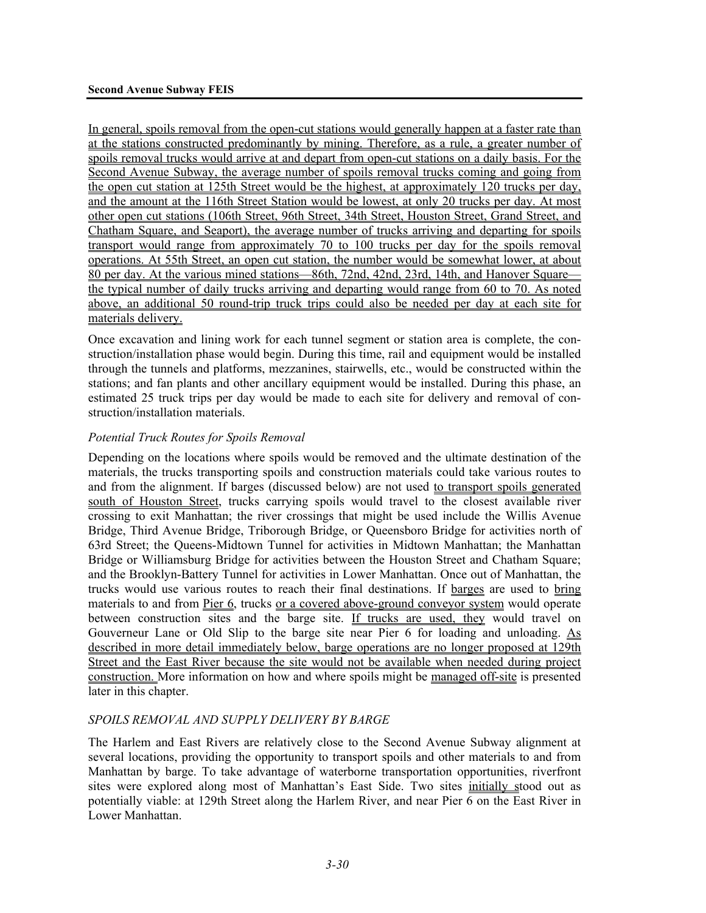In general, spoils removal from the open-cut stations would generally happen at a faster rate than at the stations constructed predominantly by mining. Therefore, as a rule, a greater number of spoils removal trucks would arrive at and depart from open-cut stations on a daily basis. For the Second Avenue Subway, the average number of spoils removal trucks coming and going from the open cut station at 125th Street would be the highest, at approximately 120 trucks per day, and the amount at the 116th Street Station would be lowest, at only 20 trucks per day. At most other open cut stations (106th Street, 96th Street, 34th Street, Houston Street, Grand Street, and Chatham Square, and Seaport), the average number of trucks arriving and departing for spoils transport would range from approximately 70 to 100 trucks per day for the spoils removal operations. At 55th Street, an open cut station, the number would be somewhat lower, at about 80 per day. At the various mined stations—86th, 72nd, 42nd, 23rd, 14th, and Hanover Square the typical number of daily trucks arriving and departing would range from 60 to 70. As noted above, an additional 50 round-trip truck trips could also be needed per day at each site for materials delivery.

Once excavation and lining work for each tunnel segment or station area is complete, the construction/installation phase would begin. During this time, rail and equipment would be installed through the tunnels and platforms, mezzanines, stairwells, etc., would be constructed within the stations; and fan plants and other ancillary equipment would be installed. During this phase, an estimated 25 truck trips per day would be made to each site for delivery and removal of construction/installation materials.

# *Potential Truck Routes for Spoils Removal*

Depending on the locations where spoils would be removed and the ultimate destination of the materials, the trucks transporting spoils and construction materials could take various routes to and from the alignment. If barges (discussed below) are not used to transport spoils generated south of Houston Street, trucks carrying spoils would travel to the closest available river crossing to exit Manhattan; the river crossings that might be used include the Willis Avenue Bridge, Third Avenue Bridge, Triborough Bridge, or Queensboro Bridge for activities north of 63rd Street; the Queens-Midtown Tunnel for activities in Midtown Manhattan; the Manhattan Bridge or Williamsburg Bridge for activities between the Houston Street and Chatham Square; and the Brooklyn-Battery Tunnel for activities in Lower Manhattan. Once out of Manhattan, the trucks would use various routes to reach their final destinations. If barges are used to bring materials to and from Pier 6, trucks or a covered above-ground conveyor system would operate between construction sites and the barge site. If trucks are used, they would travel on Gouverneur Lane or Old Slip to the barge site near Pier 6 for loading and unloading. As described in more detail immediately below, barge operations are no longer proposed at 129th Street and the East River because the site would not be available when needed during project construction. More information on how and where spoils might be managed off-site is presented later in this chapter.

# *SPOILS REMOVAL AND SUPPLY DELIVERY BY BARGE*

The Harlem and East Rivers are relatively close to the Second Avenue Subway alignment at several locations, providing the opportunity to transport spoils and other materials to and from Manhattan by barge. To take advantage of waterborne transportation opportunities, riverfront sites were explored along most of Manhattan's East Side. Two sites initially stood out as potentially viable: at 129th Street along the Harlem River, and near Pier 6 on the East River in Lower Manhattan.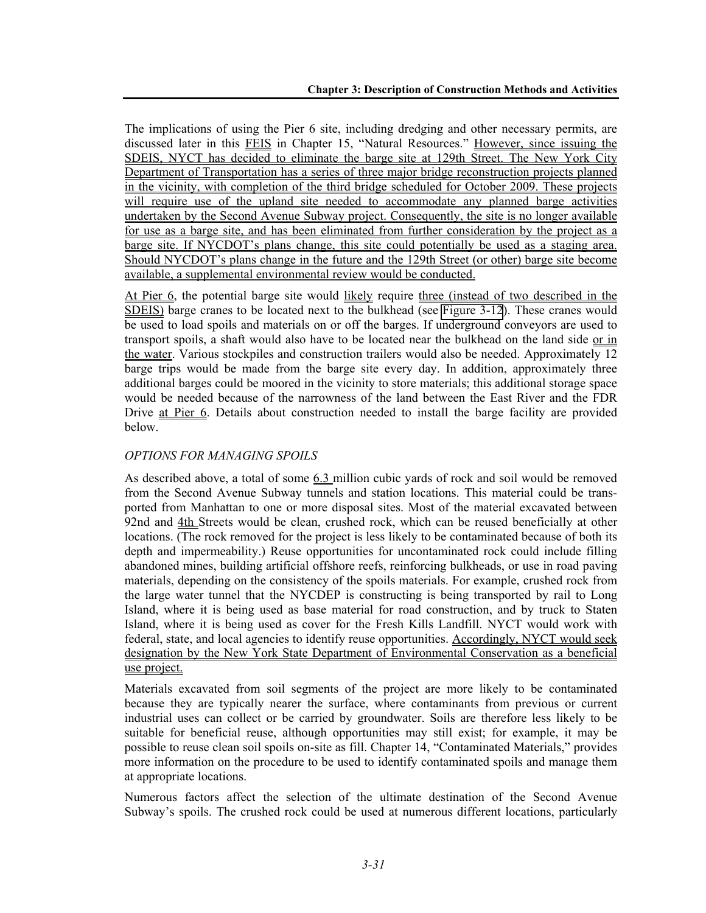The implications of using the Pier 6 site, including dredging and other necessary permits, are discussed later in this FEIS in Chapter 15, "Natural Resources." However, since issuing the SDEIS, NYCT has decided to eliminate the barge site at 129th Street. The New York City Department of Transportation has a series of three major bridge reconstruction projects planned in the vicinity, with completion of the third bridge scheduled for October 2009. These projects will require use of the upland site needed to accommodate any planned barge activities undertaken by the Second Avenue Subway project. Consequently, the site is no longer available for use as a barge site, and has been eliminated from further consideration by the project as a barge site. If NYCDOT's plans change, this site could potentially be used as a staging area. Should NYCDOT's plans change in the future and the 129th Street (or other) barge site become available, a supplemental environmental review would be conducted.

At Pier 6, the potential barge site would likely require three (instead of two described in the SDEIS) barge cranes to be located next to the bulkhead (see Figure 3-12). These cranes would be used to load spoils and materials on or off the barges. If underground conveyors are used to transport spoils, a shaft would also have to be located near the bulkhead on the land side or in the water. Various stockpiles and construction trailers would also be needed. Approximately 12 barge trips would be made from the barge site every day. In addition, approximately three additional barges could be moored in the vicinity to store materials; this additional storage space would be needed because of the narrowness of the land between the East River and the FDR Drive at Pier 6. Details about construction needed to install the barge facility are provided below.

# *OPTIONS FOR MANAGING SPOILS*

As described above, a total of some 6.3 million cubic yards of rock and soil would be removed from the Second Avenue Subway tunnels and station locations. This material could be transported from Manhattan to one or more disposal sites. Most of the material excavated between 92nd and 4th Streets would be clean, crushed rock, which can be reused beneficially at other locations. (The rock removed for the project is less likely to be contaminated because of both its depth and impermeability.) Reuse opportunities for uncontaminated rock could include filling abandoned mines, building artificial offshore reefs, reinforcing bulkheads, or use in road paving materials, depending on the consistency of the spoils materials. For example, crushed rock from the large water tunnel that the NYCDEP is constructing is being transported by rail to Long Island, where it is being used as base material for road construction, and by truck to Staten Island, where it is being used as cover for the Fresh Kills Landfill. NYCT would work with federal, state, and local agencies to identify reuse opportunities. Accordingly, NYCT would seek designation by the New York State Department of Environmental Conservation as a beneficial use project.

Materials excavated from soil segments of the project are more likely to be contaminated because they are typically nearer the surface, where contaminants from previous or current industrial uses can collect or be carried by groundwater. Soils are therefore less likely to be suitable for beneficial reuse, although opportunities may still exist; for example, it may be possible to reuse clean soil spoils on-site as fill. Chapter 14, "Contaminated Materials," provides more information on the procedure to be used to identify contaminated spoils and manage them at appropriate locations.

Numerous factors affect the selection of the ultimate destination of the Second Avenue Subway's spoils. The crushed rock could be used at numerous different locations, particularly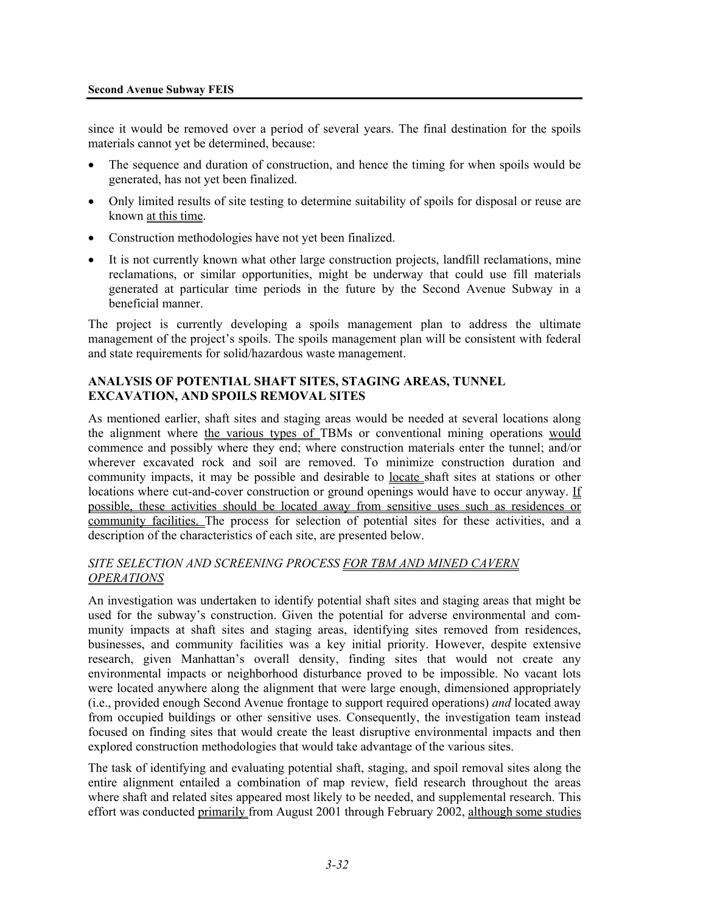since it would be removed over a period of several years. The final destination for the spoils materials cannot yet be determined, because:

- The sequence and duration of construction, and hence the timing for when spoils would be generated, has not yet been finalized.
- Only limited results of site testing to determine suitability of spoils for disposal or reuse are known at this time.
- Construction methodologies have not yet been finalized.
- It is not currently known what other large construction projects, landfill reclamations, mine reclamations, or similar opportunities, might be underway that could use fill materials generated at particular time periods in the future by the Second Avenue Subway in a beneficial manner.

The project is currently developing a spoils management plan to address the ultimate management of the project's spoils. The spoils management plan will be consistent with federal and state requirements for solid/hazardous waste management.

### **ANALYSIS OF POTENTIAL SHAFT SITES, STAGING AREAS, TUNNEL EXCAVATION, AND SPOILS REMOVAL SITES**

As mentioned earlier, shaft sites and staging areas would be needed at several locations along the alignment where the various types of TBMs or conventional mining operations would commence and possibly where they end; where construction materials enter the tunnel; and/or wherever excavated rock and soil are removed. To minimize construction duration and community impacts, it may be possible and desirable to locate shaft sites at stations or other locations where cut-and-cover construction or ground openings would have to occur anyway. If possible, these activities should be located away from sensitive uses such as residences or community facilities. The process for selection of potential sites for these activities, and a description of the characteristics of each site, are presented below.

### *SITE SELECTION AND SCREENING PROCESS FOR TBM AND MINED CAVERN OPERATIONS*

An investigation was undertaken to identify potential shaft sites and staging areas that might be used for the subway's construction. Given the potential for adverse environmental and community impacts at shaft sites and staging areas, identifying sites removed from residences, businesses, and community facilities was a key initial priority. However, despite extensive research, given Manhattan's overall density, finding sites that would not create any environmental impacts or neighborhood disturbance proved to be impossible. No vacant lots were located anywhere along the alignment that were large enough, dimensioned appropriately (i.e., provided enough Second Avenue frontage to support required operations) *and* located away from occupied buildings or other sensitive uses. Consequently, the investigation team instead focused on finding sites that would create the least disruptive environmental impacts and then explored construction methodologies that would take advantage of the various sites.

The task of identifying and evaluating potential shaft, staging, and spoil removal sites along the entire alignment entailed a combination of map review, field research throughout the areas where shaft and related sites appeared most likely to be needed, and supplemental research. This effort was conducted primarily from August 2001 through February 2002, although some studies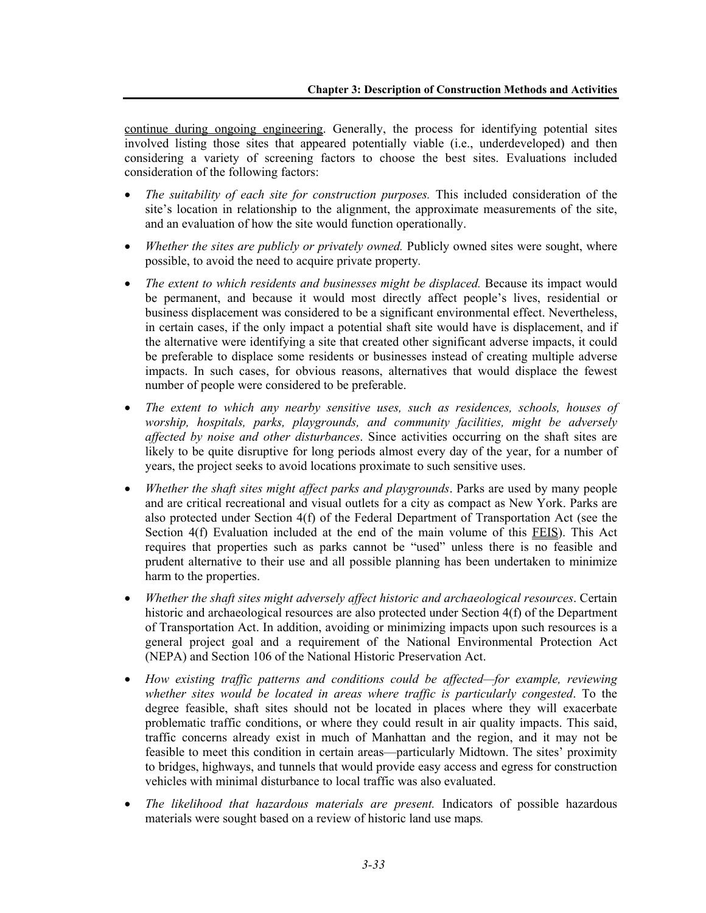continue during ongoing engineering. Generally, the process for identifying potential sites involved listing those sites that appeared potentially viable (i.e., underdeveloped) and then considering a variety of screening factors to choose the best sites. Evaluations included consideration of the following factors:

- *The suitability of each site for construction purposes.* This included consideration of the site's location in relationship to the alignment, the approximate measurements of the site, and an evaluation of how the site would function operationally.
- *Whether the sites are publicly or privately owned*. Publicly owned sites were sought, where possible, to avoid the need to acquire private property*.*
- *The extent to which residents and businesses might be displaced.* Because its impact would be permanent, and because it would most directly affect people's lives, residential or business displacement was considered to be a significant environmental effect. Nevertheless, in certain cases, if the only impact a potential shaft site would have is displacement, and if the alternative were identifying a site that created other significant adverse impacts, it could be preferable to displace some residents or businesses instead of creating multiple adverse impacts. In such cases, for obvious reasons, alternatives that would displace the fewest number of people were considered to be preferable.
- *The extent to which any nearby sensitive uses, such as residences, schools, houses of worship, hospitals, parks, playgrounds, and community facilities, might be adversely affected by noise and other disturbances*. Since activities occurring on the shaft sites are likely to be quite disruptive for long periods almost every day of the year, for a number of years, the project seeks to avoid locations proximate to such sensitive uses.
- *Whether the shaft sites might affect parks and playgrounds*. Parks are used by many people and are critical recreational and visual outlets for a city as compact as New York. Parks are also protected under Section 4(f) of the Federal Department of Transportation Act (see the Section 4(f) Evaluation included at the end of the main volume of this FEIS). This Act requires that properties such as parks cannot be "used" unless there is no feasible and prudent alternative to their use and all possible planning has been undertaken to minimize harm to the properties.
- *Whether the shaft sites might adversely affect historic and archaeological resources*. Certain historic and archaeological resources are also protected under Section 4(f) of the Department of Transportation Act. In addition, avoiding or minimizing impacts upon such resources is a general project goal and a requirement of the National Environmental Protection Act (NEPA) and Section 106 of the National Historic Preservation Act.
- *How existing traffic patterns and conditions could be affected—for example, reviewing whether sites would be located in areas where traffic is particularly congested*. To the degree feasible, shaft sites should not be located in places where they will exacerbate problematic traffic conditions, or where they could result in air quality impacts. This said, traffic concerns already exist in much of Manhattan and the region, and it may not be feasible to meet this condition in certain areas—particularly Midtown. The sites' proximity to bridges, highways, and tunnels that would provide easy access and egress for construction vehicles with minimal disturbance to local traffic was also evaluated.
- *The likelihood that hazardous materials are present.* Indicators of possible hazardous materials were sought based on a review of historic land use maps*.*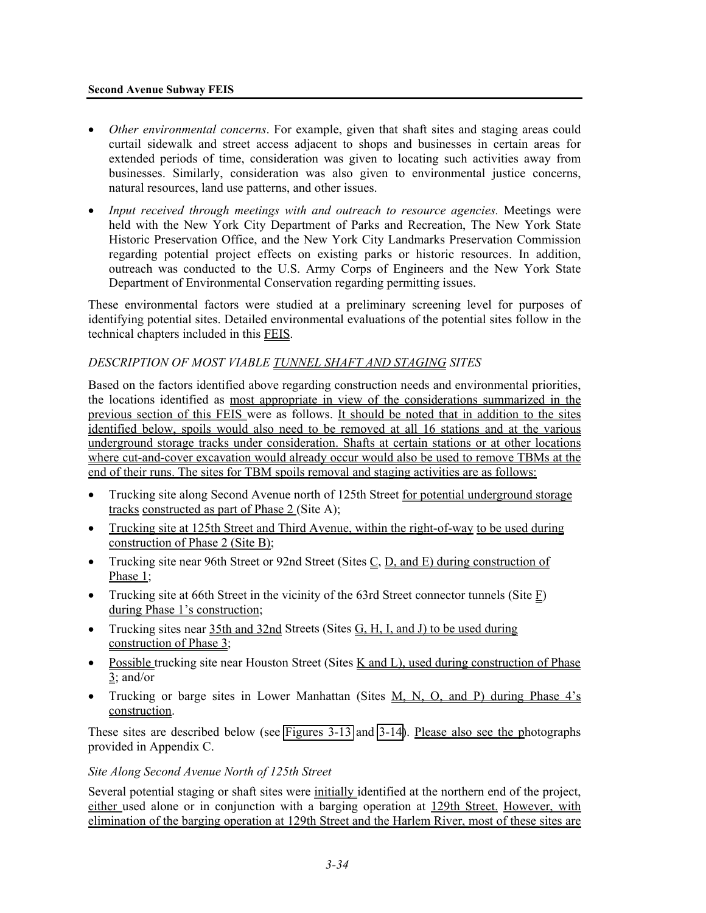#### **Second Avenue Subway FEIS**

- *Other environmental concerns*. For example, given that shaft sites and staging areas could curtail sidewalk and street access adjacent to shops and businesses in certain areas for extended periods of time, consideration was given to locating such activities away from businesses. Similarly, consideration was also given to environmental justice concerns, natural resources, land use patterns, and other issues.
- *Input received through meetings with and outreach to resource agencies.* Meetings were held with the New York City Department of Parks and Recreation, The New York State Historic Preservation Office, and the New York City Landmarks Preservation Commission regarding potential project effects on existing parks or historic resources. In addition, outreach was conducted to the U.S. Army Corps of Engineers and the New York State Department of Environmental Conservation regarding permitting issues.

These environmental factors were studied at a preliminary screening level for purposes of identifying potential sites. Detailed environmental evaluations of the potential sites follow in the technical chapters included in this FEIS.

### *DESCRIPTION OF MOST VIABLE TUNNEL SHAFT AND STAGING SITES*

Based on the factors identified above regarding construction needs and environmental priorities, the locations identified as most appropriate in view of the considerations summarized in the previous section of this FEIS were as follows. It should be noted that in addition to the sites identified below, spoils would also need to be removed at all 16 stations and at the various underground storage tracks under consideration. Shafts at certain stations or at other locations where cut-and-cover excavation would already occur would also be used to remove TBMs at the end of their runs. The sites for TBM spoils removal and staging activities are as follows:

- Trucking site along Second Avenue north of 125th Street for potential underground storage tracks constructed as part of Phase 2 (Site A);
- Trucking site at 125th Street and Third Avenue, within the right-of-way to be used during construction of Phase 2 (Site B);
- Trucking site near 96th Street or 92nd Street (Sites  $C$ ,  $D$ , and  $E$ ) during construction of Phase 1;
- Trucking site at 66th Street in the vicinity of the 63rd Street connector tunnels (Site E) during Phase 1's construction;
- Trucking sites near 35th and 32nd Streets (Sites G, H, I, and J) to be used during construction of Phase 3;
- Possible trucking site near Houston Street (Sites K and L), used during construction of Phase  $3$ ; and/or
- Trucking or barge sites in Lower Manhattan (Sites M, N, O, and P) during Phase 4's construction.

These sites are described below (see Figures 3-13 and 3-14). Please also see the photographs provided in Appendix C.

#### *Site Along Second Avenue North of 125th Street*

Several potential staging or shaft sites were initially identified at the northern end of the project, either used alone or in conjunction with a barging operation at 129th Street. However, with elimination of the barging operation at 129th Street and the Harlem River, most of these sites are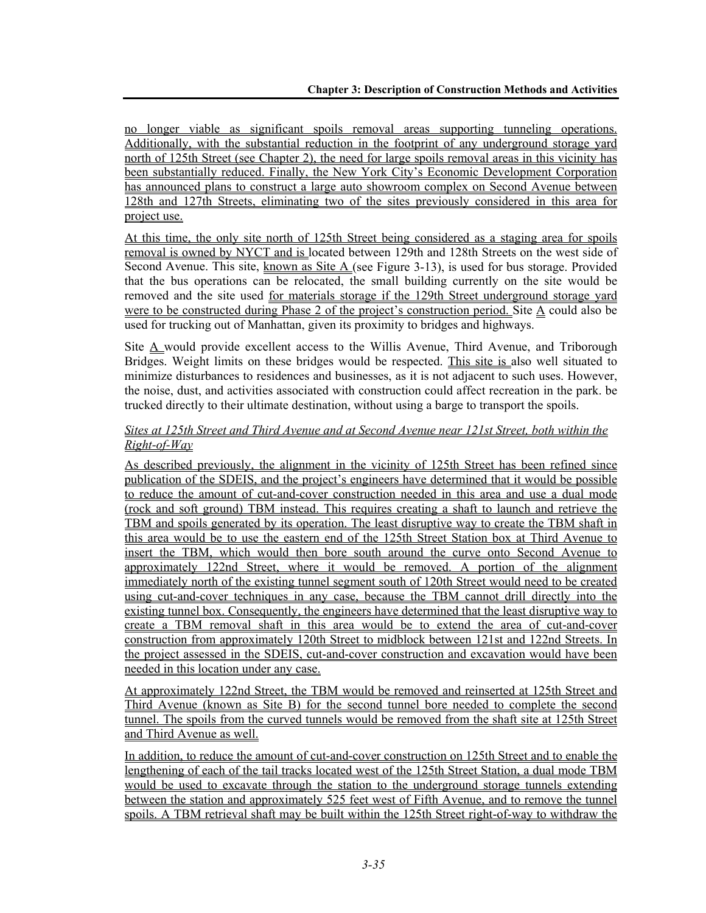no longer viable as significant spoils removal areas supporting tunneling operations. Additionally, with the substantial reduction in the footprint of any underground storage yard north of 125th Street (see Chapter 2), the need for large spoils removal areas in this vicinity has been substantially reduced. Finally, the New York City's Economic Development Corporation has announced plans to construct a large auto showroom complex on Second Avenue between 128th and 127th Streets, eliminating two of the sites previously considered in this area for project use.

At this time, the only site north of 125th Street being considered as a staging area for spoils removal is owned by NYCT and is located between 129th and 128th Streets on the west side of Second Avenue. This site, known as Site A (see Figure 3-13), is used for bus storage. Provided that the bus operations can be relocated, the small building currently on the site would be removed and the site used for materials storage if the 129th Street underground storage yard were to be constructed during Phase 2 of the project's construction period. Site A could also be used for trucking out of Manhattan, given its proximity to bridges and highways.

Site A would provide excellent access to the Willis Avenue, Third Avenue, and Triborough Bridges. Weight limits on these bridges would be respected. This site is also well situated to minimize disturbances to residences and businesses, as it is not adjacent to such uses. However, the noise, dust, and activities associated with construction could affect recreation in the park. be trucked directly to their ultimate destination, without using a barge to transport the spoils.

## *Sites at 125th Street and Third Avenue and at Second Avenue near 121st Street, both within the Right-of-Way*

As described previously, the alignment in the vicinity of 125th Street has been refined since publication of the SDEIS, and the project's engineers have determined that it would be possible to reduce the amount of cut-and-cover construction needed in this area and use a dual mode (rock and soft ground) TBM instead. This requires creating a shaft to launch and retrieve the TBM and spoils generated by its operation. The least disruptive way to create the TBM shaft in this area would be to use the eastern end of the 125th Street Station box at Third Avenue to insert the TBM, which would then bore south around the curve onto Second Avenue to approximately 122nd Street, where it would be removed. A portion of the alignment immediately north of the existing tunnel segment south of 120th Street would need to be created using cut-and-cover techniques in any case, because the TBM cannot drill directly into the existing tunnel box. Consequently, the engineers have determined that the least disruptive way to create a TBM removal shaft in this area would be to extend the area of cut-and-cover construction from approximately 120th Street to midblock between 121st and 122nd Streets. In the project assessed in the SDEIS, cut-and-cover construction and excavation would have been needed in this location under any case.

At approximately 122nd Street, the TBM would be removed and reinserted at 125th Street and Third Avenue (known as Site B) for the second tunnel bore needed to complete the second tunnel. The spoils from the curved tunnels would be removed from the shaft site at 125th Street and Third Avenue as well.

In addition, to reduce the amount of cut-and-cover construction on 125th Street and to enable the lengthening of each of the tail tracks located west of the 125th Street Station, a dual mode TBM would be used to excavate through the station to the underground storage tunnels extending between the station and approximately 525 feet west of Fifth Avenue, and to remove the tunnel spoils. A TBM retrieval shaft may be built within the 125th Street right-of-way to withdraw the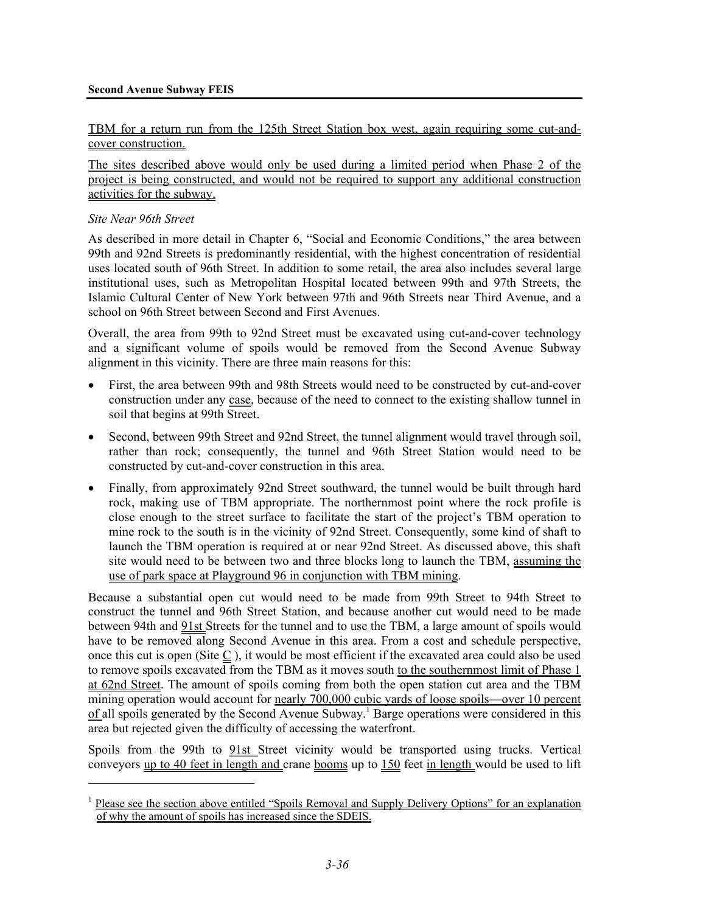#### **Second Avenue Subway FEIS**

#### TBM for a return run from the 125th Street Station box west, again requiring some cut-andcover construction.

The sites described above would only be used during a limited period when Phase 2 of the project is being constructed, and would not be required to support any additional construction activities for the subway.

#### *Site Near 96th Street*

1

As described in more detail in Chapter 6, "Social and Economic Conditions," the area between 99th and 92nd Streets is predominantly residential, with the highest concentration of residential uses located south of 96th Street. In addition to some retail, the area also includes several large institutional uses, such as Metropolitan Hospital located between 99th and 97th Streets, the Islamic Cultural Center of New York between 97th and 96th Streets near Third Avenue, and a school on 96th Street between Second and First Avenues.

Overall, the area from 99th to 92nd Street must be excavated using cut-and-cover technology and a significant volume of spoils would be removed from the Second Avenue Subway alignment in this vicinity. There are three main reasons for this:

- First, the area between 99th and 98th Streets would need to be constructed by cut-and-cover construction under any case, because of the need to connect to the existing shallow tunnel in soil that begins at 99th Street.
- Second, between 99th Street and 92nd Street, the tunnel alignment would travel through soil, rather than rock; consequently, the tunnel and 96th Street Station would need to be constructed by cut-and-cover construction in this area.
- Finally, from approximately 92nd Street southward, the tunnel would be built through hard rock, making use of TBM appropriate. The northernmost point where the rock profile is close enough to the street surface to facilitate the start of the project's TBM operation to mine rock to the south is in the vicinity of 92nd Street. Consequently, some kind of shaft to launch the TBM operation is required at or near 92nd Street. As discussed above, this shaft site would need to be between two and three blocks long to launch the TBM, assuming the use of park space at Playground 96 in conjunction with TBM mining.

Because a substantial open cut would need to be made from 99th Street to 94th Street to construct the tunnel and 96th Street Station, and because another cut would need to be made between 94th and 91st Streets for the tunnel and to use the TBM, a large amount of spoils would have to be removed along Second Avenue in this area. From a cost and schedule perspective, once this cut is open (Site C ), it would be most efficient if the excavated area could also be used to remove spoils excavated from the TBM as it moves south to the southernmost limit of Phase 1 at 62nd Street. The amount of spoils coming from both the open station cut area and the TBM mining operation would account for nearly 700,000 cubic yards of loose spoils—over 10 percent of all spoils generated by the Second Avenue Subway.<sup>1</sup> Barge operations were considered in this area but rejected given the difficulty of accessing the waterfront.

Spoils from the 99th to 91st Street vicinity would be transported using trucks. Vertical conveyors up to 40 feet in length and crane booms up to 150 feet in length would be used to lift

<sup>&</sup>lt;sup>1</sup> Please see the section above entitled "Spoils Removal and Supply Delivery Options" for an explanation of why the amount of spoils has increased since the SDEIS.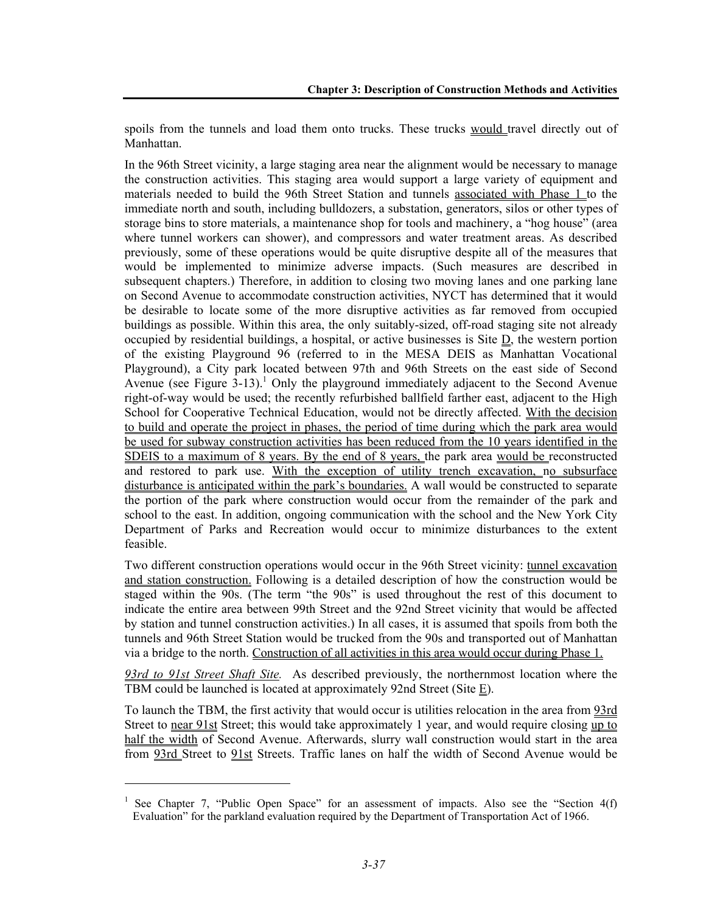spoils from the tunnels and load them onto trucks. These trucks would travel directly out of Manhattan.

In the 96th Street vicinity, a large staging area near the alignment would be necessary to manage the construction activities. This staging area would support a large variety of equipment and materials needed to build the 96th Street Station and tunnels associated with Phase 1 to the immediate north and south, including bulldozers, a substation, generators, silos or other types of storage bins to store materials, a maintenance shop for tools and machinery, a "hog house" (area where tunnel workers can shower), and compressors and water treatment areas. As described previously, some of these operations would be quite disruptive despite all of the measures that would be implemented to minimize adverse impacts. (Such measures are described in subsequent chapters.) Therefore, in addition to closing two moving lanes and one parking lane on Second Avenue to accommodate construction activities, NYCT has determined that it would be desirable to locate some of the more disruptive activities as far removed from occupied buildings as possible. Within this area, the only suitably-sized, off-road staging site not already occupied by residential buildings, a hospital, or active businesses is Site  $D$ , the western portion of the existing Playground 96 (referred to in the MESA DEIS as Manhattan Vocational Playground), a City park located between 97th and 96th Streets on the east side of Second Avenue (see Figure  $3-13$ ).<sup>1</sup> Only the playground immediately adjacent to the Second Avenue right-of-way would be used; the recently refurbished ballfield farther east, adjacent to the High School for Cooperative Technical Education, would not be directly affected. With the decision to build and operate the project in phases, the period of time during which the park area would be used for subway construction activities has been reduced from the 10 years identified in the SDEIS to a maximum of 8 years. By the end of 8 years, the park area would be reconstructed and restored to park use. With the exception of utility trench excavation, no subsurface disturbance is anticipated within the park's boundaries. A wall would be constructed to separate the portion of the park where construction would occur from the remainder of the park and school to the east. In addition, ongoing communication with the school and the New York City Department of Parks and Recreation would occur to minimize disturbances to the extent feasible.

Two different construction operations would occur in the 96th Street vicinity: tunnel excavation and station construction. Following is a detailed description of how the construction would be staged within the 90s. (The term "the 90s" is used throughout the rest of this document to indicate the entire area between 99th Street and the 92nd Street vicinity that would be affected by station and tunnel construction activities.) In all cases, it is assumed that spoils from both the tunnels and 96th Street Station would be trucked from the 90s and transported out of Manhattan via a bridge to the north. Construction of all activities in this area would occur during Phase 1.

*93rd to 91st Street Shaft Site.* As described previously, the northernmost location where the TBM could be launched is located at approximately 92nd Street (Site  $E$ ).

To launch the TBM, the first activity that would occur is utilities relocation in the area from 93rd Street to near 91st Street; this would take approximately 1 year, and would require closing up to half the width of Second Avenue. Afterwards, slurry wall construction would start in the area from 93rd Street to 91st Streets. Traffic lanes on half the width of Second Avenue would be

l

<sup>&</sup>lt;sup>1</sup> See Chapter 7, "Public Open Space" for an assessment of impacts. Also see the "Section 4(f) Evaluation" for the parkland evaluation required by the Department of Transportation Act of 1966.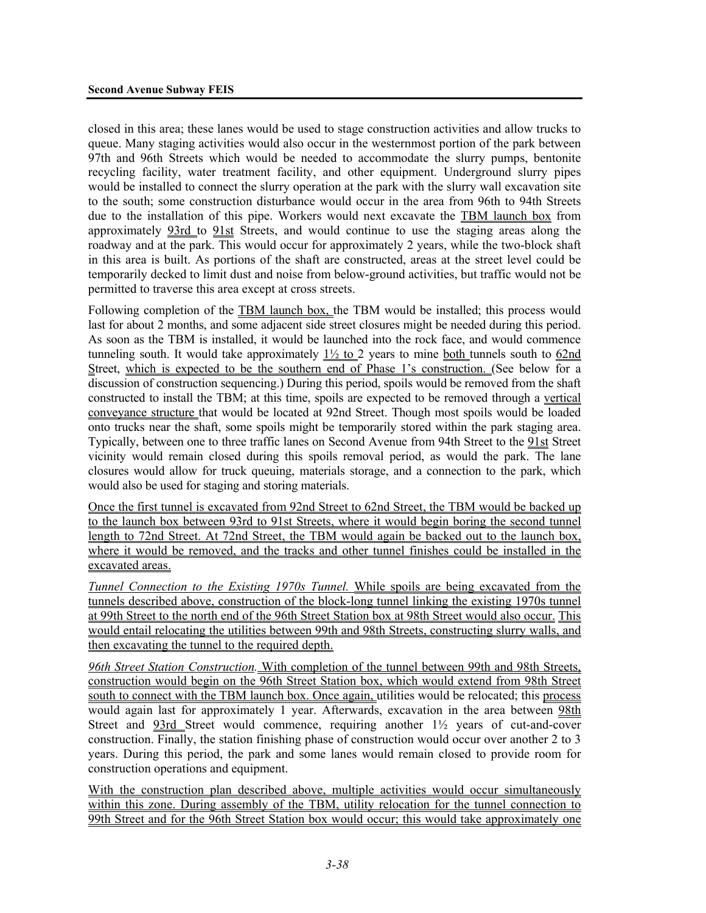closed in this area; these lanes would be used to stage construction activities and allow trucks to queue. Many staging activities would also occur in the westernmost portion of the park between 97th and 96th Streets which would be needed to accommodate the slurry pumps, bentonite recycling facility, water treatment facility, and other equipment. Underground slurry pipes would be installed to connect the slurry operation at the park with the slurry wall excavation site to the south; some construction disturbance would occur in the area from 96th to 94th Streets due to the installation of this pipe. Workers would next excavate the TBM launch box from approximately 93rd to 91st Streets, and would continue to use the staging areas along the roadway and at the park. This would occur for approximately 2 years, while the two-block shaft in this area is built. As portions of the shaft are constructed, areas at the street level could be temporarily decked to limit dust and noise from below-ground activities, but traffic would not be permitted to traverse this area except at cross streets.

Following completion of the TBM launch box, the TBM would be installed; this process would last for about 2 months, and some adjacent side street closures might be needed during this period. As soon as the TBM is installed, it would be launched into the rock face, and would commence tunneling south. It would take approximately  $1\frac{1}{2}$  to 2 years to mine both tunnels south to 62nd Street, which is expected to be the southern end of Phase 1's construction. (See below for a discussion of construction sequencing.) During this period, spoils would be removed from the shaft constructed to install the TBM; at this time, spoils are expected to be removed through a vertical conveyance structure that would be located at 92nd Street. Though most spoils would be loaded onto trucks near the shaft, some spoils might be temporarily stored within the park staging area. Typically, between one to three traffic lanes on Second Avenue from 94th Street to the 91st Street vicinity would remain closed during this spoils removal period, as would the park. The lane closures would allow for truck queuing, materials storage, and a connection to the park, which would also be used for staging and storing materials.

Once the first tunnel is excavated from 92nd Street to 62nd Street, the TBM would be backed up to the launch box between 93rd to 91st Streets, where it would begin boring the second tunnel length to 72nd Street. At 72nd Street, the TBM would again be backed out to the launch box, where it would be removed, and the tracks and other tunnel finishes could be installed in the excavated areas.

*Tunnel Connection to the Existing 1970s Tunnel.* While spoils are being excavated from the tunnels described above, construction of the block-long tunnel linking the existing 1970s tunnel at 99th Street to the north end of the 96th Street Station box at 98th Street would also occur. This would entail relocating the utilities between 99th and 98th Streets, constructing slurry walls, and then excavating the tunnel to the required depth.

*96th Street Station Construction.* With completion of the tunnel between 99th and 98th Streets, construction would begin on the 96th Street Station box, which would extend from 98th Street south to connect with the TBM launch box. Once again, utilities would be relocated; this process would again last for approximately 1 year. Afterwards, excavation in the area between 98th Street and 93rd Street would commence, requiring another 1½ years of cut-and-cover construction. Finally, the station finishing phase of construction would occur over another 2 to 3 years. During this period, the park and some lanes would remain closed to provide room for construction operations and equipment.

With the construction plan described above, multiple activities would occur simultaneously within this zone. During assembly of the TBM, utility relocation for the tunnel connection to 99th Street and for the 96th Street Station box would occur; this would take approximately one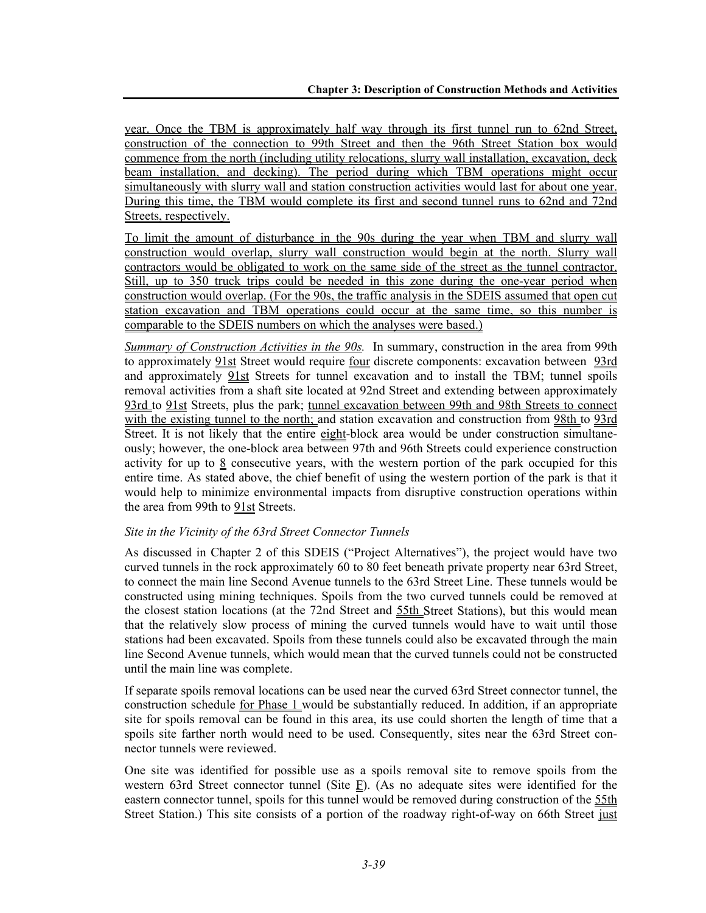year. Once the TBM is approximately half way through its first tunnel run to 62nd Street, construction of the connection to 99th Street and then the 96th Street Station box would commence from the north (including utility relocations, slurry wall installation, excavation, deck beam installation, and decking). The period during which TBM operations might occur simultaneously with slurry wall and station construction activities would last for about one year. During this time, the TBM would complete its first and second tunnel runs to 62nd and 72nd Streets, respectively.

To limit the amount of disturbance in the 90s during the year when TBM and slurry wall construction would overlap, slurry wall construction would begin at the north. Slurry wall contractors would be obligated to work on the same side of the street as the tunnel contractor. Still, up to 350 truck trips could be needed in this zone during the one-year period when construction would overlap. (For the 90s, the traffic analysis in the SDEIS assumed that open cut station excavation and TBM operations could occur at the same time, so this number is comparable to the SDEIS numbers on which the analyses were based.)

*Summary of Construction Activities in the 90s.* In summary, construction in the area from 99th to approximately 91st Street would require four discrete components: excavation between 93rd and approximately 91st Streets for tunnel excavation and to install the TBM; tunnel spoils removal activities from a shaft site located at 92nd Street and extending between approximately 93rd to 91st Streets, plus the park; tunnel excavation between 99th and 98th Streets to connect with the existing tunnel to the north; and station excavation and construction from 98th to 93rd Street. It is not likely that the entire eight-block area would be under construction simultaneously; however, the one-block area between 97th and 96th Streets could experience construction activity for up to  $\frac{8}{3}$  consecutive years, with the western portion of the park occupied for this entire time. As stated above, the chief benefit of using the western portion of the park is that it would help to minimize environmental impacts from disruptive construction operations within the area from 99th to 91st Streets.

# *Site in the Vicinity of the 63rd Street Connector Tunnels*

As discussed in Chapter 2 of this SDEIS ("Project Alternatives"), the project would have two curved tunnels in the rock approximately 60 to 80 feet beneath private property near 63rd Street, to connect the main line Second Avenue tunnels to the 63rd Street Line. These tunnels would be constructed using mining techniques. Spoils from the two curved tunnels could be removed at the closest station locations (at the 72nd Street and 55th Street Stations), but this would mean that the relatively slow process of mining the curved tunnels would have to wait until those stations had been excavated. Spoils from these tunnels could also be excavated through the main line Second Avenue tunnels, which would mean that the curved tunnels could not be constructed until the main line was complete.

If separate spoils removal locations can be used near the curved 63rd Street connector tunnel, the construction schedule for Phase 1 would be substantially reduced. In addition, if an appropriate site for spoils removal can be found in this area, its use could shorten the length of time that a spoils site farther north would need to be used. Consequently, sites near the 63rd Street connector tunnels were reviewed.

One site was identified for possible use as a spoils removal site to remove spoils from the western 63rd Street connector tunnel (Site  $F$ ). (As no adequate sites were identified for the eastern connector tunnel, spoils for this tunnel would be removed during construction of the 55th Street Station.) This site consists of a portion of the roadway right-of-way on 66th Street just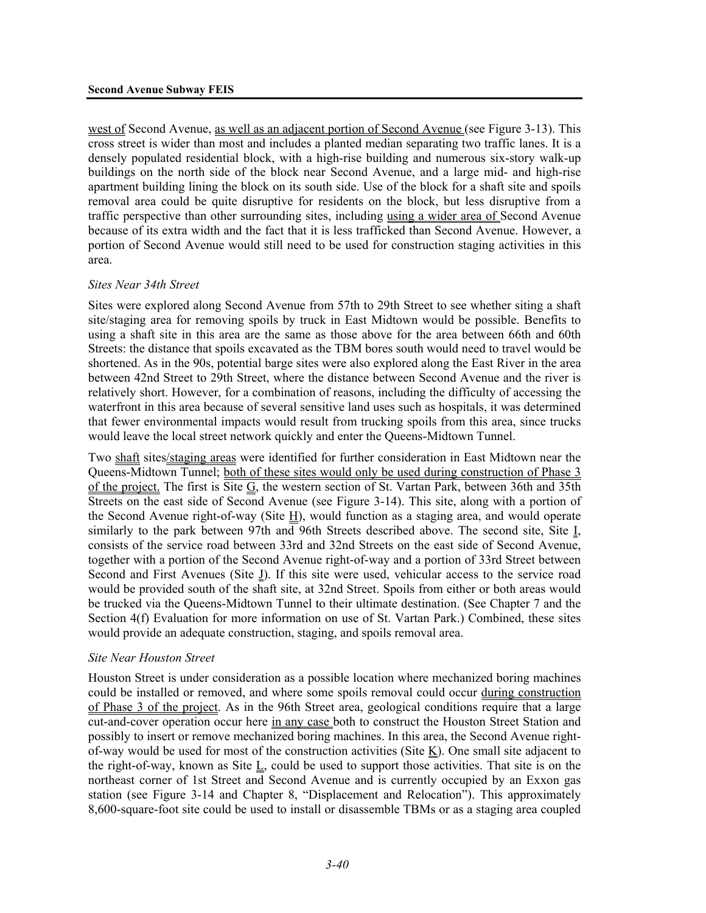west of Second Avenue, as well as an adjacent portion of Second Avenue (see Figure 3-13). This cross street is wider than most and includes a planted median separating two traffic lanes. It is a densely populated residential block, with a high-rise building and numerous six-story walk-up buildings on the north side of the block near Second Avenue, and a large mid- and high-rise apartment building lining the block on its south side. Use of the block for a shaft site and spoils removal area could be quite disruptive for residents on the block, but less disruptive from a traffic perspective than other surrounding sites, including using a wider area of Second Avenue because of its extra width and the fact that it is less trafficked than Second Avenue. However, a portion of Second Avenue would still need to be used for construction staging activities in this area.

#### *Sites Near 34th Street*

Sites were explored along Second Avenue from 57th to 29th Street to see whether siting a shaft site/staging area for removing spoils by truck in East Midtown would be possible. Benefits to using a shaft site in this area are the same as those above for the area between 66th and 60th Streets: the distance that spoils excavated as the TBM bores south would need to travel would be shortened. As in the 90s, potential barge sites were also explored along the East River in the area between 42nd Street to 29th Street, where the distance between Second Avenue and the river is relatively short. However, for a combination of reasons, including the difficulty of accessing the waterfront in this area because of several sensitive land uses such as hospitals, it was determined that fewer environmental impacts would result from trucking spoils from this area, since trucks would leave the local street network quickly and enter the Queens-Midtown Tunnel.

Two shaft sites/staging areas were identified for further consideration in East Midtown near the Queens-Midtown Tunnel; both of these sites would only be used during construction of Phase 3 of the project. The first is Site  $G$ , the western section of St. Vartan Park, between 36th and 35th Streets on the east side of Second Avenue (see Figure 3-14). This site, along with a portion of the Second Avenue right-of-way (Site H), would function as a staging area, and would operate similarly to the park between 97th and 96th Streets described above. The second site, Site I, consists of the service road between 33rd and 32nd Streets on the east side of Second Avenue, together with a portion of the Second Avenue right-of-way and a portion of 33rd Street between Second and First Avenues (Site *I*). If this site were used, vehicular access to the service road would be provided south of the shaft site, at 32nd Street. Spoils from either or both areas would be trucked via the Queens-Midtown Tunnel to their ultimate destination. (See Chapter 7 and the Section 4(f) Evaluation for more information on use of St. Vartan Park.) Combined, these sites would provide an adequate construction, staging, and spoils removal area.

#### *Site Near Houston Street*

Houston Street is under consideration as a possible location where mechanized boring machines could be installed or removed, and where some spoils removal could occur during construction of Phase 3 of the project. As in the 96th Street area, geological conditions require that a large cut-and-cover operation occur here in any case both to construct the Houston Street Station and possibly to insert or remove mechanized boring machines. In this area, the Second Avenue rightof-way would be used for most of the construction activities (Site  $K$ ). One small site adjacent to the right-of-way, known as Site L, could be used to support those activities. That site is on the northeast corner of 1st Street and Second Avenue and is currently occupied by an Exxon gas station (see Figure 3-14 and Chapter 8, "Displacement and Relocation"). This approximately 8,600-square-foot site could be used to install or disassemble TBMs or as a staging area coupled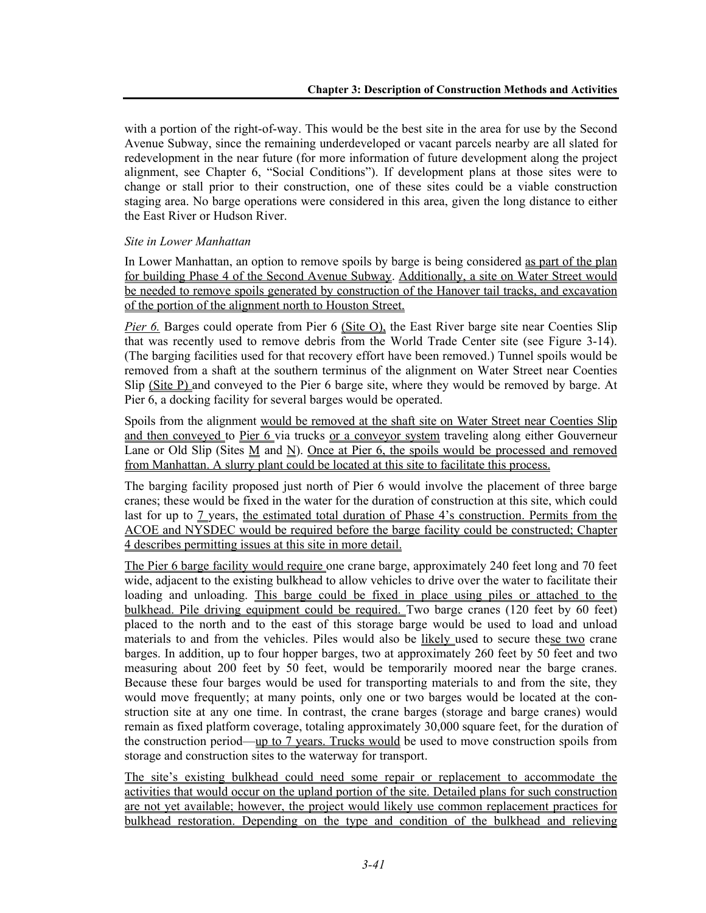with a portion of the right-of-way. This would be the best site in the area for use by the Second Avenue Subway, since the remaining underdeveloped or vacant parcels nearby are all slated for redevelopment in the near future (for more information of future development along the project alignment, see Chapter 6, "Social Conditions"). If development plans at those sites were to change or stall prior to their construction, one of these sites could be a viable construction staging area. No barge operations were considered in this area, given the long distance to either the East River or Hudson River.

### *Site in Lower Manhattan*

In Lower Manhattan, an option to remove spoils by barge is being considered as part of the plan for building Phase 4 of the Second Avenue Subway. Additionally, a site on Water Street would be needed to remove spoils generated by construction of the Hanover tail tracks, and excavation of the portion of the alignment north to Houston Street.

*Pier 6.* Barges could operate from Pier 6 (Site O), the East River barge site near Coenties Slip that was recently used to remove debris from the World Trade Center site (see Figure 3-14). (The barging facilities used for that recovery effort have been removed.) Tunnel spoils would be removed from a shaft at the southern terminus of the alignment on Water Street near Coenties Slip (Site P) and conveyed to the Pier 6 barge site, where they would be removed by barge. At Pier 6, a docking facility for several barges would be operated.

Spoils from the alignment would be removed at the shaft site on Water Street near Coenties Slip and then conveyed to Pier 6 via trucks or a conveyor system traveling along either Gouverneur Lane or Old Slip (Sites  $M$  and  $N$ ). Once at Pier 6, the spoils would be processed and removed from Manhattan. A slurry plant could be located at this site to facilitate this process.

The barging facility proposed just north of Pier 6 would involve the placement of three barge cranes; these would be fixed in the water for the duration of construction at this site, which could last for up to 7 years, the estimated total duration of Phase 4's construction. Permits from the ACOE and NYSDEC would be required before the barge facility could be constructed; Chapter 4 describes permitting issues at this site in more detail.

The Pier 6 barge facility would require one crane barge, approximately 240 feet long and 70 feet wide, adjacent to the existing bulkhead to allow vehicles to drive over the water to facilitate their loading and unloading. This barge could be fixed in place using piles or attached to the bulkhead. Pile driving equipment could be required. Two barge cranes (120 feet by 60 feet) placed to the north and to the east of this storage barge would be used to load and unload materials to and from the vehicles. Piles would also be likely used to secure these two crane barges. In addition, up to four hopper barges, two at approximately 260 feet by 50 feet and two measuring about 200 feet by 50 feet, would be temporarily moored near the barge cranes. Because these four barges would be used for transporting materials to and from the site, they would move frequently; at many points, only one or two barges would be located at the construction site at any one time. In contrast, the crane barges (storage and barge cranes) would remain as fixed platform coverage, totaling approximately 30,000 square feet, for the duration of the construction period—up to 7 years. Trucks would be used to move construction spoils from storage and construction sites to the waterway for transport.

The site's existing bulkhead could need some repair or replacement to accommodate the activities that would occur on the upland portion of the site. Detailed plans for such construction are not yet available; however, the project would likely use common replacement practices for bulkhead restoration. Depending on the type and condition of the bulkhead and relieving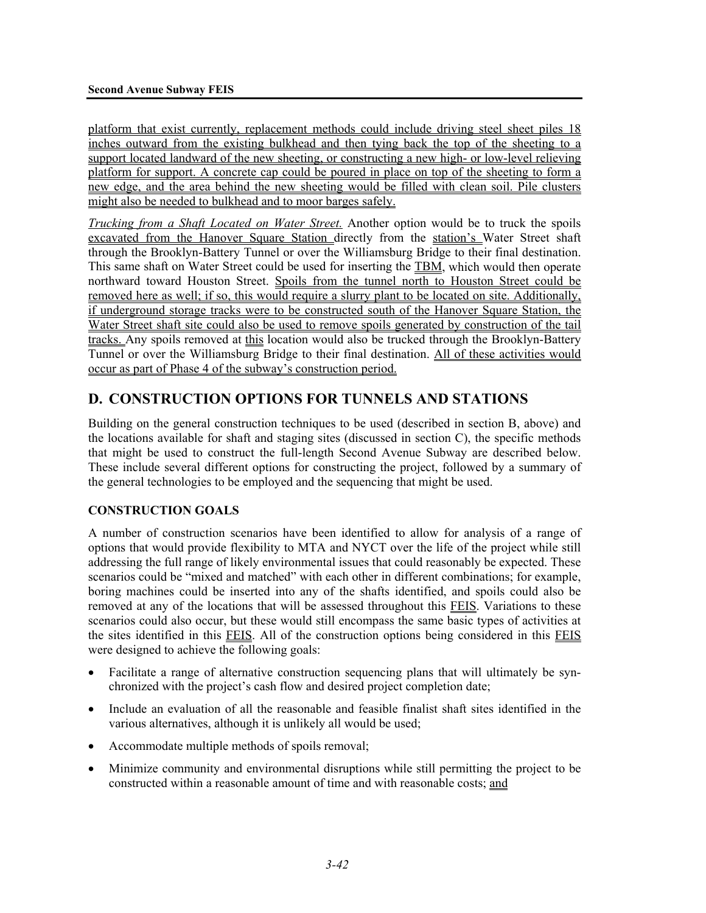platform that exist currently, replacement methods could include driving steel sheet piles 18 inches outward from the existing bulkhead and then tying back the top of the sheeting to a support located landward of the new sheeting, or constructing a new high- or low-level relieving platform for support. A concrete cap could be poured in place on top of the sheeting to form a new edge, and the area behind the new sheeting would be filled with clean soil. Pile clusters might also be needed to bulkhead and to moor barges safely.

*Trucking from a Shaft Located on Water Street.* Another option would be to truck the spoils excavated from the Hanover Square Station directly from the station's Water Street shaft through the Brooklyn-Battery Tunnel or over the Williamsburg Bridge to their final destination. This same shaft on Water Street could be used for inserting the TBM, which would then operate northward toward Houston Street. Spoils from the tunnel north to Houston Street could be removed here as well; if so, this would require a slurry plant to be located on site. Additionally, if underground storage tracks were to be constructed south of the Hanover Square Station, the Water Street shaft site could also be used to remove spoils generated by construction of the tail tracks. Any spoils removed at this location would also be trucked through the Brooklyn-Battery Tunnel or over the Williamsburg Bridge to their final destination. All of these activities would occur as part of Phase 4 of the subway's construction period.

# **D. CONSTRUCTION OPTIONS FOR TUNNELS AND STATIONS**

Building on the general construction techniques to be used (described in section B, above) and the locations available for shaft and staging sites (discussed in section C), the specific methods that might be used to construct the full-length Second Avenue Subway are described below. These include several different options for constructing the project, followed by a summary of the general technologies to be employed and the sequencing that might be used.

# **CONSTRUCTION GOALS**

A number of construction scenarios have been identified to allow for analysis of a range of options that would provide flexibility to MTA and NYCT over the life of the project while still addressing the full range of likely environmental issues that could reasonably be expected. These scenarios could be "mixed and matched" with each other in different combinations; for example, boring machines could be inserted into any of the shafts identified, and spoils could also be removed at any of the locations that will be assessed throughout this FEIS. Variations to these scenarios could also occur, but these would still encompass the same basic types of activities at the sites identified in this FEIS. All of the construction options being considered in this FEIS were designed to achieve the following goals:

- Facilitate a range of alternative construction sequencing plans that will ultimately be synchronized with the project's cash flow and desired project completion date;
- Include an evaluation of all the reasonable and feasible finalist shaft sites identified in the various alternatives, although it is unlikely all would be used;
- Accommodate multiple methods of spoils removal;
- Minimize community and environmental disruptions while still permitting the project to be constructed within a reasonable amount of time and with reasonable costs; and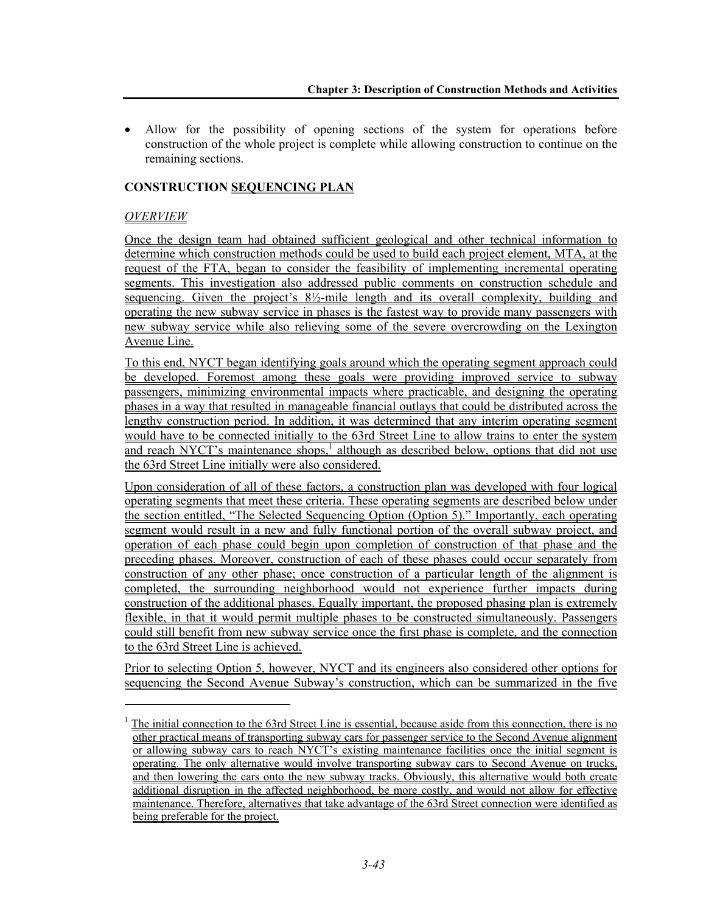• Allow for the possibility of opening sections of the system for operations before construction of the whole project is complete while allowing construction to continue on the remaining sections.

# **CONSTRUCTION SEQUENCING PLAN**

# *OVERVIEW*

l

Once the design team had obtained sufficient geological and other technical information to determine which construction methods could be used to build each project element, MTA, at the request of the FTA, began to consider the feasibility of implementing incremental operating segments. This investigation also addressed public comments on construction schedule and sequencing. Given the project's  $8\frac{1}{2}$ -mile length and its overall complexity, building and operating the new subway service in phases is the fastest way to provide many passengers with new subway service while also relieving some of the severe overcrowding on the Lexington Avenue Line.

To this end, NYCT began identifying goals around which the operating segment approach could be developed. Foremost among these goals were providing improved service to subway passengers, minimizing environmental impacts where practicable, and designing the operating phases in a way that resulted in manageable financial outlays that could be distributed across the lengthy construction period. In addition, it was determined that any interim operating segment would have to be connected initially to the 63rd Street Line to allow trains to enter the system and reach NYCT's maintenance shops,<sup>1</sup> although as described below, options that did not use the 63rd Street Line initially were also considered.

Upon consideration of all of these factors, a construction plan was developed with four logical operating segments that meet these criteria. These operating segments are described below under the section entitled, "The Selected Sequencing Option (Option 5)." Importantly, each operating segment would result in a new and fully functional portion of the overall subway project, and operation of each phase could begin upon completion of construction of that phase and the preceding phases. Moreover, construction of each of these phases could occur separately from construction of any other phase; once construction of a particular length of the alignment is completed, the surrounding neighborhood would not experience further impacts during construction of the additional phases. Equally important, the proposed phasing plan is extremely flexible, in that it would permit multiple phases to be constructed simultaneously. Passengers could still benefit from new subway service once the first phase is complete, and the connection to the 63rd Street Line is achieved.

Prior to selecting Option 5, however, NYCT and its engineers also considered other options for sequencing the Second Avenue Subway's construction, which can be summarized in the five

 $1$  The initial connection to the 63rd Street Line is essential, because aside from this connection, there is no other practical means of transporting subway cars for passenger service to the Second Avenue alignment or allowing subway cars to reach NYCT's existing maintenance facilities once the initial segment is operating. The only alternative would involve transporting subway cars to Second Avenue on trucks, and then lowering the cars onto the new subway tracks. Obviously, this alternative would both create additional disruption in the affected neighborhood, be more costly, and would not allow for effective maintenance. Therefore, alternatives that take advantage of the 63rd Street connection were identified as being preferable for the project.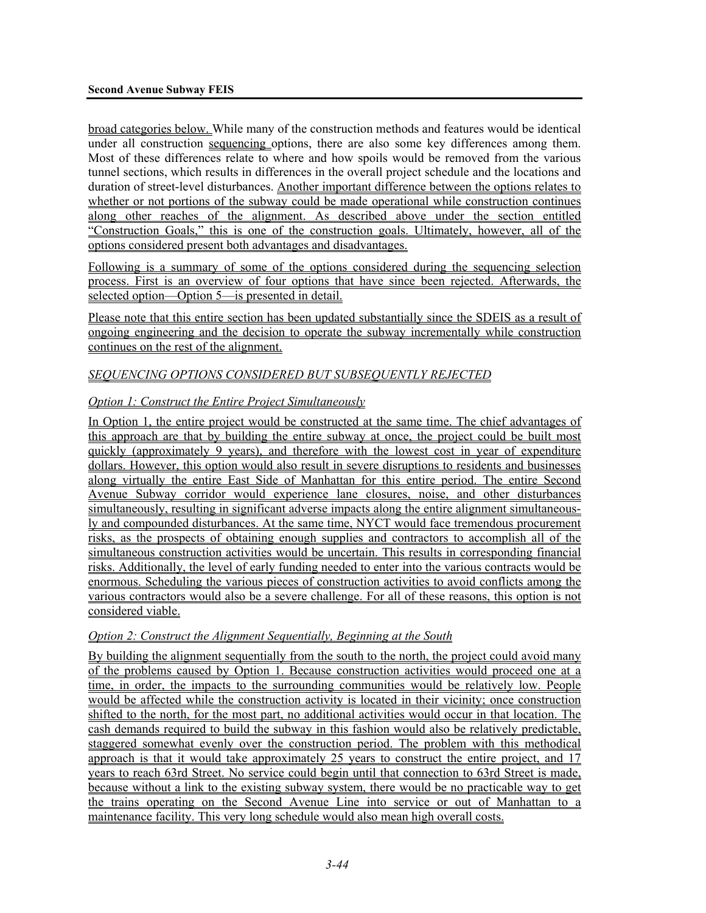broad categories below. While many of the construction methods and features would be identical under all construction sequencing options, there are also some key differences among them. Most of these differences relate to where and how spoils would be removed from the various tunnel sections, which results in differences in the overall project schedule and the locations and duration of street-level disturbances. Another important difference between the options relates to whether or not portions of the subway could be made operational while construction continues along other reaches of the alignment. As described above under the section entitled "Construction Goals," this is one of the construction goals. Ultimately, however, all of the options considered present both advantages and disadvantages.

Following is a summary of some of the options considered during the sequencing selection process. First is an overview of four options that have since been rejected. Afterwards, the selected option—Option 5—is presented in detail.

Please note that this entire section has been updated substantially since the SDEIS as a result of ongoing engineering and the decision to operate the subway incrementally while construction continues on the rest of the alignment.

### *SEQUENCING OPTIONS CONSIDERED BUT SUBSEQUENTLY REJECTED*

### *Option 1: Construct the Entire Project Simultaneously*

In Option 1, the entire project would be constructed at the same time. The chief advantages of this approach are that by building the entire subway at once, the project could be built most quickly (approximately 9 years), and therefore with the lowest cost in year of expenditure dollars. However, this option would also result in severe disruptions to residents and businesses along virtually the entire East Side of Manhattan for this entire period. The entire Second Avenue Subway corridor would experience lane closures, noise, and other disturbances simultaneously, resulting in significant adverse impacts along the entire alignment simultaneously and compounded disturbances. At the same time, NYCT would face tremendous procurement risks, as the prospects of obtaining enough supplies and contractors to accomplish all of the simultaneous construction activities would be uncertain. This results in corresponding financial risks. Additionally, the level of early funding needed to enter into the various contracts would be enormous. Scheduling the various pieces of construction activities to avoid conflicts among the various contractors would also be a severe challenge. For all of these reasons, this option is not considered viable.

#### *Option 2: Construct the Alignment Sequentially, Beginning at the South*

By building the alignment sequentially from the south to the north, the project could avoid many of the problems caused by Option 1. Because construction activities would proceed one at a time, in order, the impacts to the surrounding communities would be relatively low. People would be affected while the construction activity is located in their vicinity; once construction shifted to the north, for the most part, no additional activities would occur in that location. The cash demands required to build the subway in this fashion would also be relatively predictable, staggered somewhat evenly over the construction period. The problem with this methodical approach is that it would take approximately 25 years to construct the entire project, and 17 years to reach 63rd Street. No service could begin until that connection to 63rd Street is made, because without a link to the existing subway system, there would be no practicable way to get the trains operating on the Second Avenue Line into service or out of Manhattan to a maintenance facility. This very long schedule would also mean high overall costs.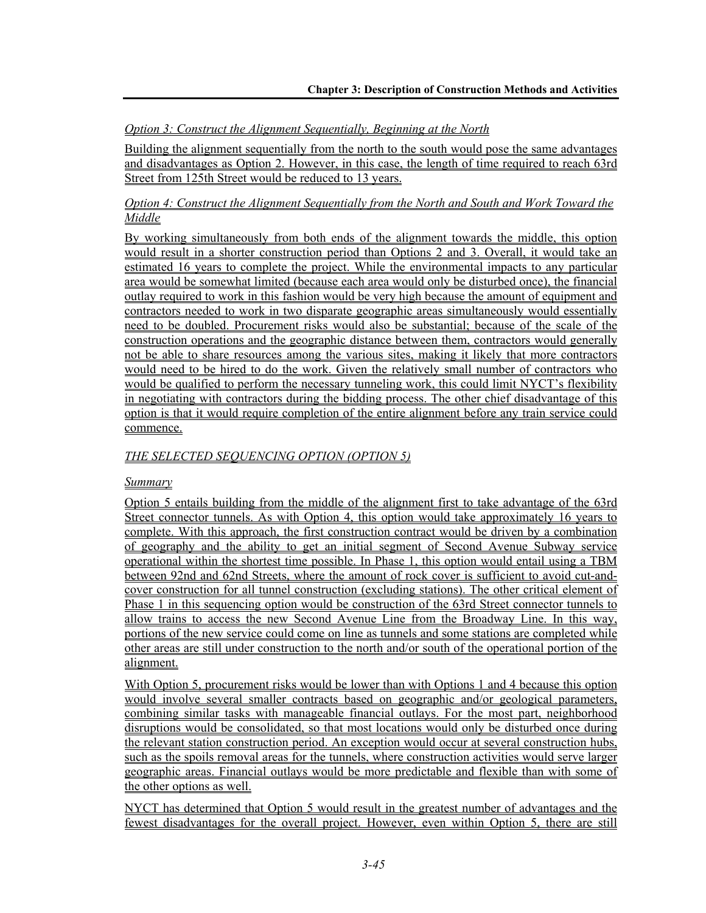*Option 3: Construct the Alignment Sequentially, Beginning at the North* 

Building the alignment sequentially from the north to the south would pose the same advantages and disadvantages as Option 2. However, in this case, the length of time required to reach 63rd Street from 125th Street would be reduced to 13 years.

## *Option 4: Construct the Alignment Sequentially from the North and South and Work Toward the Middle*

By working simultaneously from both ends of the alignment towards the middle, this option would result in a shorter construction period than Options 2 and 3. Overall, it would take an estimated 16 years to complete the project. While the environmental impacts to any particular area would be somewhat limited (because each area would only be disturbed once), the financial outlay required to work in this fashion would be very high because the amount of equipment and contractors needed to work in two disparate geographic areas simultaneously would essentially need to be doubled. Procurement risks would also be substantial; because of the scale of the construction operations and the geographic distance between them, contractors would generally not be able to share resources among the various sites, making it likely that more contractors would need to be hired to do the work. Given the relatively small number of contractors who would be qualified to perform the necessary tunneling work, this could limit NYCT's flexibility in negotiating with contractors during the bidding process. The other chief disadvantage of this option is that it would require completion of the entire alignment before any train service could commence.

# *THE SELECTED SEQUENCING OPTION (OPTION 5)*

# *Summary*

Option 5 entails building from the middle of the alignment first to take advantage of the 63rd Street connector tunnels. As with Option 4, this option would take approximately 16 years to complete. With this approach, the first construction contract would be driven by a combination of geography and the ability to get an initial segment of Second Avenue Subway service operational within the shortest time possible. In Phase 1, this option would entail using a TBM between 92nd and 62nd Streets, where the amount of rock cover is sufficient to avoid cut-andcover construction for all tunnel construction (excluding stations). The other critical element of Phase 1 in this sequencing option would be construction of the 63rd Street connector tunnels to allow trains to access the new Second Avenue Line from the Broadway Line. In this way, portions of the new service could come on line as tunnels and some stations are completed while other areas are still under construction to the north and/or south of the operational portion of the alignment.

With Option 5, procurement risks would be lower than with Options 1 and 4 because this option would involve several smaller contracts based on geographic and/or geological parameters, combining similar tasks with manageable financial outlays. For the most part, neighborhood disruptions would be consolidated, so that most locations would only be disturbed once during the relevant station construction period. An exception would occur at several construction hubs, such as the spoils removal areas for the tunnels, where construction activities would serve larger geographic areas. Financial outlays would be more predictable and flexible than with some of the other options as well.

NYCT has determined that Option 5 would result in the greatest number of advantages and the fewest disadvantages for the overall project. However, even within Option 5, there are still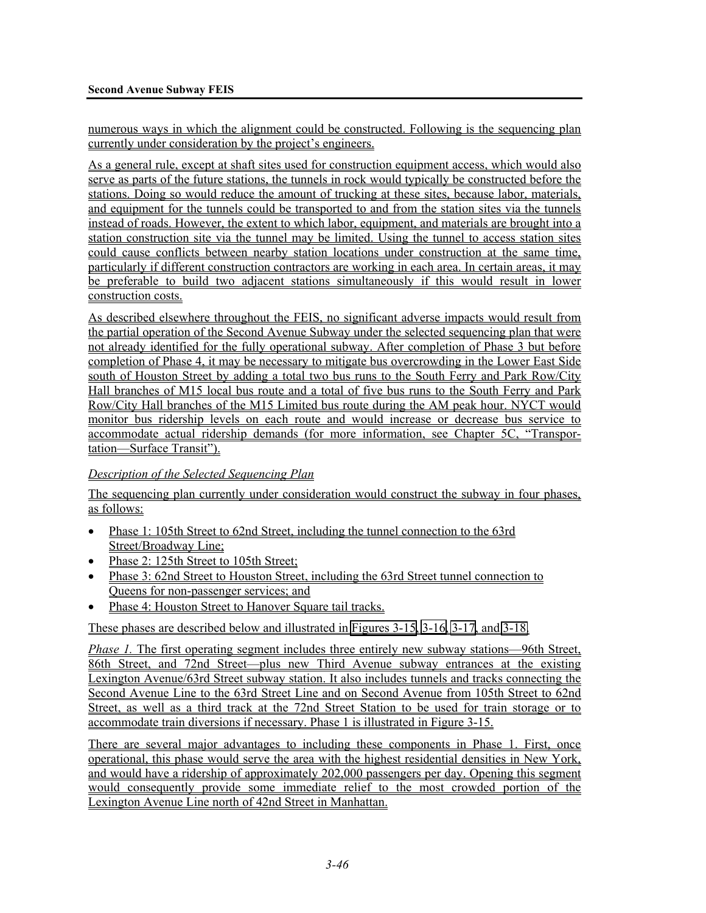numerous ways in which the alignment could be constructed. Following is the sequencing plan currently under consideration by the project's engineers.

As a general rule, except at shaft sites used for construction equipment access, which would also serve as parts of the future stations, the tunnels in rock would typically be constructed before the stations. Doing so would reduce the amount of trucking at these sites, because labor, materials, and equipment for the tunnels could be transported to and from the station sites via the tunnels instead of roads. However, the extent to which labor, equipment, and materials are brought into a station construction site via the tunnel may be limited. Using the tunnel to access station sites could cause conflicts between nearby station locations under construction at the same time, particularly if different construction contractors are working in each area. In certain areas, it may be preferable to build two adjacent stations simultaneously if this would result in lower construction costs.

As described elsewhere throughout the FEIS, no significant adverse impacts would result from the partial operation of the Second Avenue Subway under the selected sequencing plan that were not already identified for the fully operational subway. After completion of Phase 3 but before completion of Phase 4, it may be necessary to mitigate bus overcrowding in the Lower East Side south of Houston Street by adding a total two bus runs to the South Ferry and Park Row/City Hall branches of M15 local bus route and a total of five bus runs to the South Ferry and Park Row/City Hall branches of the M15 Limited bus route during the AM peak hour. NYCT would monitor bus ridership levels on each route and would increase or decrease bus service to accommodate actual ridership demands (for more information, see Chapter 5C, "Transportation—Surface Transit").

#### *Description of the Selected Sequencing Plan*

The sequencing plan currently under consideration would construct the subway in four phases, as follows:

- Phase 1: 105th Street to 62nd Street, including the tunnel connection to the 63rd Street/Broadway Line;
- Phase 2: 125th Street to 105th Street;
- Phase 3: 62nd Street to Houston Street, including the 63rd Street tunnel connection to Queens for non-passenger services; and
- Phase 4: Houston Street to Hanover Square tail tracks.

These phases are described below and illustrated in Figures 3-15, 3-16, 3-17, and 3-18.

*Phase 1.* The first operating segment includes three entirely new subway stations—96th Street, 86th Street, and 72nd Street—plus new Third Avenue subway entrances at the existing Lexington Avenue/63rd Street subway station. It also includes tunnels and tracks connecting the Second Avenue Line to the 63rd Street Line and on Second Avenue from 105th Street to 62nd Street, as well as a third track at the 72nd Street Station to be used for train storage or to accommodate train diversions if necessary. Phase 1 is illustrated in Figure 3-15.

There are several major advantages to including these components in Phase 1. First, once operational, this phase would serve the area with the highest residential densities in New York, and would have a ridership of approximately 202,000 passengers per day. Opening this segment would consequently provide some immediate relief to the most crowded portion of the Lexington Avenue Line north of 42nd Street in Manhattan.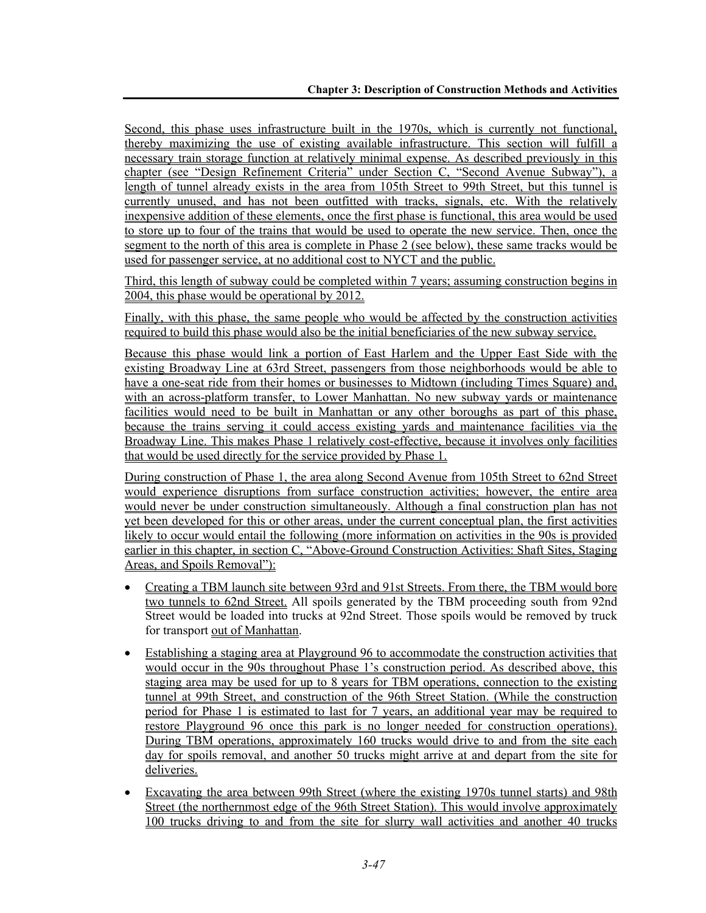Second, this phase uses infrastructure built in the 1970s, which is currently not functional, thereby maximizing the use of existing available infrastructure. This section will fulfill a necessary train storage function at relatively minimal expense. As described previously in this chapter (see "Design Refinement Criteria" under Section C, "Second Avenue Subway"), a length of tunnel already exists in the area from 105th Street to 99th Street, but this tunnel is currently unused, and has not been outfitted with tracks, signals, etc. With the relatively inexpensive addition of these elements, once the first phase is functional, this area would be used to store up to four of the trains that would be used to operate the new service. Then, once the segment to the north of this area is complete in Phase 2 (see below), these same tracks would be used for passenger service, at no additional cost to NYCT and the public.

Third, this length of subway could be completed within 7 years; assuming construction begins in 2004, this phase would be operational by 2012.

Finally, with this phase, the same people who would be affected by the construction activities required to build this phase would also be the initial beneficiaries of the new subway service.

Because this phase would link a portion of East Harlem and the Upper East Side with the existing Broadway Line at 63rd Street, passengers from those neighborhoods would be able to have a one-seat ride from their homes or businesses to Midtown (including Times Square) and, with an across-platform transfer, to Lower Manhattan. No new subway yards or maintenance facilities would need to be built in Manhattan or any other boroughs as part of this phase, because the trains serving it could access existing yards and maintenance facilities via the Broadway Line. This makes Phase 1 relatively cost-effective, because it involves only facilities that would be used directly for the service provided by Phase 1.

During construction of Phase 1, the area along Second Avenue from 105th Street to 62nd Street would experience disruptions from surface construction activities; however, the entire area would never be under construction simultaneously. Although a final construction plan has not yet been developed for this or other areas, under the current conceptual plan, the first activities likely to occur would entail the following (more information on activities in the 90s is provided earlier in this chapter, in section C, "Above-Ground Construction Activities: Shaft Sites, Staging Areas, and Spoils Removal"):

- Creating a TBM launch site between 93rd and 91st Streets. From there, the TBM would bore two tunnels to 62nd Street. All spoils generated by the TBM proceeding south from 92nd Street would be loaded into trucks at 92nd Street. Those spoils would be removed by truck for transport out of Manhattan.
- Establishing a staging area at Playground 96 to accommodate the construction activities that would occur in the 90s throughout Phase 1's construction period. As described above, this staging area may be used for up to 8 years for TBM operations, connection to the existing tunnel at 99th Street, and construction of the 96th Street Station. (While the construction period for Phase 1 is estimated to last for 7 years, an additional year may be required to restore Playground 96 once this park is no longer needed for construction operations). During TBM operations, approximately 160 trucks would drive to and from the site each day for spoils removal, and another 50 trucks might arrive at and depart from the site for deliveries.
- Excavating the area between 99th Street (where the existing 1970s tunnel starts) and 98th Street (the northernmost edge of the 96th Street Station). This would involve approximately 100 trucks driving to and from the site for slurry wall activities and another 40 trucks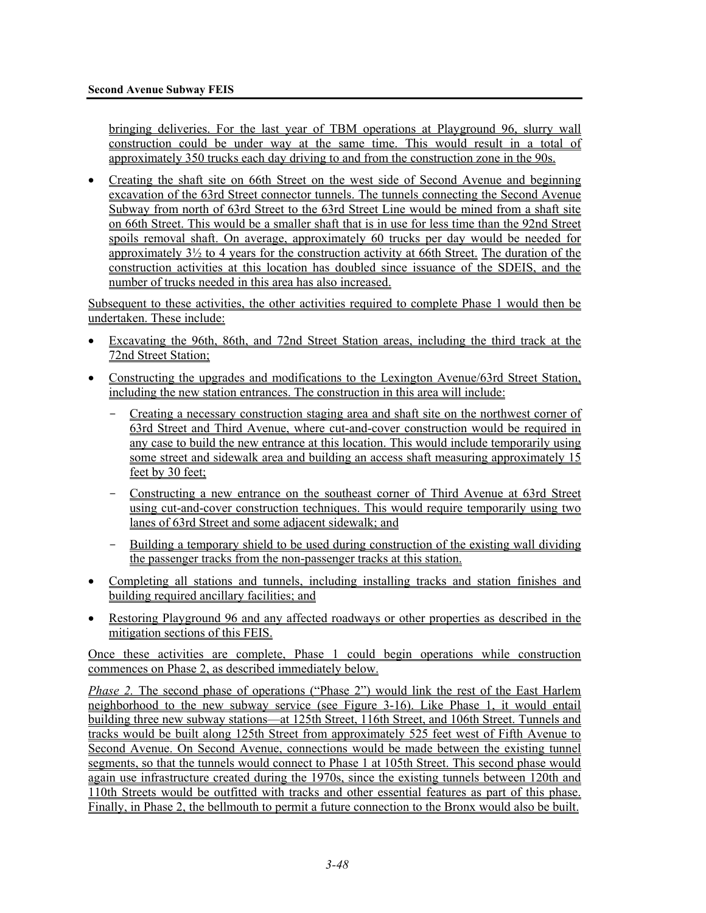bringing deliveries. For the last year of TBM operations at Playground 96, slurry wall construction could be under way at the same time. This would result in a total of approximately 350 trucks each day driving to and from the construction zone in the 90s.

• Creating the shaft site on 66th Street on the west side of Second Avenue and beginning excavation of the 63rd Street connector tunnels. The tunnels connecting the Second Avenue Subway from north of 63rd Street to the 63rd Street Line would be mined from a shaft site on 66th Street. This would be a smaller shaft that is in use for less time than the 92nd Street spoils removal shaft. On average, approximately 60 trucks per day would be needed for approximately 3½ to 4 years for the construction activity at 66th Street. The duration of the construction activities at this location has doubled since issuance of the SDEIS, and the number of trucks needed in this area has also increased.

Subsequent to these activities, the other activities required to complete Phase 1 would then be undertaken. These include:

- Excavating the 96th, 86th, and 72nd Street Station areas, including the third track at the 72nd Street Station;
- Constructing the upgrades and modifications to the Lexington Avenue/63rd Street Station, including the new station entrances. The construction in this area will include:
	- Creating a necessary construction staging area and shaft site on the northwest corner of 63rd Street and Third Avenue, where cut-and-cover construction would be required in any case to build the new entrance at this location. This would include temporarily using some street and sidewalk area and building an access shaft measuring approximately 15 feet by 30 feet;
	- Constructing a new entrance on the southeast corner of Third Avenue at 63rd Street using cut-and-cover construction techniques. This would require temporarily using two lanes of 63rd Street and some adjacent sidewalk; and
	- Building a temporary shield to be used during construction of the existing wall dividing the passenger tracks from the non-passenger tracks at this station.
- Completing all stations and tunnels, including installing tracks and station finishes and building required ancillary facilities; and
- Restoring Playground 96 and any affected roadways or other properties as described in the mitigation sections of this FEIS.

Once these activities are complete, Phase 1 could begin operations while construction commences on Phase 2, as described immediately below.

*Phase 2.* The second phase of operations ("Phase 2") would link the rest of the East Harlem neighborhood to the new subway service (see Figure 3-16). Like Phase 1, it would entail building three new subway stations—at 125th Street, 116th Street, and 106th Street. Tunnels and tracks would be built along 125th Street from approximately 525 feet west of Fifth Avenue to Second Avenue. On Second Avenue, connections would be made between the existing tunnel segments, so that the tunnels would connect to Phase 1 at 105th Street. This second phase would again use infrastructure created during the 1970s, since the existing tunnels between 120th and 110th Streets would be outfitted with tracks and other essential features as part of this phase. Finally, in Phase 2, the bellmouth to permit a future connection to the Bronx would also be built.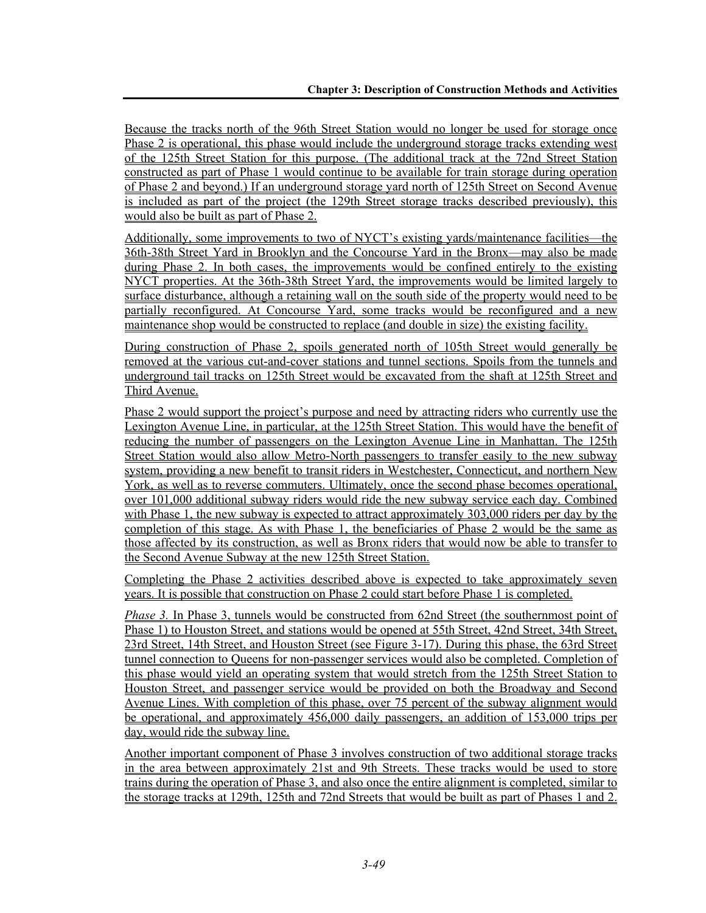Because the tracks north of the 96th Street Station would no longer be used for storage once Phase 2 is operational, this phase would include the underground storage tracks extending west of the 125th Street Station for this purpose. (The additional track at the 72nd Street Station constructed as part of Phase 1 would continue to be available for train storage during operation of Phase 2 and beyond.) If an underground storage yard north of 125th Street on Second Avenue is included as part of the project (the 129th Street storage tracks described previously), this would also be built as part of Phase 2.

Additionally, some improvements to two of NYCT's existing yards/maintenance facilities—the 36th-38th Street Yard in Brooklyn and the Concourse Yard in the Bronx—may also be made during Phase 2. In both cases, the improvements would be confined entirely to the existing NYCT properties. At the 36th-38th Street Yard, the improvements would be limited largely to surface disturbance, although a retaining wall on the south side of the property would need to be partially reconfigured. At Concourse Yard, some tracks would be reconfigured and a new maintenance shop would be constructed to replace (and double in size) the existing facility.

During construction of Phase 2, spoils generated north of 105th Street would generally be removed at the various cut-and-cover stations and tunnel sections. Spoils from the tunnels and underground tail tracks on 125th Street would be excavated from the shaft at 125th Street and Third Avenue.

Phase 2 would support the project's purpose and need by attracting riders who currently use the Lexington Avenue Line, in particular, at the 125th Street Station. This would have the benefit of reducing the number of passengers on the Lexington Avenue Line in Manhattan. The 125th Street Station would also allow Metro-North passengers to transfer easily to the new subway system, providing a new benefit to transit riders in Westchester, Connecticut, and northern New York, as well as to reverse commuters. Ultimately, once the second phase becomes operational, over 101,000 additional subway riders would ride the new subway service each day. Combined with Phase 1, the new subway is expected to attract approximately 303,000 riders per day by the completion of this stage. As with Phase 1, the beneficiaries of Phase 2 would be the same as those affected by its construction, as well as Bronx riders that would now be able to transfer to the Second Avenue Subway at the new 125th Street Station.

Completing the Phase 2 activities described above is expected to take approximately seven years. It is possible that construction on Phase 2 could start before Phase 1 is completed.

*Phase 3.* In Phase 3, tunnels would be constructed from 62nd Street (the southernmost point of Phase 1) to Houston Street, and stations would be opened at 55th Street, 42nd Street, 34th Street, 23rd Street, 14th Street, and Houston Street (see Figure 3-17). During this phase, the 63rd Street tunnel connection to Queens for non-passenger services would also be completed. Completion of this phase would yield an operating system that would stretch from the 125th Street Station to Houston Street, and passenger service would be provided on both the Broadway and Second Avenue Lines. With completion of this phase, over 75 percent of the subway alignment would be operational, and approximately 456,000 daily passengers, an addition of 153,000 trips per day, would ride the subway line.

Another important component of Phase 3 involves construction of two additional storage tracks in the area between approximately 21st and 9th Streets. These tracks would be used to store trains during the operation of Phase 3, and also once the entire alignment is completed, similar to the storage tracks at 129th, 125th and 72nd Streets that would be built as part of Phases 1 and 2.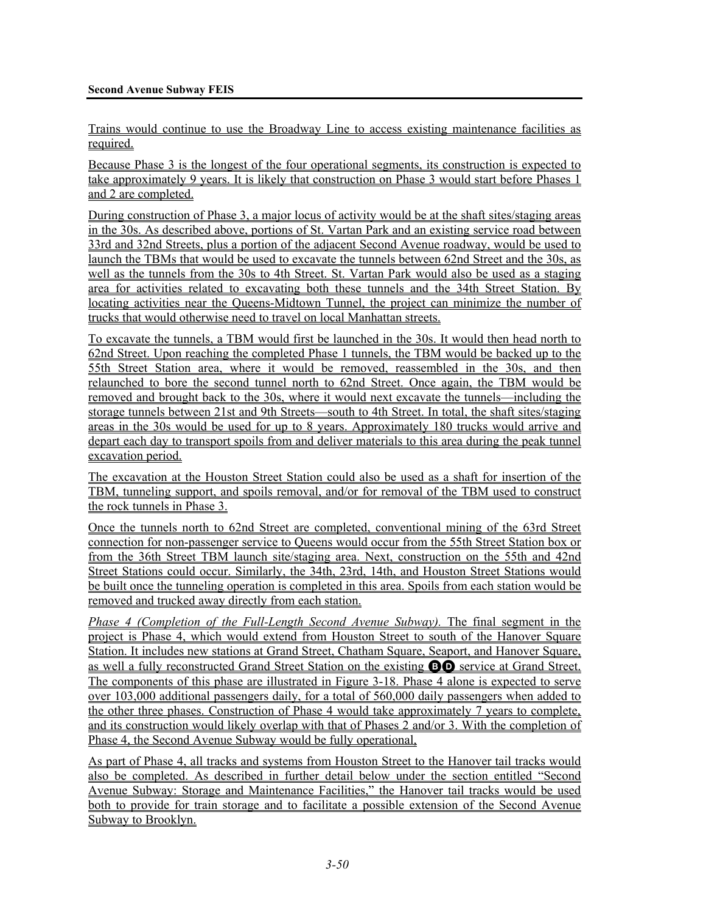Trains would continue to use the Broadway Line to access existing maintenance facilities as required.

Because Phase 3 is the longest of the four operational segments, its construction is expected to take approximately 9 years. It is likely that construction on Phase 3 would start before Phases 1 and 2 are completed.

During construction of Phase 3, a major locus of activity would be at the shaft sites/staging areas in the 30s. As described above, portions of St. Vartan Park and an existing service road between 33rd and 32nd Streets, plus a portion of the adjacent Second Avenue roadway, would be used to launch the TBMs that would be used to excavate the tunnels between 62nd Street and the 30s, as well as the tunnels from the 30s to 4th Street. St. Vartan Park would also be used as a staging area for activities related to excavating both these tunnels and the 34th Street Station. By locating activities near the Queens-Midtown Tunnel, the project can minimize the number of trucks that would otherwise need to travel on local Manhattan streets.

To excavate the tunnels, a TBM would first be launched in the 30s. It would then head north to 62nd Street. Upon reaching the completed Phase 1 tunnels, the TBM would be backed up to the 55th Street Station area, where it would be removed, reassembled in the 30s, and then relaunched to bore the second tunnel north to 62nd Street. Once again, the TBM would be removed and brought back to the 30s, where it would next excavate the tunnels—including the storage tunnels between 21st and 9th Streets—south to 4th Street. In total, the shaft sites/staging areas in the 30s would be used for up to 8 years. Approximately 180 trucks would arrive and depart each day to transport spoils from and deliver materials to this area during the peak tunnel excavation period.

The excavation at the Houston Street Station could also be used as a shaft for insertion of the TBM, tunneling support, and spoils removal, and/or for removal of the TBM used to construct the rock tunnels in Phase 3.

Once the tunnels north to 62nd Street are completed, conventional mining of the 63rd Street connection for non-passenger service to Queens would occur from the 55th Street Station box or from the 36th Street TBM launch site/staging area. Next, construction on the 55th and 42nd Street Stations could occur. Similarly, the 34th, 23rd, 14th, and Houston Street Stations would be built once the tunneling operation is completed in this area. Spoils from each station would be removed and trucked away directly from each station.

*Phase 4 (Completion of the Full-Length Second Avenue Subway).* The final segment in the project is Phase 4, which would extend from Houston Street to south of the Hanover Square Station. It includes new stations at Grand Street, Chatham Square, Seaport, and Hanover Square, as well a fully reconstructed Grand Street Station on the existing BD service at Grand Street. The components of this phase are illustrated in Figure 3-18. Phase 4 alone is expected to serve over 103,000 additional passengers daily, for a total of 560,000 daily passengers when added to the other three phases. Construction of Phase 4 would take approximately 7 years to complete, and its construction would likely overlap with that of Phases 2 and/or 3. With the completion of Phase 4, the Second Avenue Subway would be fully operational,

As part of Phase 4, all tracks and systems from Houston Street to the Hanover tail tracks would also be completed. As described in further detail below under the section entitled "Second Avenue Subway: Storage and Maintenance Facilities," the Hanover tail tracks would be used both to provide for train storage and to facilitate a possible extension of the Second Avenue Subway to Brooklyn.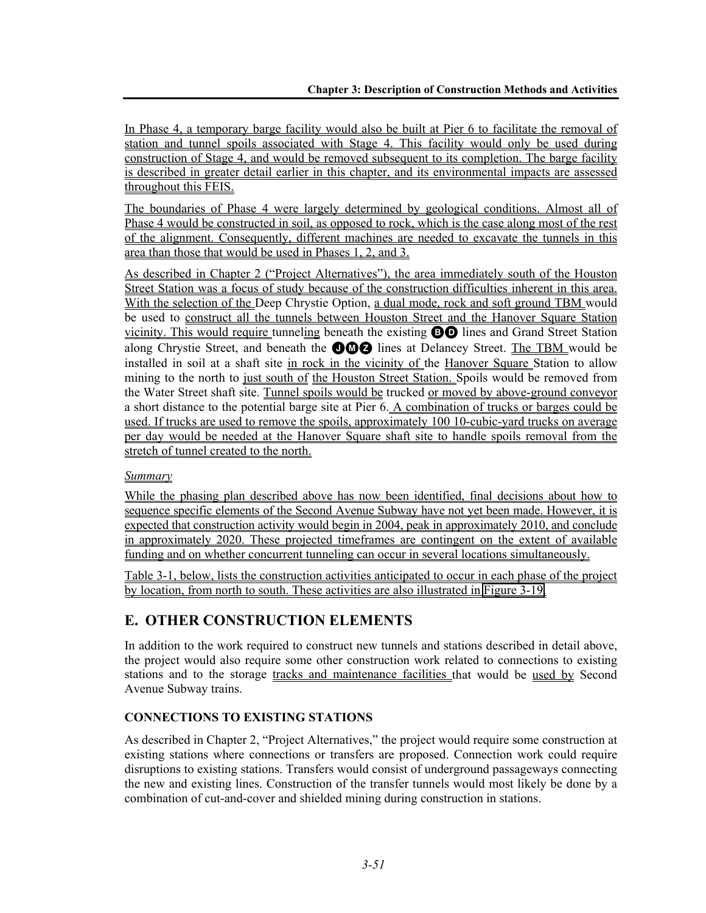In Phase 4, a temporary barge facility would also be built at Pier 6 to facilitate the removal of station and tunnel spoils associated with Stage 4. This facility would only be used during construction of Stage 4, and would be removed subsequent to its completion. The barge facility is described in greater detail earlier in this chapter, and its environmental impacts are assessed throughout this FEIS.

The boundaries of Phase 4 were largely determined by geological conditions. Almost all of Phase 4 would be constructed in soil, as opposed to rock, which is the case along most of the rest of the alignment. Consequently, different machines are needed to excavate the tunnels in this area than those that would be used in Phases 1, 2, and 3.

As described in Chapter 2 ("Project Alternatives"), the area immediately south of the Houston Street Station was a focus of study because of the construction difficulties inherent in this area. With the selection of the Deep Chrystie Option, a dual mode, rock and soft ground TBM would be used to construct all the tunnels between Houston Street and the Hanover Square Station vicinity. This would require tunneling beneath the existing BD lines and Grand Street Station along Chrystie Street, and beneath the  $\bigcirc \hspace{-0.1cm} \bullet \hspace{-0.1cm} \bullet$  Ines at Delancey Street. The TBM would be installed in soil at a shaft site in rock in the vicinity of the Hanover Square Station to allow mining to the north to just south of the Houston Street Station. Spoils would be removed from the Water Street shaft site. Tunnel spoils would be trucked or moved by above-ground conveyor a short distance to the potential barge site at Pier 6. A combination of trucks or barges could be used. If trucks are used to remove the spoils, approximately 100 10-cubic-yard trucks on average per day would be needed at the Hanover Square shaft site to handle spoils removal from the stretch of tunnel created to the north.

# *Summary*

While the phasing plan described above has now been identified, final decisions about how to sequence specific elements of the Second Avenue Subway have not yet been made. However, it is expected that construction activity would begin in 2004, peak in approximately 2010, and conclude in approximately 2020. These projected timeframes are contingent on the extent of available funding and on whether concurrent tunneling can occur in several locations simultaneously.

Table 3-1, below, lists the construction activities anticipated to occur in each phase of the project by location, from north to south. These activities are also illustrated in Figure 3-19.

# **E. OTHER CONSTRUCTION ELEMENTS**

In addition to the work required to construct new tunnels and stations described in detail above, the project would also require some other construction work related to connections to existing stations and to the storage tracks and maintenance facilities that would be used by Second Avenue Subway trains.

# **CONNECTIONS TO EXISTING STATIONS**

As described in Chapter 2, "Project Alternatives," the project would require some construction at existing stations where connections or transfers are proposed. Connection work could require disruptions to existing stations. Transfers would consist of underground passageways connecting the new and existing lines. Construction of the transfer tunnels would most likely be done by a combination of cut-and-cover and shielded mining during construction in stations.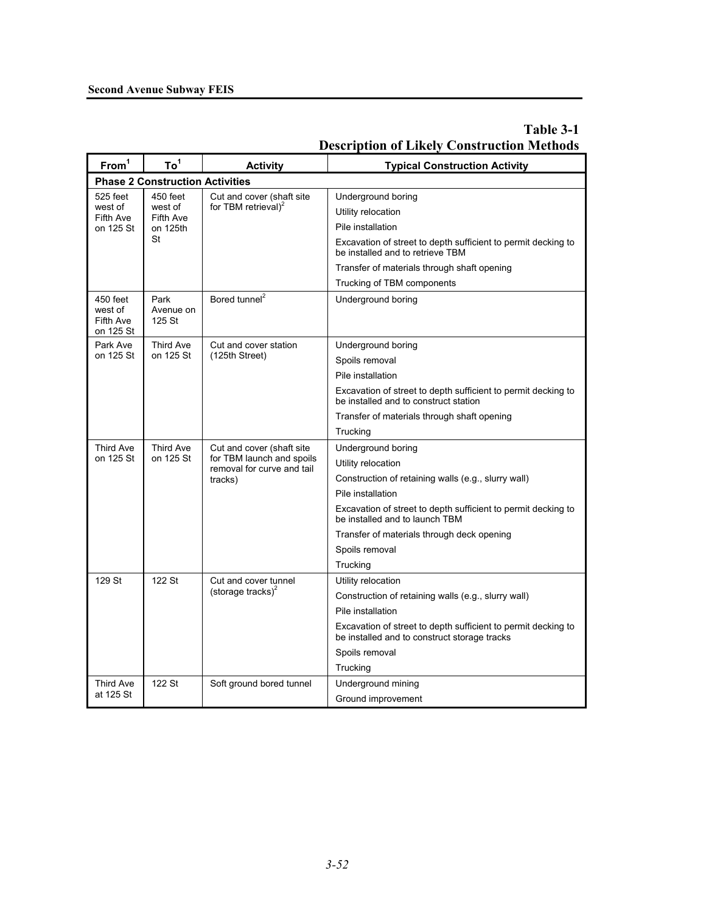## **Second Avenue Subway FEIS**

| From <sup>1</sup>                             | To <sup>1</sup>                        | <b>Activity</b>                                         | <b>Typical Construction Activity</b>                                                                          |  |
|-----------------------------------------------|----------------------------------------|---------------------------------------------------------|---------------------------------------------------------------------------------------------------------------|--|
|                                               | <b>Phase 2 Construction Activities</b> |                                                         |                                                                                                               |  |
| 525 feet                                      | 450 feet                               | Cut and cover (shaft site                               | Underground boring                                                                                            |  |
| west of<br>Fifth Ave                          | west of<br>Fifth Ave                   | for TBM retrieval) <sup>2</sup>                         | Utility relocation                                                                                            |  |
| on 125 St                                     | on 125th                               |                                                         | Pile installation                                                                                             |  |
|                                               | St                                     |                                                         | Excavation of street to depth sufficient to permit decking to<br>be installed and to retrieve TBM             |  |
|                                               |                                        |                                                         | Transfer of materials through shaft opening                                                                   |  |
|                                               |                                        |                                                         | Trucking of TBM components                                                                                    |  |
| 450 feet<br>west of<br>Fifth Ave<br>on 125 St | Park<br>Avenue on<br>125 St            | Bored tunnel <sup>2</sup>                               | Underground boring                                                                                            |  |
| Park Ave                                      | Third Ave                              | Cut and cover station                                   | Underground boring                                                                                            |  |
| on 125 St                                     | on 125 St                              | (125th Street)                                          | Spoils removal                                                                                                |  |
|                                               |                                        |                                                         | Pile installation                                                                                             |  |
|                                               |                                        |                                                         | Excavation of street to depth sufficient to permit decking to<br>be installed and to construct station        |  |
|                                               |                                        |                                                         | Transfer of materials through shaft opening                                                                   |  |
|                                               |                                        |                                                         | Trucking                                                                                                      |  |
| <b>Third Ave</b>                              | <b>Third Ave</b><br>on 125 St          | Cut and cover (shaft site                               | Underground boring                                                                                            |  |
| on 125 St                                     |                                        | for TBM launch and spoils<br>removal for curve and tail | Utility relocation                                                                                            |  |
|                                               |                                        | tracks)                                                 | Construction of retaining walls (e.g., slurry wall)                                                           |  |
|                                               |                                        |                                                         | Pile installation                                                                                             |  |
|                                               |                                        |                                                         | Excavation of street to depth sufficient to permit decking to<br>be installed and to launch TBM               |  |
|                                               |                                        |                                                         | Transfer of materials through deck opening                                                                    |  |
|                                               |                                        |                                                         | Spoils removal                                                                                                |  |
|                                               |                                        |                                                         | Trucking                                                                                                      |  |
| 129 St                                        | 122 St                                 | Cut and cover tunnel<br>(storage tracks) $^{2}$         | Utility relocation                                                                                            |  |
|                                               |                                        |                                                         | Construction of retaining walls (e.g., slurry wall)                                                           |  |
|                                               |                                        |                                                         | Pile installation                                                                                             |  |
|                                               |                                        |                                                         | Excavation of street to depth sufficient to permit decking to<br>be installed and to construct storage tracks |  |
|                                               |                                        |                                                         | Spoils removal                                                                                                |  |
|                                               |                                        |                                                         | Trucking                                                                                                      |  |
| Third Ave                                     | 122 St                                 | Soft ground bored tunnel                                | Underground mining                                                                                            |  |
| at 125 St                                     |                                        |                                                         | Ground improvement                                                                                            |  |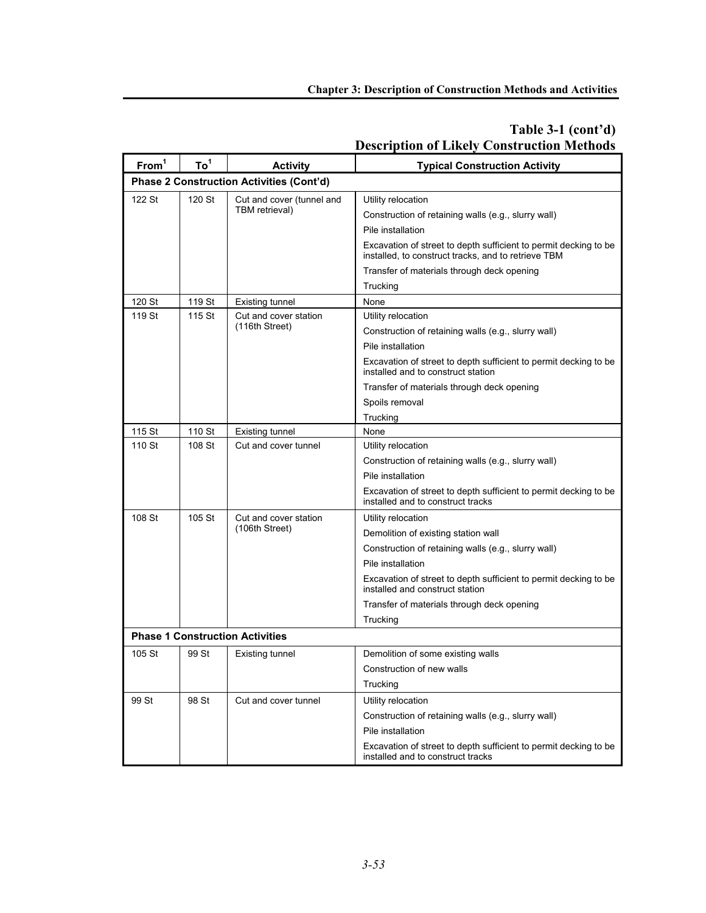#### **From1 To1 Activity Typical Construction Activity Phase 2 Construction Activities (Cont'd)**  122 St 120 St Cut and cover (tunnel and TBM retrieval) Utility relocation Construction of retaining walls (e.g., slurry wall) Pile installation Excavation of street to depth sufficient to permit decking to be installed, to construct tracks, and to retrieve TBM Transfer of materials through deck opening **Trucking** 120 St | 119 St | Existing tunnel | None 119 St | 115 St | Cut and cover station (116th Street) Utility relocation Construction of retaining walls (e.g., slurry wall) Pile installation Excavation of street to depth sufficient to permit decking to be installed and to construct station Transfer of materials through deck opening Spoils removal **Trucking** 115 St | 110 St | Existing tunnel | None 110 St 108 St Cut and cover tunnel Utility relocation Construction of retaining walls (e.g., slurry wall) Pile installation Excavation of street to depth sufficient to permit decking to be installed and to construct tracks 108 St | 105 St | Cut and cover station (106th Street) Utility relocation Demolition of existing station wall Construction of retaining walls (e.g., slurry wall) Pile installation Excavation of street to depth sufficient to permit decking to be installed and construct station Transfer of materials through deck opening **Trucking Phase 1 Construction Activities** 105 St 99 St Existing tunnel Demolition of some existing walls Construction of new walls **Trucking** 99 St  $\parallel$  98 St  $\parallel$  Cut and cover tunnel  $\parallel$  Utility relocation Construction of retaining walls (e.g., slurry wall) Pile installation Excavation of street to depth sufficient to permit decking to be installed and to construct tracks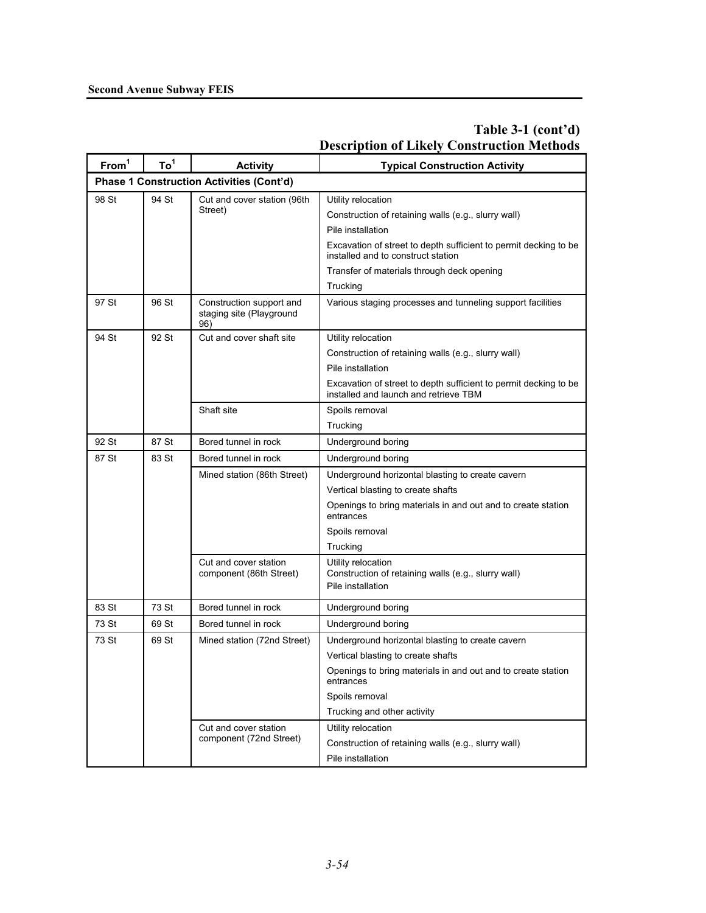| From <sup>1</sup> | To <sup>1</sup> | <b>Activity</b>                                             | <b>Typical Construction Activity</b>                                                                      |
|-------------------|-----------------|-------------------------------------------------------------|-----------------------------------------------------------------------------------------------------------|
|                   |                 | <b>Phase 1 Construction Activities (Cont'd)</b>             |                                                                                                           |
| 98 St             | 94 St           | Cut and cover station (96th                                 | Utility relocation                                                                                        |
|                   |                 | Street)                                                     | Construction of retaining walls (e.g., slurry wall)                                                       |
|                   |                 |                                                             | Pile installation                                                                                         |
|                   |                 |                                                             | Excavation of street to depth sufficient to permit decking to be<br>installed and to construct station    |
|                   |                 |                                                             | Transfer of materials through deck opening                                                                |
|                   |                 |                                                             | Trucking                                                                                                  |
| 97 St             | 96 St           | Construction support and<br>staging site (Playground<br>96) | Various staging processes and tunneling support facilities                                                |
| 94 St             | 92 St           | Cut and cover shaft site                                    | Utility relocation                                                                                        |
|                   |                 |                                                             | Construction of retaining walls (e.g., slurry wall)                                                       |
|                   |                 |                                                             | Pile installation                                                                                         |
|                   |                 |                                                             | Excavation of street to depth sufficient to permit decking to be<br>installed and launch and retrieve TBM |
|                   |                 | Shaft site                                                  | Spoils removal                                                                                            |
|                   |                 |                                                             | Trucking                                                                                                  |
| 92 St             | 87 St           | Bored tunnel in rock                                        | Underground boring                                                                                        |
| 87 St             | 83 St           | Bored tunnel in rock                                        | Underground boring                                                                                        |
|                   |                 | Mined station (86th Street)                                 | Underground horizontal blasting to create cavern                                                          |
|                   |                 |                                                             | Vertical blasting to create shafts                                                                        |
|                   |                 |                                                             | Openings to bring materials in and out and to create station<br>entrances                                 |
|                   |                 |                                                             | Spoils removal                                                                                            |
|                   |                 |                                                             | Trucking                                                                                                  |
|                   |                 | Cut and cover station<br>component (86th Street)            | Utility relocation<br>Construction of retaining walls (e.g., slurry wall)<br>Pile installation            |
| 83 St             | 73 St           | Bored tunnel in rock                                        | Underground boring                                                                                        |
| 73 St             | 69 St           | Bored tunnel in rock                                        | Underground boring                                                                                        |
| 73 St             | 69 St           | Mined station (72nd Street)                                 | Underground horizontal blasting to create cavern                                                          |
|                   |                 |                                                             | Vertical blasting to create shafts                                                                        |
|                   |                 |                                                             | Openings to bring materials in and out and to create station<br>entrances                                 |
|                   |                 |                                                             | Spoils removal                                                                                            |
|                   |                 |                                                             | Trucking and other activity                                                                               |
|                   |                 | Cut and cover station                                       | Utility relocation                                                                                        |
|                   |                 | component (72nd Street)                                     | Construction of retaining walls (e.g., slurry wall)                                                       |
|                   |                 |                                                             | Pile installation                                                                                         |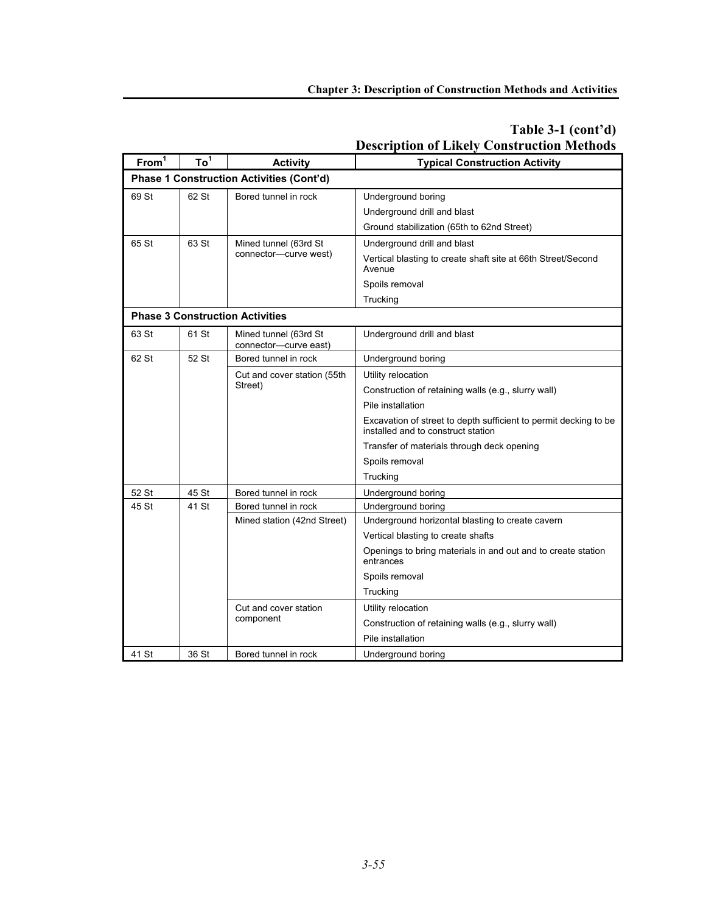| From <sup>1</sup> | To <sup>1</sup> | <b>Activity</b>                                 | <b>Typical Construction Activity</b>                                                                   |
|-------------------|-----------------|-------------------------------------------------|--------------------------------------------------------------------------------------------------------|
|                   |                 | <b>Phase 1 Construction Activities (Cont'd)</b> |                                                                                                        |
| 69 St             | 62 St           | Bored tunnel in rock                            | Underground boring                                                                                     |
|                   |                 |                                                 | Underground drill and blast                                                                            |
|                   |                 |                                                 | Ground stabilization (65th to 62nd Street)                                                             |
| 65 St             | 63 St           | Mined tunnel (63rd St                           | Underground drill and blast                                                                            |
|                   |                 | connector-curve west)                           | Vertical blasting to create shaft site at 66th Street/Second<br>Avenue                                 |
|                   |                 |                                                 | Spoils removal                                                                                         |
|                   |                 |                                                 | Trucking                                                                                               |
|                   |                 | <b>Phase 3 Construction Activities</b>          |                                                                                                        |
| 63 St             | 61 St           | Mined tunnel (63rd St<br>connector-curve east)  | Underground drill and blast                                                                            |
| 62 St             | 52 St           | Bored tunnel in rock                            | Underground boring                                                                                     |
|                   |                 | Cut and cover station (55th<br>Street)          | Utility relocation                                                                                     |
|                   |                 |                                                 | Construction of retaining walls (e.g., slurry wall)                                                    |
|                   |                 |                                                 | Pile installation                                                                                      |
|                   |                 |                                                 | Excavation of street to depth sufficient to permit decking to be<br>installed and to construct station |
|                   |                 |                                                 | Transfer of materials through deck opening                                                             |
|                   |                 |                                                 | Spoils removal                                                                                         |
|                   |                 |                                                 | Trucking                                                                                               |
| 52 St             | 45 St           | Bored tunnel in rock                            | Underground boring                                                                                     |
| 45 St             | 41 St           | Bored tunnel in rock                            | Underground boring                                                                                     |
|                   |                 | Mined station (42nd Street)                     | Underground horizontal blasting to create cavern                                                       |
|                   |                 |                                                 | Vertical blasting to create shafts                                                                     |
|                   |                 |                                                 | Openings to bring materials in and out and to create station<br>entrances                              |
|                   |                 |                                                 | Spoils removal                                                                                         |
|                   |                 |                                                 | Trucking                                                                                               |
|                   |                 | Cut and cover station                           | Utility relocation                                                                                     |
|                   |                 | component                                       | Construction of retaining walls (e.g., slurry wall)                                                    |
|                   |                 |                                                 | Pile installation                                                                                      |
| 41 St             | 36 St           | Bored tunnel in rock                            | Underground boring                                                                                     |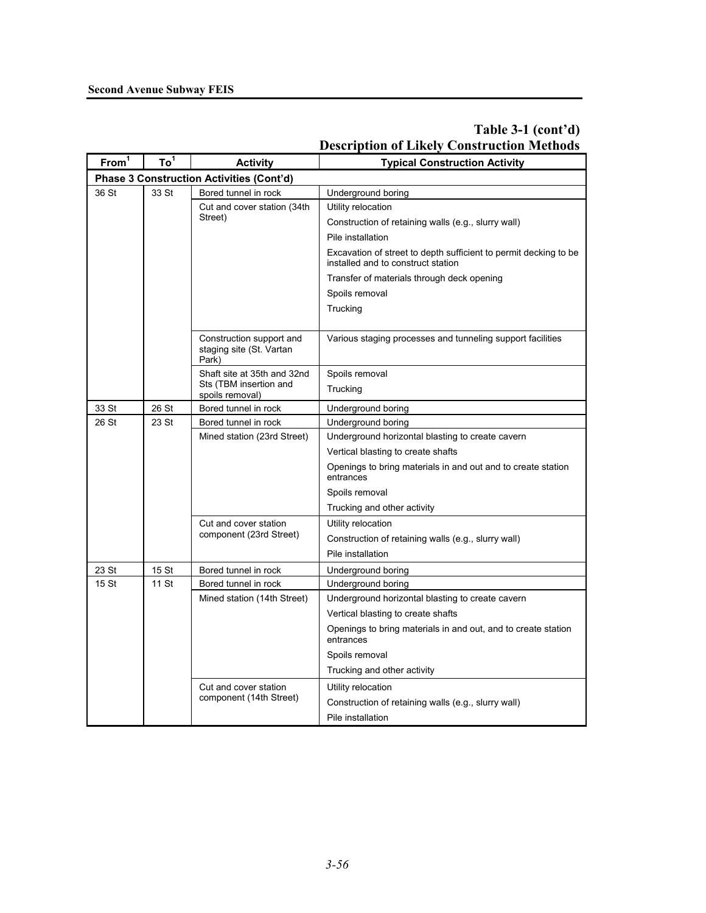| From <sup>1</sup>                        | To <sup>1</sup> | <b>Activity</b>                                               | <b>Typical Construction Activity</b>                                                                   |  |
|------------------------------------------|-----------------|---------------------------------------------------------------|--------------------------------------------------------------------------------------------------------|--|
| Phase 3 Construction Activities (Cont'd) |                 |                                                               |                                                                                                        |  |
| 36 St                                    | 33 St           | Bored tunnel in rock                                          | Underground boring                                                                                     |  |
|                                          |                 | Cut and cover station (34th                                   | Utility relocation                                                                                     |  |
|                                          |                 | Street)                                                       | Construction of retaining walls (e.g., slurry wall)                                                    |  |
|                                          |                 |                                                               | Pile installation                                                                                      |  |
|                                          |                 |                                                               | Excavation of street to depth sufficient to permit decking to be<br>installed and to construct station |  |
|                                          |                 |                                                               | Transfer of materials through deck opening                                                             |  |
|                                          |                 |                                                               | Spoils removal                                                                                         |  |
|                                          |                 |                                                               | Trucking                                                                                               |  |
|                                          |                 |                                                               |                                                                                                        |  |
|                                          |                 | Construction support and<br>staging site (St. Vartan<br>Park) | Various staging processes and tunneling support facilities                                             |  |
|                                          |                 | Shaft site at 35th and 32nd                                   | Spoils removal                                                                                         |  |
|                                          |                 | Sts (TBM insertion and<br>spoils removal)                     | Trucking                                                                                               |  |
| 33 St                                    | 26 St           | Bored tunnel in rock                                          | Underground boring                                                                                     |  |
| 26 St                                    | 23 St           | Bored tunnel in rock                                          | Underground boring                                                                                     |  |
|                                          |                 | Mined station (23rd Street)                                   | Underground horizontal blasting to create cavern                                                       |  |
|                                          |                 |                                                               | Vertical blasting to create shafts                                                                     |  |
|                                          |                 |                                                               | Openings to bring materials in and out and to create station<br>entrances                              |  |
|                                          |                 |                                                               | Spoils removal                                                                                         |  |
|                                          |                 |                                                               | Trucking and other activity                                                                            |  |
|                                          |                 | Cut and cover station                                         | Utility relocation                                                                                     |  |
|                                          |                 | component (23rd Street)                                       | Construction of retaining walls (e.g., slurry wall)                                                    |  |
|                                          |                 |                                                               | Pile installation                                                                                      |  |
| 23 St                                    | 15 St           | Bored tunnel in rock                                          | Underground boring                                                                                     |  |
| 15 St                                    | 11 St           | Bored tunnel in rock                                          | Underground boring                                                                                     |  |
|                                          |                 | Mined station (14th Street)                                   | Underground horizontal blasting to create cavern                                                       |  |
|                                          |                 |                                                               | Vertical blasting to create shafts                                                                     |  |
|                                          |                 |                                                               | Openings to bring materials in and out, and to create station<br>entrances                             |  |
|                                          |                 |                                                               | Spoils removal                                                                                         |  |
|                                          |                 |                                                               | Trucking and other activity                                                                            |  |
|                                          |                 | Cut and cover station                                         | Utility relocation                                                                                     |  |
|                                          |                 | component (14th Street)                                       | Construction of retaining walls (e.g., slurry wall)                                                    |  |
|                                          |                 |                                                               | Pile installation                                                                                      |  |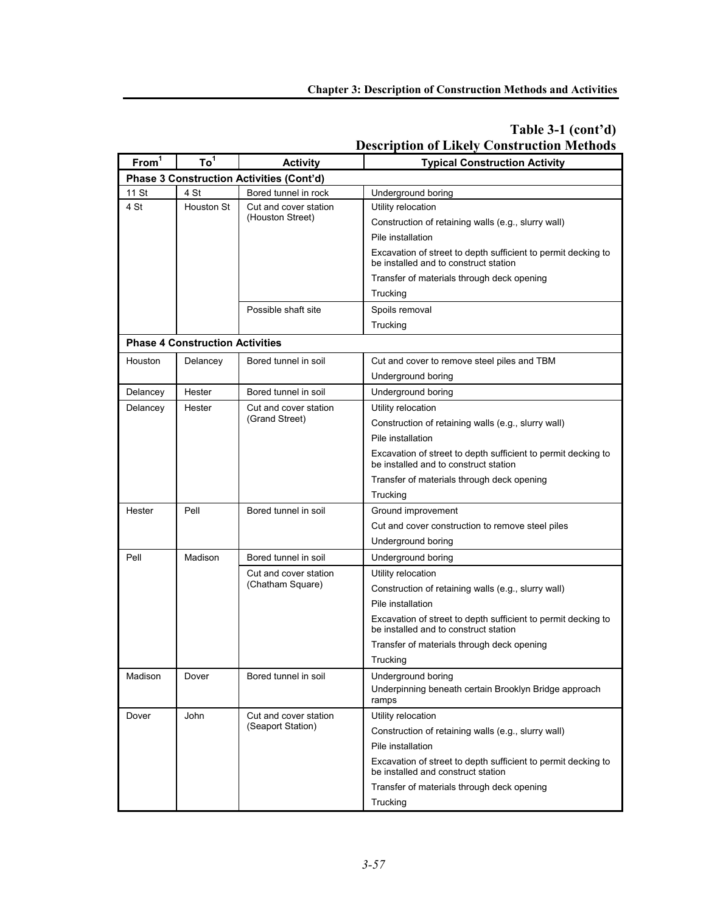| From <sup>1</sup> | To <sup>1</sup>                        | <b>Activity</b>                                 | <b>Typical Construction Activity</b>                                                                   |
|-------------------|----------------------------------------|-------------------------------------------------|--------------------------------------------------------------------------------------------------------|
|                   |                                        | <b>Phase 3 Construction Activities (Cont'd)</b> |                                                                                                        |
| 11 St             | 4 St                                   | Bored tunnel in rock                            | Underground boring                                                                                     |
| 4 St              | <b>Houston St</b>                      | Cut and cover station                           | Utility relocation                                                                                     |
|                   |                                        | (Houston Street)                                | Construction of retaining walls (e.g., slurry wall)                                                    |
|                   |                                        |                                                 | Pile installation                                                                                      |
|                   |                                        |                                                 | Excavation of street to depth sufficient to permit decking to<br>be installed and to construct station |
|                   |                                        |                                                 | Transfer of materials through deck opening                                                             |
|                   |                                        |                                                 | Trucking                                                                                               |
|                   |                                        | Possible shaft site                             | Spoils removal                                                                                         |
|                   |                                        |                                                 | Trucking                                                                                               |
|                   | <b>Phase 4 Construction Activities</b> |                                                 |                                                                                                        |
| Houston           | Delancey                               | Bored tunnel in soil                            | Cut and cover to remove steel piles and TBM                                                            |
|                   |                                        |                                                 | Underground boring                                                                                     |
| Delancey          | Hester                                 | Bored tunnel in soil                            | Underground boring                                                                                     |
| Delancey          | Hester                                 | Cut and cover station                           | Utility relocation                                                                                     |
|                   |                                        | (Grand Street)                                  | Construction of retaining walls (e.g., slurry wall)                                                    |
|                   |                                        |                                                 | Pile installation                                                                                      |
|                   |                                        |                                                 | Excavation of street to depth sufficient to permit decking to<br>be installed and to construct station |
|                   |                                        |                                                 | Transfer of materials through deck opening                                                             |
|                   |                                        |                                                 | Trucking                                                                                               |
| Hester            | Pell                                   | Bored tunnel in soil                            | Ground improvement                                                                                     |
|                   |                                        |                                                 | Cut and cover construction to remove steel piles                                                       |
|                   |                                        |                                                 | Underground boring                                                                                     |
| Pell              | Madison                                | Bored tunnel in soil                            | Underground boring                                                                                     |
|                   |                                        | Cut and cover station<br>(Chatham Square)       | Utility relocation                                                                                     |
|                   |                                        |                                                 | Construction of retaining walls (e.g., slurry wall)                                                    |
|                   |                                        |                                                 | Pile installation                                                                                      |
|                   |                                        |                                                 | Excavation of street to depth sufficient to permit decking to<br>be installed and to construct station |
|                   |                                        |                                                 | Transfer of materials through deck opening                                                             |
|                   |                                        |                                                 | Trucking                                                                                               |
| Madison           | Dover                                  | Bored tunnel in soil                            | Underground boring                                                                                     |
|                   |                                        |                                                 | Underpinning beneath certain Brooklyn Bridge approach<br>ramps                                         |
| Dover             | John                                   | Cut and cover station<br>(Seaport Station)      | Utility relocation                                                                                     |
|                   |                                        |                                                 | Construction of retaining walls (e.g., slurry wall)                                                    |
|                   |                                        |                                                 | Pile installation                                                                                      |
|                   |                                        |                                                 | Excavation of street to depth sufficient to permit decking to<br>be installed and construct station    |
|                   |                                        |                                                 | Transfer of materials through deck opening                                                             |
|                   |                                        |                                                 | Trucking                                                                                               |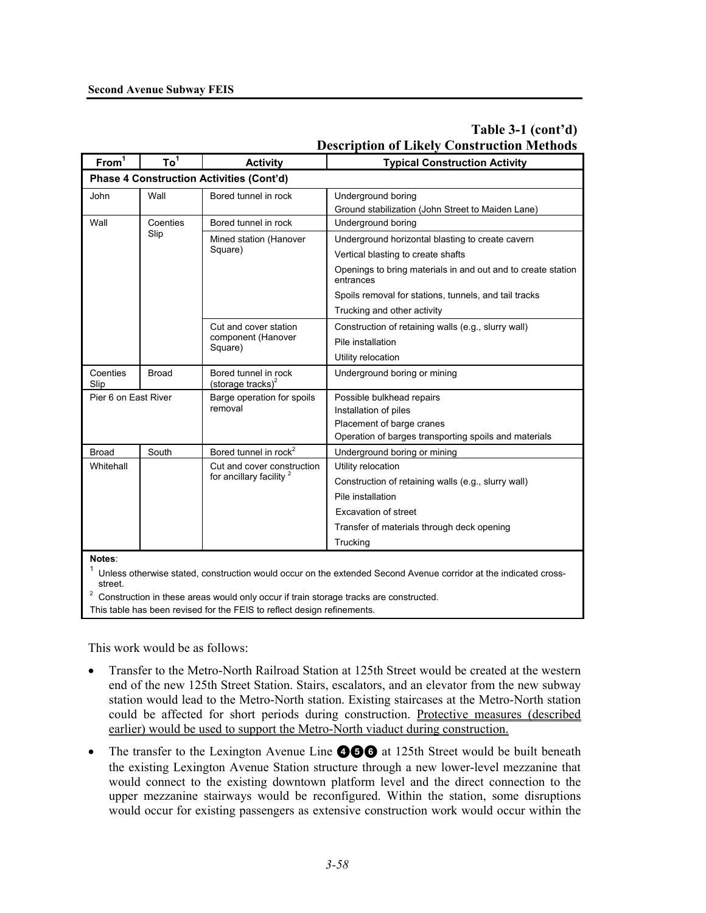| From <sup>1</sup>                                                                                                                                                                                                              | To <sup>1</sup> | <b>Activity</b>                                                   | <b>Typical Construction Activity</b>                                      |
|--------------------------------------------------------------------------------------------------------------------------------------------------------------------------------------------------------------------------------|-----------------|-------------------------------------------------------------------|---------------------------------------------------------------------------|
|                                                                                                                                                                                                                                |                 | <b>Phase 4 Construction Activities (Cont'd)</b>                   |                                                                           |
| John                                                                                                                                                                                                                           | Wall            | Bored tunnel in rock                                              | Underground boring<br>Ground stabilization (John Street to Maiden Lane)   |
| Wall                                                                                                                                                                                                                           | Coenties        | Bored tunnel in rock                                              | Underground boring                                                        |
|                                                                                                                                                                                                                                | Slip            | Mined station (Hanover<br>Square)                                 | Underground horizontal blasting to create cavern                          |
|                                                                                                                                                                                                                                |                 |                                                                   | Vertical blasting to create shafts                                        |
|                                                                                                                                                                                                                                |                 |                                                                   | Openings to bring materials in and out and to create station<br>entrances |
|                                                                                                                                                                                                                                |                 |                                                                   | Spoils removal for stations, tunnels, and tail tracks                     |
|                                                                                                                                                                                                                                |                 |                                                                   | Trucking and other activity                                               |
|                                                                                                                                                                                                                                |                 | Cut and cover station<br>component (Hanover<br>Square)            | Construction of retaining walls (e.g., slurry wall)                       |
|                                                                                                                                                                                                                                |                 |                                                                   | Pile installation                                                         |
|                                                                                                                                                                                                                                |                 |                                                                   | Utility relocation                                                        |
| Coenties<br>Slip                                                                                                                                                                                                               | <b>Broad</b>    | Bored tunnel in rock<br>(storage tracks) $^{2}$                   | Underground boring or mining                                              |
| Pier 6 on East River                                                                                                                                                                                                           |                 | Barge operation for spoils<br>removal                             | Possible bulkhead repairs                                                 |
|                                                                                                                                                                                                                                |                 |                                                                   | Installation of piles                                                     |
|                                                                                                                                                                                                                                |                 |                                                                   | Placement of barge cranes                                                 |
|                                                                                                                                                                                                                                |                 |                                                                   | Operation of barges transporting spoils and materials                     |
| <b>Broad</b>                                                                                                                                                                                                                   | South           | Bored tunnel in rock <sup>2</sup>                                 | Underground boring or mining                                              |
| Whitehall                                                                                                                                                                                                                      |                 | Cut and cover construction<br>for ancillary facility <sup>2</sup> | Utility relocation                                                        |
|                                                                                                                                                                                                                                |                 |                                                                   | Construction of retaining walls (e.g., slurry wall)                       |
|                                                                                                                                                                                                                                |                 |                                                                   | Pile installation                                                         |
|                                                                                                                                                                                                                                |                 |                                                                   | <b>Excavation of street</b>                                               |
|                                                                                                                                                                                                                                |                 |                                                                   | Transfer of materials through deck opening                                |
|                                                                                                                                                                                                                                |                 |                                                                   | Trucking                                                                  |
| Notes:<br>Unless otherwise stated, construction would occur on the extended Second Avenue corridor at the indicated cross-<br>street.<br>Construction in these areas would only occur if train storage tracks are constructed. |                 |                                                                   |                                                                           |
| This table has been revised for the FEIS to reflect design refinements.                                                                                                                                                        |                 |                                                                   |                                                                           |

This work would be as follows:

- Transfer to the Metro-North Railroad Station at 125th Street would be created at the western end of the new 125th Street Station. Stairs, escalators, and an elevator from the new subway station would lead to the Metro-North station. Existing staircases at the Metro-North station could be affected for short periods during construction. Protective measures (described earlier) would be used to support the Metro-North viaduct during construction.
- The transfer to the Lexington Avenue Line **456** at 125th Street would be built beneath the existing Lexington Avenue Station structure through a new lower-level mezzanine that would connect to the existing downtown platform level and the direct connection to the upper mezzanine stairways would be reconfigured. Within the station, some disruptions would occur for existing passengers as extensive construction work would occur within the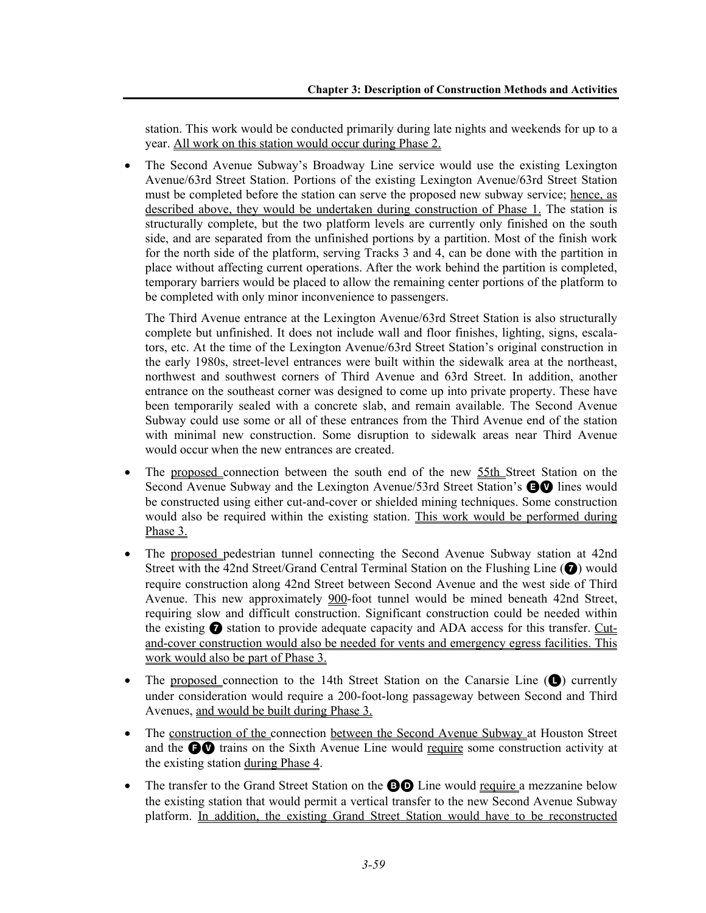station. This work would be conducted primarily during late nights and weekends for up to a year. All work on this station would occur during Phase 2.

• The Second Avenue Subway's Broadway Line service would use the existing Lexington Avenue/63rd Street Station. Portions of the existing Lexington Avenue/63rd Street Station must be completed before the station can serve the proposed new subway service; hence, as described above, they would be undertaken during construction of Phase 1. The station is structurally complete, but the two platform levels are currently only finished on the south side, and are separated from the unfinished portions by a partition. Most of the finish work for the north side of the platform, serving Tracks 3 and 4, can be done with the partition in place without affecting current operations. After the work behind the partition is completed, temporary barriers would be placed to allow the remaining center portions of the platform to be completed with only minor inconvenience to passengers.

The Third Avenue entrance at the Lexington Avenue/63rd Street Station is also structurally complete but unfinished. It does not include wall and floor finishes, lighting, signs, escalators, etc. At the time of the Lexington Avenue/63rd Street Station's original construction in the early 1980s, street-level entrances were built within the sidewalk area at the northeast, northwest and southwest corners of Third Avenue and 63rd Street. In addition, another entrance on the southeast corner was designed to come up into private property. These have been temporarily sealed with a concrete slab, and remain available. The Second Avenue Subway could use some or all of these entrances from the Third Avenue end of the station with minimal new construction. Some disruption to sidewalk areas near Third Avenue would occur when the new entrances are created.

- The proposed connection between the south end of the new 55th Street Station on the Second Avenue Subway and the Lexington Avenue/53rd Street Station's **EV** lines would be constructed using either cut-and-cover or shielded mining techniques. Some construction would also be required within the existing station. This work would be performed during Phase 3.
- The proposed pedestrian tunnel connecting the Second Avenue Subway station at 42nd Street with the 42nd Street/Grand Central Terminal Station on the Flushing Line ( $\bigcirc$ ) would require construction along 42nd Street between Second Avenue and the west side of Third Avenue. This new approximately 900-foot tunnel would be mined beneath 42nd Street, requiring slow and difficult construction. Significant construction could be needed within the existing  $\bullet$  station to provide adequate capacity and ADA access for this transfer. Cutand-cover construction would also be needed for vents and emergency egress facilities. This work would also be part of Phase 3.
- The proposed connection to the 14th Street Station on the Canarsie Line  $(\bullet)$  currently under consideration would require a 200-foot-long passageway between Second and Third Avenues, and would be built during Phase 3.
- The construction of the connection between the Second Avenue Subway at Houston Street and the  $\bigcirc$  trains on the Sixth Avenue Line would require some construction activity at the existing station during Phase 4.
- The transfer to the Grand Street Station on the **BO** Line would require a mezzanine below the existing station that would permit a vertical transfer to the new Second Avenue Subway platform. In addition, the existing Grand Street Station would have to be reconstructed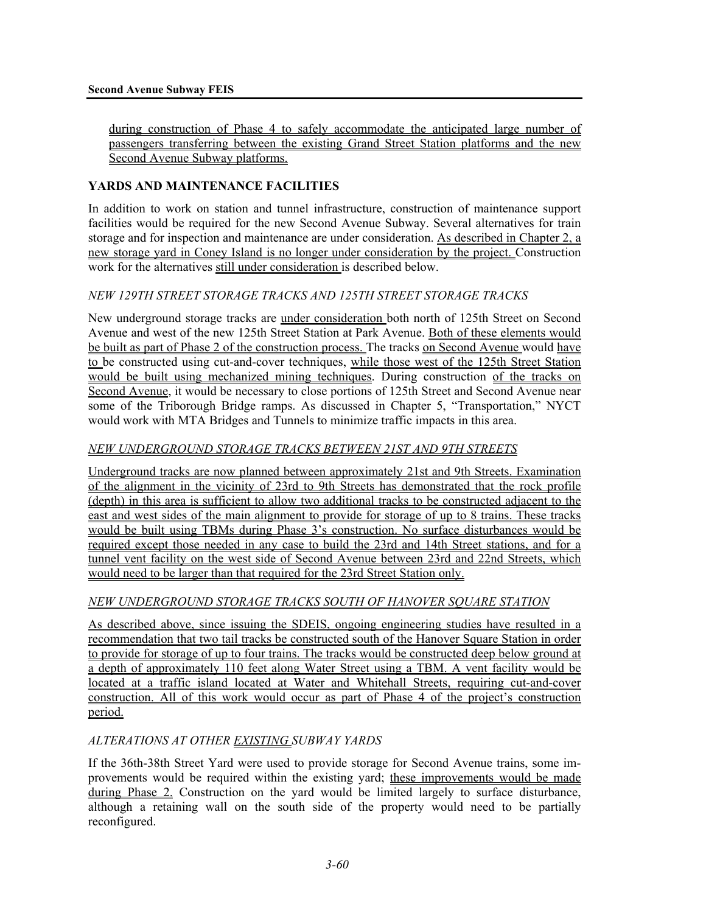during construction of Phase 4 to safely accommodate the anticipated large number of passengers transferring between the existing Grand Street Station platforms and the new Second Avenue Subway platforms.

## **YARDS AND MAINTENANCE FACILITIES**

In addition to work on station and tunnel infrastructure, construction of maintenance support facilities would be required for the new Second Avenue Subway. Several alternatives for train storage and for inspection and maintenance are under consideration. As described in Chapter 2, a new storage yard in Coney Island is no longer under consideration by the project. Construction work for the alternatives still under consideration is described below.

### *NEW 129TH STREET STORAGE TRACKS AND 125TH STREET STORAGE TRACKS*

New underground storage tracks are under consideration both north of 125th Street on Second Avenue and west of the new 125th Street Station at Park Avenue. Both of these elements would be built as part of Phase 2 of the construction process. The tracks on Second Avenue would have to be constructed using cut-and-cover techniques, while those west of the 125th Street Station would be built using mechanized mining techniques. During construction of the tracks on Second Avenue, it would be necessary to close portions of 125th Street and Second Avenue near some of the Triborough Bridge ramps. As discussed in Chapter 5, "Transportation," NYCT would work with MTA Bridges and Tunnels to minimize traffic impacts in this area.

#### *NEW UNDERGROUND STORAGE TRACKS BETWEEN 21ST AND 9TH STREETS*

Underground tracks are now planned between approximately 21st and 9th Streets. Examination of the alignment in the vicinity of 23rd to 9th Streets has demonstrated that the rock profile (depth) in this area is sufficient to allow two additional tracks to be constructed adjacent to the east and west sides of the main alignment to provide for storage of up to 8 trains. These tracks would be built using TBMs during Phase 3's construction. No surface disturbances would be required except those needed in any case to build the 23rd and 14th Street stations, and for a tunnel vent facility on the west side of Second Avenue between 23rd and 22nd Streets, which would need to be larger than that required for the 23rd Street Station only.

#### *NEW UNDERGROUND STORAGE TRACKS SOUTH OF HANOVER SQUARE STATION*

As described above, since issuing the SDEIS, ongoing engineering studies have resulted in a recommendation that two tail tracks be constructed south of the Hanover Square Station in order to provide for storage of up to four trains. The tracks would be constructed deep below ground at a depth of approximately 110 feet along Water Street using a TBM. A vent facility would be located at a traffic island located at Water and Whitehall Streets, requiring cut-and-cover construction. All of this work would occur as part of Phase 4 of the project's construction period.

#### *ALTERATIONS AT OTHER EXISTING SUBWAY YARDS*

If the 36th-38th Street Yard were used to provide storage for Second Avenue trains, some improvements would be required within the existing yard; these improvements would be made during Phase 2. Construction on the yard would be limited largely to surface disturbance, although a retaining wall on the south side of the property would need to be partially reconfigured.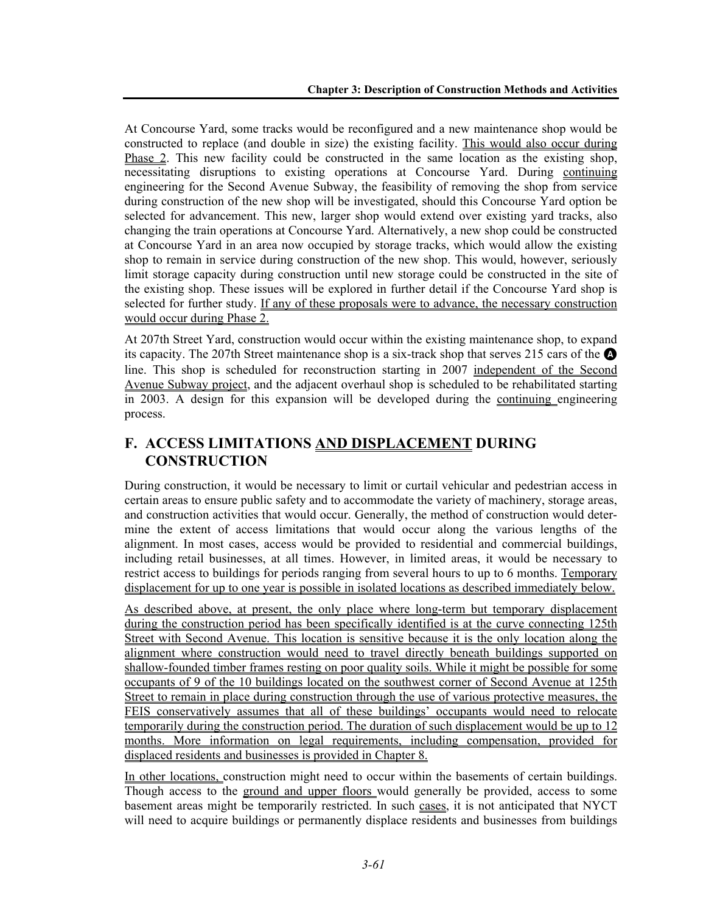At Concourse Yard, some tracks would be reconfigured and a new maintenance shop would be constructed to replace (and double in size) the existing facility. This would also occur during Phase 2. This new facility could be constructed in the same location as the existing shop, necessitating disruptions to existing operations at Concourse Yard. During continuing engineering for the Second Avenue Subway, the feasibility of removing the shop from service during construction of the new shop will be investigated, should this Concourse Yard option be selected for advancement. This new, larger shop would extend over existing yard tracks, also changing the train operations at Concourse Yard. Alternatively, a new shop could be constructed at Concourse Yard in an area now occupied by storage tracks, which would allow the existing shop to remain in service during construction of the new shop. This would, however, seriously limit storage capacity during construction until new storage could be constructed in the site of the existing shop. These issues will be explored in further detail if the Concourse Yard shop is selected for further study. If any of these proposals were to advance, the necessary construction would occur during Phase 2.

At 207th Street Yard, construction would occur within the existing maintenance shop, to expand its capacity. The 207th Street maintenance shop is a six-track shop that serves 215 cars of the  $\bullet$ line. This shop is scheduled for reconstruction starting in 2007 independent of the Second Avenue Subway project, and the adjacent overhaul shop is scheduled to be rehabilitated starting in 2003. A design for this expansion will be developed during the continuing engineering process.

# **F. ACCESS LIMITATIONS AND DISPLACEMENT DURING CONSTRUCTION**

During construction, it would be necessary to limit or curtail vehicular and pedestrian access in certain areas to ensure public safety and to accommodate the variety of machinery, storage areas, and construction activities that would occur. Generally, the method of construction would determine the extent of access limitations that would occur along the various lengths of the alignment. In most cases, access would be provided to residential and commercial buildings, including retail businesses, at all times. However, in limited areas, it would be necessary to restrict access to buildings for periods ranging from several hours to up to 6 months. Temporary displacement for up to one year is possible in isolated locations as described immediately below.

As described above, at present, the only place where long-term but temporary displacement during the construction period has been specifically identified is at the curve connecting 125th Street with Second Avenue. This location is sensitive because it is the only location along the alignment where construction would need to travel directly beneath buildings supported on shallow-founded timber frames resting on poor quality soils. While it might be possible for some occupants of 9 of the 10 buildings located on the southwest corner of Second Avenue at 125th Street to remain in place during construction through the use of various protective measures, the FEIS conservatively assumes that all of these buildings' occupants would need to relocate temporarily during the construction period. The duration of such displacement would be up to 12 months. More information on legal requirements, including compensation, provided for displaced residents and businesses is provided in Chapter 8.

In other locations, construction might need to occur within the basements of certain buildings. Though access to the ground and upper floors would generally be provided, access to some basement areas might be temporarily restricted. In such cases, it is not anticipated that NYCT will need to acquire buildings or permanently displace residents and businesses from buildings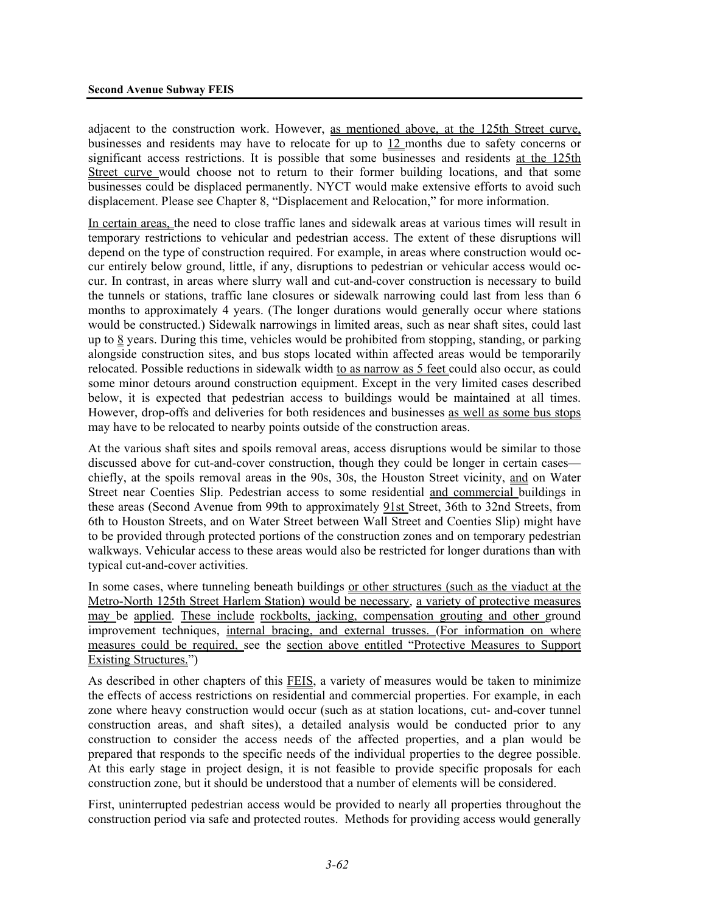adjacent to the construction work. However, as mentioned above, at the 125th Street curve, businesses and residents may have to relocate for up to 12 months due to safety concerns or significant access restrictions. It is possible that some businesses and residents at the 125th Street curve would choose not to return to their former building locations, and that some businesses could be displaced permanently. NYCT would make extensive efforts to avoid such displacement. Please see Chapter 8, "Displacement and Relocation," for more information.

In certain areas, the need to close traffic lanes and sidewalk areas at various times will result in temporary restrictions to vehicular and pedestrian access. The extent of these disruptions will depend on the type of construction required. For example, in areas where construction would occur entirely below ground, little, if any, disruptions to pedestrian or vehicular access would occur. In contrast, in areas where slurry wall and cut-and-cover construction is necessary to build the tunnels or stations, traffic lane closures or sidewalk narrowing could last from less than 6 months to approximately 4 years. (The longer durations would generally occur where stations would be constructed.) Sidewalk narrowings in limited areas, such as near shaft sites, could last up to  $\frac{8}{3}$  years. During this time, vehicles would be prohibited from stopping, standing, or parking alongside construction sites, and bus stops located within affected areas would be temporarily relocated. Possible reductions in sidewalk width to as narrow as 5 feet could also occur, as could some minor detours around construction equipment. Except in the very limited cases described below, it is expected that pedestrian access to buildings would be maintained at all times. However, drop-offs and deliveries for both residences and businesses as well as some bus stops may have to be relocated to nearby points outside of the construction areas.

At the various shaft sites and spoils removal areas, access disruptions would be similar to those discussed above for cut-and-cover construction, though they could be longer in certain cases chiefly, at the spoils removal areas in the 90s, 30s, the Houston Street vicinity, and on Water Street near Coenties Slip. Pedestrian access to some residential and commercial buildings in these areas (Second Avenue from 99th to approximately 91st Street, 36th to 32nd Streets, from 6th to Houston Streets, and on Water Street between Wall Street and Coenties Slip) might have to be provided through protected portions of the construction zones and on temporary pedestrian walkways. Vehicular access to these areas would also be restricted for longer durations than with typical cut-and-cover activities.

In some cases, where tunneling beneath buildings or other structures (such as the viaduct at the Metro-North 125th Street Harlem Station) would be necessary, a variety of protective measures may be applied. These include rockbolts, jacking, compensation grouting and other ground improvement techniques, internal bracing, and external trusses. (For information on where measures could be required, see the section above entitled "Protective Measures to Support Existing Structures.")

As described in other chapters of this FEIS, a variety of measures would be taken to minimize the effects of access restrictions on residential and commercial properties. For example, in each zone where heavy construction would occur (such as at station locations, cut- and-cover tunnel construction areas, and shaft sites), a detailed analysis would be conducted prior to any construction to consider the access needs of the affected properties, and a plan would be prepared that responds to the specific needs of the individual properties to the degree possible. At this early stage in project design, it is not feasible to provide specific proposals for each construction zone, but it should be understood that a number of elements will be considered.

First, uninterrupted pedestrian access would be provided to nearly all properties throughout the construction period via safe and protected routes. Methods for providing access would generally